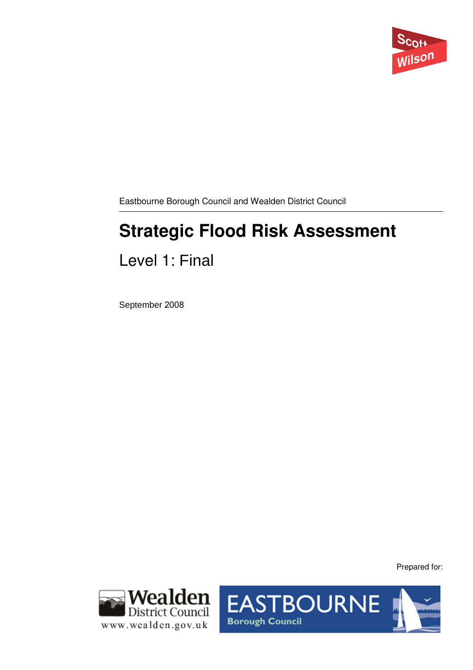

Eastbourne Borough Council and Wealden District Council

# **Strategic Flood Risk Assessment**

Level 1: Final

September 2008

Prepared for:



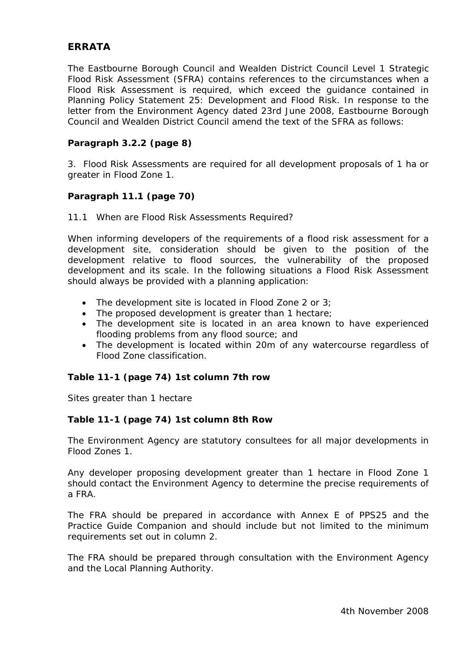## **ERRATA**

The Eastbourne Borough Council and Wealden District Council Level 1 Strategic Flood Risk Assessment (SFRA) contains references to the circumstances when a Flood Risk Assessment is required, which exceed the guidance contained in Planning Policy Statement 25: *Development and Flood Risk*. In response to the letter from the Environment Agency dated 23rd June 2008, Eastbourne Borough Council and Wealden District Council amend the text of the SFRA as follows:

#### **Paragraph 3.2.2 (page 8)**

3. Flood Risk Assessments are required for all development proposals of 1 ha or greater in Flood Zone 1.

#### **Paragraph 11.1 (page 70)**

11.1 When are Flood Risk Assessments Required?

When informing developers of the requirements of a flood risk assessment for a development site, consideration should be given to the position of the development relative to flood sources, the vulnerability of the proposed development and its scale. In the following situations a Flood Risk Assessment should always be provided with a planning application:

- The development site is located in Flood Zone 2 or 3;
- The proposed development is greater than 1 hectare;
- The development site is located in an area known to have experienced flooding problems from any flood source; and
- The development is located within 20m of any watercourse regardless of Flood Zone classification.

#### **Table 11-1 (page 74) 1st column 7th row**

Sites greater than 1 hectare

#### **Table 11-1 (page 74) 1st column 8th Row**

The Environment Agency are statutory consultees for all major developments in Flood Zones 1.

Any developer proposing development greater than 1 hectare in Flood Zone 1 should contact the Environment Agency to determine the precise requirements of a FRA.

The FRA should be prepared in accordance with Annex E of PPS25 and the Practice Guide Companion and should include but not limited to the minimum requirements set out in column 2.

The FRA should be prepared through consultation with the Environment Agency and the Local Planning Authority.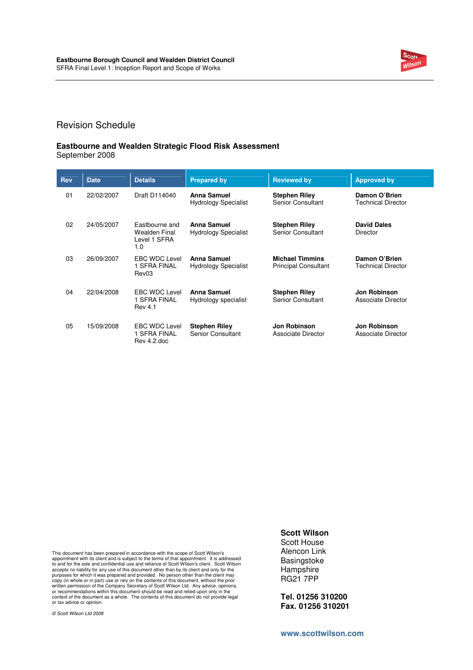

### Revision Schedule

#### **Eastbourne and Wealden Strategic Flood Risk Assessment**

September 2008

| <b>Rev</b> | <b>Date</b> | <b>Details</b>                                         | <b>Prepared by</b>                                | <b>Reviewed by</b>                                    | <b>Approved by</b>                         |
|------------|-------------|--------------------------------------------------------|---------------------------------------------------|-------------------------------------------------------|--------------------------------------------|
| 01         | 22/02/2007  | Draft D114040                                          | Anna Samuel<br><b>Hydrology Specialist</b>        | <b>Stephen Riley</b><br>Senior Consultant             | Damon O'Brien<br><b>Technical Director</b> |
| 02         | 24/05/2007  | Eastbourne and<br>Wealden Final<br>Level 1 SFRA<br>1.0 | Anna Samuel<br><b>Hydrology Specialist</b>        | <b>Stephen Riley</b><br>Senior Consultant             | <b>David Dales</b><br>Director             |
| 03         | 26/09/2007  | <b>EBC WDC Level</b><br>1 SFRA FINAL<br>Rev03          | <b>Anna Samuel</b><br><b>Hydrology Specialist</b> | <b>Michael Timmins</b><br><b>Principal Consultant</b> | Damon O'Brien<br><b>Technical Director</b> |
| 04         | 22/04/2008  | <b>EBC WDC Level</b><br>1 SFRA FINAL<br><b>Rev 4.1</b> | Anna Samuel<br>Hydrology specialist               | <b>Stephen Riley</b><br>Senior Consultant             | Jon Robinson<br>Associate Director         |
| 05         | 15/09/2008  | <b>EBC WDC Level</b><br>1 SFRA FINAL<br>Rev 4.2.doc    | <b>Stephen Riley</b><br>Senior Consultant         | Jon Robinson<br>Associate Director                    | Jon Robinson<br>Associate Director         |

This document has been prepared in accordance with the scope of Scott Wilson's<br>appointment with its client and is subject to the terms of that appointment. It is addressed<br>to and for the sole and confidential use and relia or tax advice or opinion.

© Scott Wilson Ltd 2008

**Scott Wilson** 

Scott House Alencon Link Basingstoke Hampshire RG21 7PP

**Tel. 01256 310200 Fax. 01256 310201**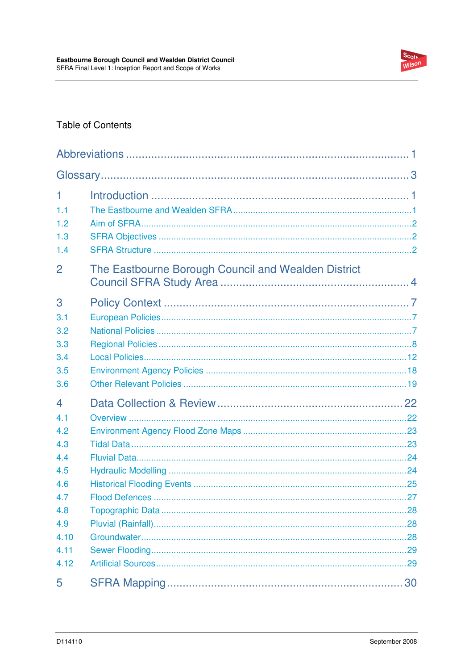

## **Table of Contents**

| 1<br>1.1<br>1.2<br>1.3<br>1.4                                                            |                                                     |     |
|------------------------------------------------------------------------------------------|-----------------------------------------------------|-----|
| 2                                                                                        | The Eastbourne Borough Council and Wealden District |     |
| 3<br>3.1<br>3.2<br>3.3<br>3.4<br>3.5<br>3.6                                              |                                                     |     |
| 4<br>4.1<br>4.2<br>4.3<br>4.4<br>4.5<br>4.6<br>4.7<br>4.8<br>4.9<br>4.10<br>4.11<br>4.12 |                                                     | .28 |
| 5                                                                                        |                                                     | 30  |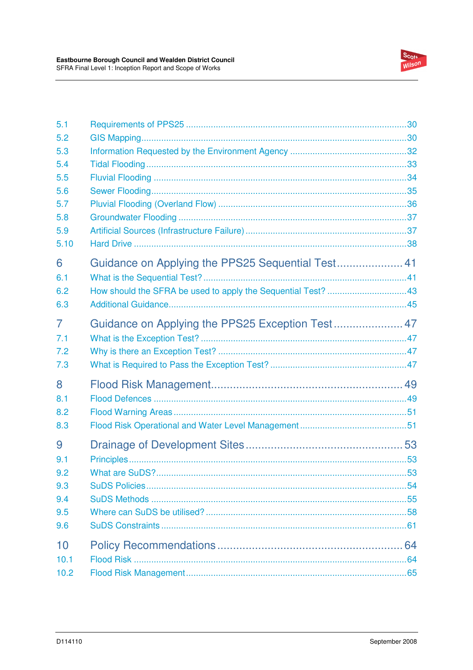

| 5.1  |                                                   |  |
|------|---------------------------------------------------|--|
| 5.2  |                                                   |  |
| 5.3  |                                                   |  |
| 5.4  |                                                   |  |
| 5.5  |                                                   |  |
| 5.6  |                                                   |  |
| 5.7  |                                                   |  |
| 5.8  |                                                   |  |
| 5.9  |                                                   |  |
| 5.10 |                                                   |  |
| 6    | Guidance on Applying the PPS25 Sequential Test 41 |  |
| 6.1  |                                                   |  |
| 6.2  |                                                   |  |
| 6.3  |                                                   |  |
| 7    |                                                   |  |
| 7.1  |                                                   |  |
| 7.2  |                                                   |  |
| 7.3  |                                                   |  |
| 8    |                                                   |  |
| 8.1  |                                                   |  |
| 8.2  |                                                   |  |
| 8.3  |                                                   |  |
| 9    |                                                   |  |
| 9.1  |                                                   |  |
| 9.2  | What are SuDS?                                    |  |
| 9.3  |                                                   |  |
| 9.4  |                                                   |  |
| 9.5  |                                                   |  |
| 9.6  |                                                   |  |
| 10   |                                                   |  |
| 10.1 |                                                   |  |
| 10.2 |                                                   |  |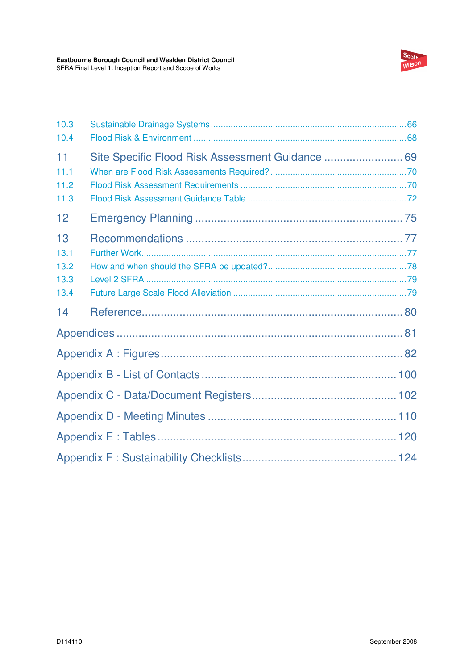

| 10.3<br>10.4                       |                                                  |  |  |  |  |
|------------------------------------|--------------------------------------------------|--|--|--|--|
| 11<br>11.1<br>11.2<br>11.3         | Site Specific Flood Risk Assessment Guidance  69 |  |  |  |  |
| 12                                 |                                                  |  |  |  |  |
| 13<br>13.1<br>13.2<br>13.3<br>13.4 |                                                  |  |  |  |  |
| 14                                 |                                                  |  |  |  |  |
|                                    |                                                  |  |  |  |  |
|                                    |                                                  |  |  |  |  |
|                                    |                                                  |  |  |  |  |
|                                    |                                                  |  |  |  |  |
|                                    |                                                  |  |  |  |  |
|                                    |                                                  |  |  |  |  |
|                                    |                                                  |  |  |  |  |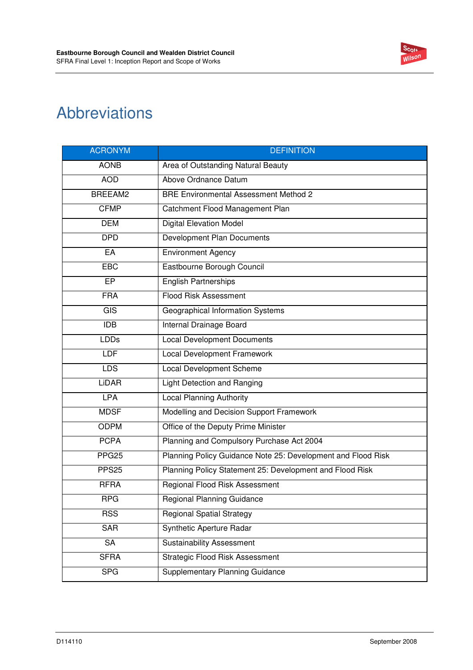

# Abbreviations

| <b>ACRONYM</b>    | <b>DEFINITION</b>                                            |  |
|-------------------|--------------------------------------------------------------|--|
| <b>AONB</b>       | Area of Outstanding Natural Beauty                           |  |
| <b>AOD</b>        | Above Ordnance Datum                                         |  |
| BREEAM2           | <b>BRE Environmental Assessment Method 2</b>                 |  |
| <b>CFMP</b>       | Catchment Flood Management Plan                              |  |
| <b>DEM</b>        | <b>Digital Elevation Model</b>                               |  |
| <b>DPD</b>        | Development Plan Documents                                   |  |
| EA                | <b>Environment Agency</b>                                    |  |
| <b>EBC</b>        | Eastbourne Borough Council                                   |  |
| EP                | <b>English Partnerships</b>                                  |  |
| <b>FRA</b>        | <b>Flood Risk Assessment</b>                                 |  |
| <b>GIS</b>        | Geographical Information Systems                             |  |
| <b>IDB</b>        | Internal Drainage Board                                      |  |
| <b>LDDs</b>       | <b>Local Development Documents</b>                           |  |
| <b>LDF</b>        | Local Development Framework                                  |  |
| <b>LDS</b>        | <b>Local Development Scheme</b>                              |  |
| <b>LiDAR</b>      | <b>Light Detection and Ranging</b>                           |  |
| <b>LPA</b>        | <b>Local Planning Authority</b>                              |  |
| <b>MDSF</b>       | Modelling and Decision Support Framework                     |  |
| <b>ODPM</b>       | Office of the Deputy Prime Minister                          |  |
| <b>PCPA</b>       | Planning and Compulsory Purchase Act 2004                    |  |
| PPG <sub>25</sub> | Planning Policy Guidance Note 25: Development and Flood Risk |  |
| PPS <sub>25</sub> | Planning Policy Statement 25: Development and Flood Risk     |  |
| <b>RFRA</b>       | Regional Flood Risk Assessment                               |  |
| <b>RPG</b>        | <b>Regional Planning Guidance</b>                            |  |
| <b>RSS</b>        | <b>Regional Spatial Strategy</b>                             |  |
| <b>SAR</b>        | Synthetic Aperture Radar                                     |  |
| <b>SA</b>         | <b>Sustainability Assessment</b>                             |  |
| <b>SFRA</b>       | <b>Strategic Flood Risk Assessment</b>                       |  |
| <b>SPG</b>        | Supplementary Planning Guidance                              |  |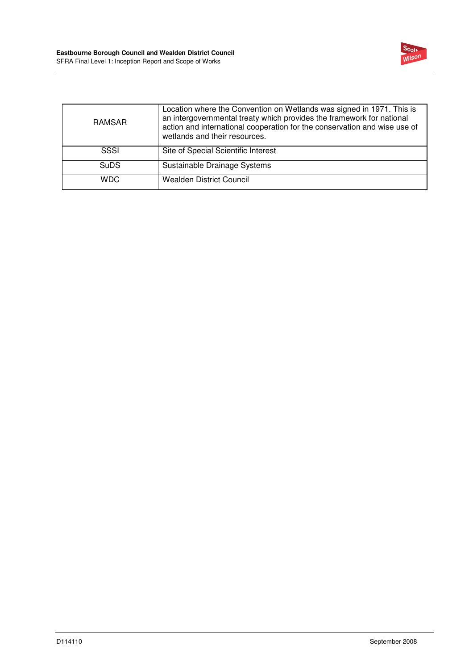

| <b>RAMSAR</b> | Location where the Convention on Wetlands was signed in 1971. This is<br>an intergovernmental treaty which provides the framework for national<br>action and international cooperation for the conservation and wise use of<br>wetlands and their resources. |
|---------------|--------------------------------------------------------------------------------------------------------------------------------------------------------------------------------------------------------------------------------------------------------------|
| SSSI          | Site of Special Scientific Interest                                                                                                                                                                                                                          |
| <b>SuDS</b>   | Sustainable Drainage Systems                                                                                                                                                                                                                                 |
| WDC.          | <b>Wealden District Council</b>                                                                                                                                                                                                                              |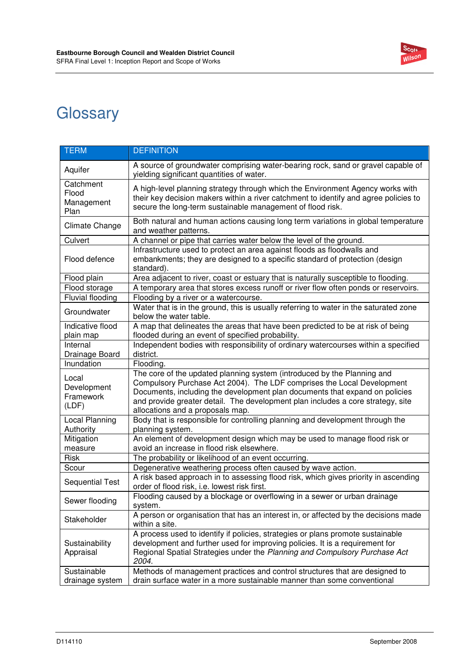

# **Glossary**

| <b>TERM</b>                                | <b>DEFINITION</b>                                                                                                                                                                                                                                                                                                                                       |
|--------------------------------------------|---------------------------------------------------------------------------------------------------------------------------------------------------------------------------------------------------------------------------------------------------------------------------------------------------------------------------------------------------------|
| Aquifer                                    | A source of groundwater comprising water-bearing rock, sand or gravel capable of<br>yielding significant quantities of water.                                                                                                                                                                                                                           |
| Catchment<br>Flood<br>Management<br>Plan   | A high-level planning strategy through which the Environment Agency works with<br>their key decision makers within a river catchment to identify and agree policies to<br>secure the long-term sustainable management of flood risk.                                                                                                                    |
| Climate Change                             | Both natural and human actions causing long term variations in global temperature<br>and weather patterns.                                                                                                                                                                                                                                              |
| Culvert                                    | A channel or pipe that carries water below the level of the ground.                                                                                                                                                                                                                                                                                     |
| Flood defence                              | Infrastructure used to protect an area against floods as floodwalls and<br>embankments; they are designed to a specific standard of protection (design<br>standard).                                                                                                                                                                                    |
| Flood plain                                | Area adjacent to river, coast or estuary that is naturally susceptible to flooding.                                                                                                                                                                                                                                                                     |
| Flood storage                              | A temporary area that stores excess runoff or river flow often ponds or reservoirs.                                                                                                                                                                                                                                                                     |
| <b>Fluvial flooding</b>                    | Flooding by a river or a watercourse.                                                                                                                                                                                                                                                                                                                   |
| Groundwater                                | Water that is in the ground, this is usually referring to water in the saturated zone<br>below the water table.                                                                                                                                                                                                                                         |
| Indicative flood<br>plain map              | A map that delineates the areas that have been predicted to be at risk of being<br>flooded during an event of specified probability.                                                                                                                                                                                                                    |
| Internal<br>Drainage Board                 | Independent bodies with responsibility of ordinary watercourses within a specified<br>district.                                                                                                                                                                                                                                                         |
| Inundation                                 | Flooding.                                                                                                                                                                                                                                                                                                                                               |
| Local<br>Development<br>Framework<br>(LDF) | The core of the updated planning system (introduced by the Planning and<br>Compulsory Purchase Act 2004). The LDF comprises the Local Development<br>Documents, including the development plan documents that expand on policies<br>and provide greater detail. The development plan includes a core strategy, site<br>allocations and a proposals map. |
| Local Planning<br>Authority                | Body that is responsible for controlling planning and development through the<br>planning system.                                                                                                                                                                                                                                                       |
| Mitigation<br>measure                      | An element of development design which may be used to manage flood risk or<br>avoid an increase in flood risk elsewhere.                                                                                                                                                                                                                                |
| Risk                                       | The probability or likelihood of an event occurring.                                                                                                                                                                                                                                                                                                    |
| Scour                                      | Degenerative weathering process often caused by wave action.                                                                                                                                                                                                                                                                                            |
| <b>Sequential Test</b>                     | A risk based approach in to assessing flood risk, which gives priority in ascending<br>order of flood risk, i.e. lowest risk first.                                                                                                                                                                                                                     |
| Sewer flooding                             | Flooding caused by a blockage or overflowing in a sewer or urban drainage<br>system.                                                                                                                                                                                                                                                                    |
| Stakeholder                                | A person or organisation that has an interest in, or affected by the decisions made<br>within a site.                                                                                                                                                                                                                                                   |
| Sustainability<br>Appraisal                | A process used to identify if policies, strategies or plans promote sustainable<br>development and further used for improving policies. It is a requirement for<br>Regional Spatial Strategies under the Planning and Compulsory Purchase Act<br>2004.                                                                                                  |
| Sustainable<br>drainage system             | Methods of management practices and control structures that are designed to<br>drain surface water in a more sustainable manner than some conventional                                                                                                                                                                                                  |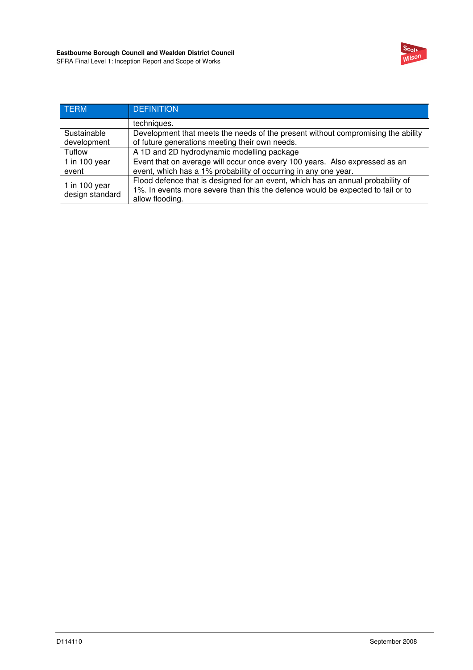

| <b>TERM</b>                                                                                  | <b>DEFINITION</b>                                                                |
|----------------------------------------------------------------------------------------------|----------------------------------------------------------------------------------|
|                                                                                              | techniques.                                                                      |
| Sustainable                                                                                  | Development that meets the needs of the present without compromising the ability |
| development                                                                                  | of future generations meeting their own needs.                                   |
| Tuflow                                                                                       | A 1D and 2D hydrodynamic modelling package                                       |
| Event that on average will occur once every 100 years. Also expressed as an<br>1 in 100 year |                                                                                  |
| event                                                                                        | event, which has a 1% probability of occurring in any one year.                  |
| 1 in 100 year                                                                                | Flood defence that is designed for an event, which has an annual probability of  |
| design standard                                                                              | 1%. In events more severe than this the defence would be expected to fail or to  |
|                                                                                              | allow flooding.                                                                  |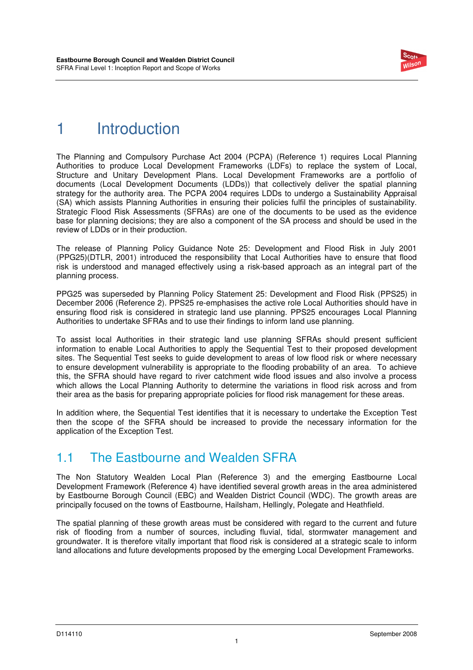

# 1 Introduction

The Planning and Compulsory Purchase Act 2004 (PCPA) (Reference 1) requires Local Planning Authorities to produce Local Development Frameworks (LDFs) to replace the system of Local, Structure and Unitary Development Plans. Local Development Frameworks are a portfolio of documents (Local Development Documents (LDDs)) that collectively deliver the spatial planning strategy for the authority area. The PCPA 2004 requires LDDs to undergo a Sustainability Appraisal (SA) which assists Planning Authorities in ensuring their policies fulfil the principles of sustainability. Strategic Flood Risk Assessments (SFRAs) are one of the documents to be used as the evidence base for planning decisions; they are also a component of the SA process and should be used in the review of LDDs or in their production.

The release of Planning Policy Guidance Note 25: Development and Flood Risk in July 2001 (PPG25)(DTLR, 2001) introduced the responsibility that Local Authorities have to ensure that flood risk is understood and managed effectively using a risk-based approach as an integral part of the planning process.

PPG25 was superseded by Planning Policy Statement 25: Development and Flood Risk (PPS25) in December 2006 (Reference 2). PPS25 re-emphasises the active role Local Authorities should have in ensuring flood risk is considered in strategic land use planning. PPS25 encourages Local Planning Authorities to undertake SFRAs and to use their findings to inform land use planning.

To assist local Authorities in their strategic land use planning SFRAs should present sufficient information to enable Local Authorities to apply the Sequential Test to their proposed development sites. The Sequential Test seeks to guide development to areas of low flood risk or where necessary to ensure development vulnerability is appropriate to the flooding probability of an area. To achieve this, the SFRA should have regard to river catchment wide flood issues and also involve a process which allows the Local Planning Authority to determine the variations in flood risk across and from their area as the basis for preparing appropriate policies for flood risk management for these areas.

In addition where, the Sequential Test identifies that it is necessary to undertake the Exception Test then the scope of the SFRA should be increased to provide the necessary information for the application of the Exception Test.

## 1.1 The Eastbourne and Wealden SFRA

The Non Statutory Wealden Local Plan (Reference 3) and the emerging Eastbourne Local Development Framework (Reference 4) have identified several growth areas in the area administered by Eastbourne Borough Council (EBC) and Wealden District Council (WDC). The growth areas are principally focused on the towns of Eastbourne, Hailsham, Hellingly, Polegate and Heathfield.

The spatial planning of these growth areas must be considered with regard to the current and future risk of flooding from a number of sources, including fluvial, tidal, stormwater management and groundwater. It is therefore vitally important that flood risk is considered at a strategic scale to inform land allocations and future developments proposed by the emerging Local Development Frameworks.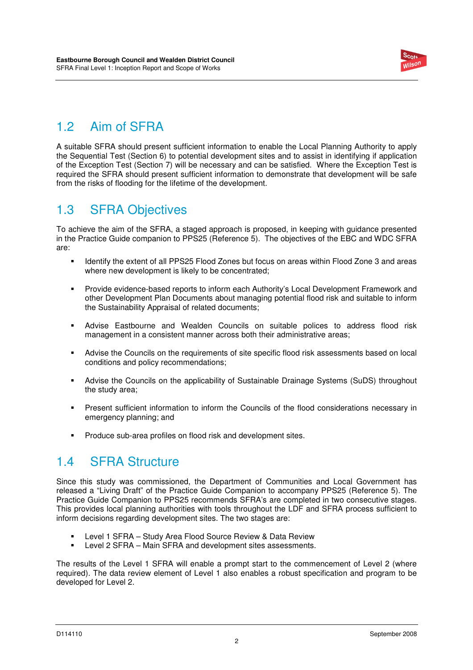

## 1.2 Aim of SFRA

A suitable SFRA should present sufficient information to enable the Local Planning Authority to apply the Sequential Test (Section 6) to potential development sites and to assist in identifying if application of the Exception Test (Section 7) will be necessary and can be satisfied. Where the Exception Test is required the SFRA should present sufficient information to demonstrate that development will be safe from the risks of flooding for the lifetime of the development.

## 1.3 SFRA Objectives

To achieve the aim of the SFRA, a staged approach is proposed, in keeping with guidance presented in the Practice Guide companion to PPS25 (Reference 5). The objectives of the EBC and WDC SFRA are:

- Identify the extent of all PPS25 Flood Zones but focus on areas within Flood Zone 3 and areas where new development is likely to be concentrated;
- Provide evidence-based reports to inform each Authority's Local Development Framework and other Development Plan Documents about managing potential flood risk and suitable to inform the Sustainability Appraisal of related documents;
- Advise Eastbourne and Wealden Councils on suitable polices to address flood risk management in a consistent manner across both their administrative areas;
- Advise the Councils on the requirements of site specific flood risk assessments based on local conditions and policy recommendations;
- Advise the Councils on the applicability of Sustainable Drainage Systems (SuDS) throughout the study area;
- **Present sufficient information to inform the Councils of the flood considerations necessary in** emergency planning; and
- Produce sub-area profiles on flood risk and development sites.

## 1.4 SFRA Structure

Since this study was commissioned, the Department of Communities and Local Government has released a "Living Draft" of the Practice Guide Companion to accompany PPS25 (Reference 5). The Practice Guide Companion to PPS25 recommends SFRA's are completed in two consecutive stages. This provides local planning authorities with tools throughout the LDF and SFRA process sufficient to inform decisions regarding development sites. The two stages are:

- Level 1 SFRA Study Area Flood Source Review & Data Review
- Level 2 SFRA Main SFRA and development sites assessments.

The results of the Level 1 SFRA will enable a prompt start to the commencement of Level 2 (where required). The data review element of Level 1 also enables a robust specification and program to be developed for Level 2.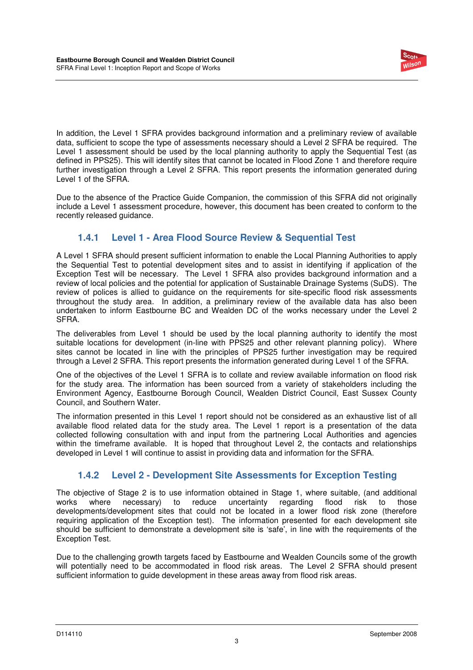

In addition, the Level 1 SFRA provides background information and a preliminary review of available data, sufficient to scope the type of assessments necessary should a Level 2 SFRA be required. The Level 1 assessment should be used by the local planning authority to apply the Sequential Test (as defined in PPS25). This will identify sites that cannot be located in Flood Zone 1 and therefore require further investigation through a Level 2 SFRA. This report presents the information generated during Level 1 of the SFRA.

Due to the absence of the Practice Guide Companion, the commission of this SFRA did not originally include a Level 1 assessment procedure, however, this document has been created to conform to the recently released guidance.

## **1.4.1 Level 1 - Area Flood Source Review & Sequential Test**

A Level 1 SFRA should present sufficient information to enable the Local Planning Authorities to apply the Sequential Test to potential development sites and to assist in identifying if application of the Exception Test will be necessary. The Level 1 SFRA also provides background information and a review of local policies and the potential for application of Sustainable Drainage Systems (SuDS). The review of polices is allied to guidance on the requirements for site-specific flood risk assessments throughout the study area. In addition, a preliminary review of the available data has also been undertaken to inform Eastbourne BC and Wealden DC of the works necessary under the Level 2 SFRA.

The deliverables from Level 1 should be used by the local planning authority to identify the most suitable locations for development (in-line with PPS25 and other relevant planning policy). Where sites cannot be located in line with the principles of PPS25 further investigation may be required through a Level 2 SFRA. This report presents the information generated during Level 1 of the SFRA.

One of the objectives of the Level 1 SFRA is to collate and review available information on flood risk for the study area. The information has been sourced from a variety of stakeholders including the Environment Agency, Eastbourne Borough Council, Wealden District Council, East Sussex County Council, and Southern Water.

The information presented in this Level 1 report should not be considered as an exhaustive list of all available flood related data for the study area. The Level 1 report is a presentation of the data collected following consultation with and input from the partnering Local Authorities and agencies within the timeframe available. It is hoped that throughout Level 2, the contacts and relationships developed in Level 1 will continue to assist in providing data and information for the SFRA.

## **1.4.2 Level 2 - Development Site Assessments for Exception Testing**

The objective of Stage 2 is to use information obtained in Stage 1, where suitable, (and additional works where necessary) to reduce uncertainty regarding flood risk to those developments/development sites that could not be located in a lower flood risk zone (therefore requiring application of the Exception test). The information presented for each development site should be sufficient to demonstrate a development site is 'safe', in line with the requirements of the Exception Test.

Due to the challenging growth targets faced by Eastbourne and Wealden Councils some of the growth will potentially need to be accommodated in flood risk areas. The Level 2 SFRA should present sufficient information to guide development in these areas away from flood risk areas.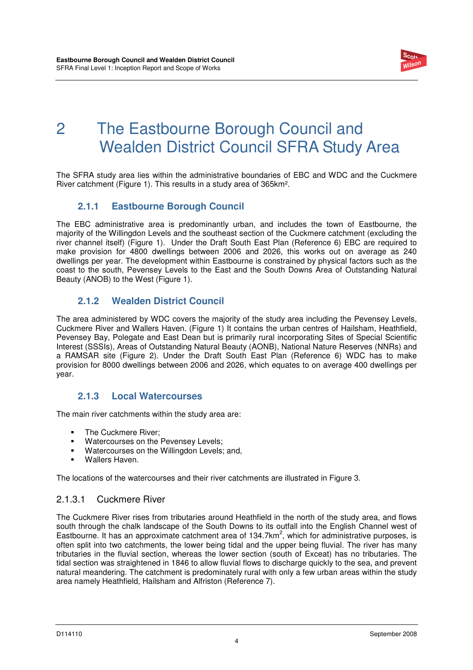

# 2 The Eastbourne Borough Council and Wealden District Council SFRA Study Area

The SFRA study area lies within the administrative boundaries of EBC and WDC and the Cuckmere River catchment (Figure 1). This results in a study area of 365km².

## **2.1.1 Eastbourne Borough Council**

The EBC administrative area is predominantly urban, and includes the town of Eastbourne, the majority of the Willingdon Levels and the southeast section of the Cuckmere catchment (excluding the river channel itself) (Figure 1). Under the Draft South East Plan (Reference 6) EBC are required to make provision for 4800 dwellings between 2006 and 2026, this works out on average as 240 dwellings per year. The development within Eastbourne is constrained by physical factors such as the coast to the south, Pevensey Levels to the East and the South Downs Area of Outstanding Natural Beauty (ANOB) to the West (Figure 1).

## **2.1.2 Wealden District Council**

The area administered by WDC covers the majority of the study area including the Pevensey Levels, Cuckmere River and Wallers Haven. (Figure 1) It contains the urban centres of Hailsham, Heathfield, Pevensey Bay, Polegate and East Dean but is primarily rural incorporating Sites of Special Scientific Interest (SSSIs), Areas of Outstanding Natural Beauty (AONB), National Nature Reserves (NNRs) and a RAMSAR site (Figure 2). Under the Draft South East Plan (Reference 6) WDC has to make provision for 8000 dwellings between 2006 and 2026, which equates to on average 400 dwellings per year.

## **2.1.3 Local Watercourses**

The main river catchments within the study area are:

- The Cuckmere River;
- **Watercourses on the Pevensey Levels;**
- **Watercourses on the Willingdon Levels; and,**
- Wallers Haven.

The locations of the watercourses and their river catchments are illustrated in Figure 3.

### 2.1.3.1 Cuckmere River

The Cuckmere River rises from tributaries around Heathfield in the north of the study area, and flows south through the chalk landscape of the South Downs to its outfall into the English Channel west of Eastbourne. It has an approximate catchment area of 134.7km<sup>2</sup>, which for administrative purposes, is often split into two catchments, the lower being tidal and the upper being fluvial. The river has many tributaries in the fluvial section, whereas the lower section (south of Exceat) has no tributaries. The tidal section was straightened in 1846 to allow fluvial flows to discharge quickly to the sea, and prevent natural meandering. The catchment is predominately rural with only a few urban areas within the study area namely Heathfield, Hailsham and Alfriston (Reference 7).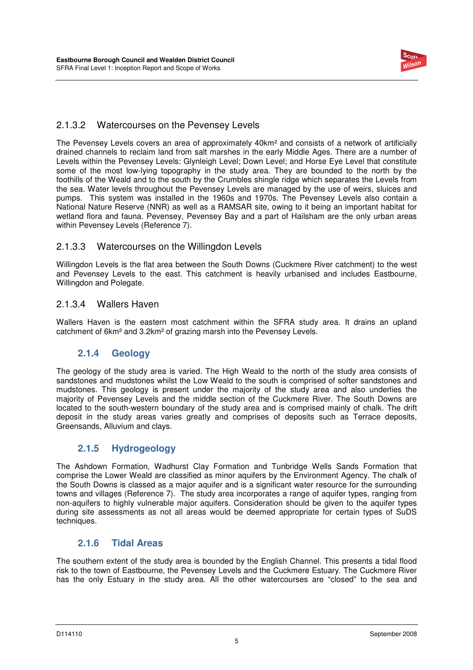

## 2.1.3.2 Watercourses on the Pevensey Levels

The Pevensey Levels covers an area of approximately 40km<sup>2</sup> and consists of a network of artificially drained channels to reclaim land from salt marshes in the early Middle Ages. There are a number of Levels within the Pevensey Levels: Glynleigh Level; Down Level; and Horse Eye Level that constitute some of the most low-lying topography in the study area. They are bounded to the north by the foothills of the Weald and to the south by the Crumbles shingle ridge which separates the Levels from the sea. Water levels throughout the Pevensey Levels are managed by the use of weirs, sluices and pumps. This system was installed in the 1960s and 1970s. The Pevensey Levels also contain a National Nature Reserve (NNR) as well as a RAMSAR site, owing to it being an important habitat for wetland flora and fauna. Pevensey, Pevensey Bay and a part of Hailsham are the only urban areas within Pevensey Levels (Reference 7).

## 2.1.3.3 Watercourses on the Willingdon Levels

Willingdon Levels is the flat area between the South Downs (Cuckmere River catchment) to the west and Pevensey Levels to the east. This catchment is heavily urbanised and includes Eastbourne, Willingdon and Polegate.

### 2.1.3.4 Wallers Haven

Wallers Haven is the eastern most catchment within the SFRA study area. It drains an upland catchment of 6km² and 3.2km² of grazing marsh into the Pevensey Levels.

## **2.1.4 Geology**

The geology of the study area is varied. The High Weald to the north of the study area consists of sandstones and mudstones whilst the Low Weald to the south is comprised of softer sandstones and mudstones. This geology is present under the majority of the study area and also underlies the majority of Pevensey Levels and the middle section of the Cuckmere River. The South Downs are located to the south-western boundary of the study area and is comprised mainly of chalk. The drift deposit in the study areas varies greatly and comprises of deposits such as Terrace deposits, Greensands, Alluvium and clays.

### **2.1.5 Hydrogeology**

The Ashdown Formation, Wadhurst Clay Formation and Tunbridge Wells Sands Formation that comprise the Lower Weald are classified as minor aquifers by the Environment Agency. The chalk of the South Downs is classed as a major aquifer and is a significant water resource for the surrounding towns and villages (Reference 7). The study area incorporates a range of aquifer types, ranging from non-aquifers to highly vulnerable major aquifers. Consideration should be given to the aquifer types during site assessments as not all areas would be deemed appropriate for certain types of SuDS techniques.

### **2.1.6 Tidal Areas**

The southern extent of the study area is bounded by the English Channel. This presents a tidal flood risk to the town of Eastbourne, the Pevensey Levels and the Cuckmere Estuary. The Cuckmere River has the only Estuary in the study area. All the other watercourses are "closed" to the sea and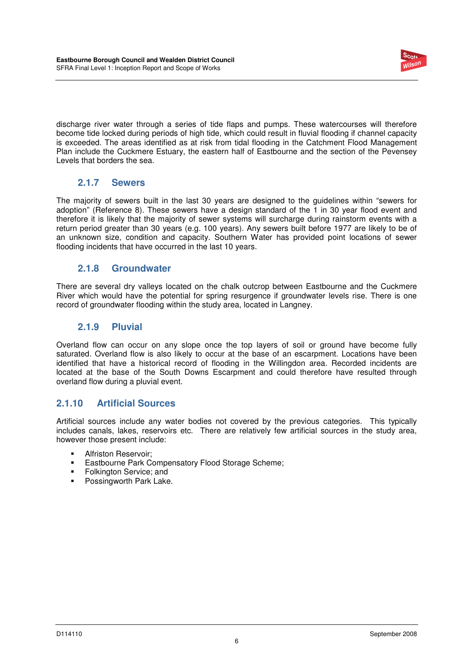

discharge river water through a series of tide flaps and pumps. These watercourses will therefore become tide locked during periods of high tide, which could result in fluvial flooding if channel capacity is exceeded. The areas identified as at risk from tidal flooding in the Catchment Flood Management Plan include the Cuckmere Estuary, the eastern half of Eastbourne and the section of the Pevensey Levels that borders the sea.

## **2.1.7 Sewers**

The majority of sewers built in the last 30 years are designed to the guidelines within "sewers for adoption" (Reference 8). These sewers have a design standard of the 1 in 30 year flood event and therefore it is likely that the majority of sewer systems will surcharge during rainstorm events with a return period greater than 30 years (e.g. 100 years). Any sewers built before 1977 are likely to be of an unknown size, condition and capacity. Southern Water has provided point locations of sewer flooding incidents that have occurred in the last 10 years.

## **2.1.8 Groundwater**

There are several dry valleys located on the chalk outcrop between Eastbourne and the Cuckmere River which would have the potential for spring resurgence if groundwater levels rise. There is one record of groundwater flooding within the study area, located in Langney.

## **2.1.9 Pluvial**

Overland flow can occur on any slope once the top layers of soil or ground have become fully saturated. Overland flow is also likely to occur at the base of an escarpment. Locations have been identified that have a historical record of flooding in the Willingdon area. Recorded incidents are located at the base of the South Downs Escarpment and could therefore have resulted through overland flow during a pluvial event.

## **2.1.10 Artificial Sources**

Artificial sources include any water bodies not covered by the previous categories. This typically includes canals, lakes, reservoirs etc. There are relatively few artificial sources in the study area, however those present include:

- Alfriston Reservoir;
- Eastbourne Park Compensatory Flood Storage Scheme;
- **Folkington Service; and**
- Possingworth Park Lake.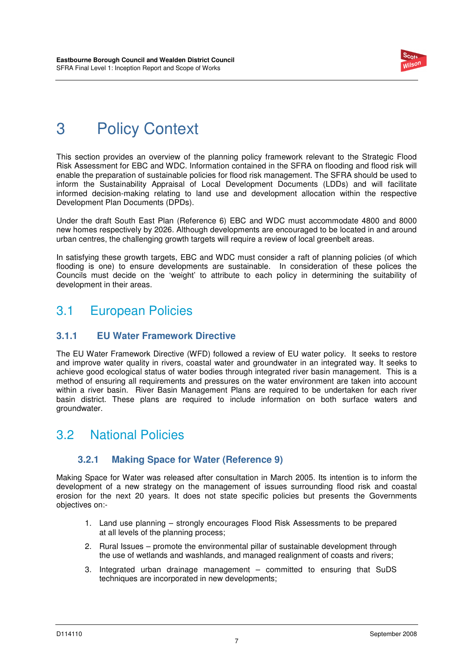

# 3 Policy Context

This section provides an overview of the planning policy framework relevant to the Strategic Flood Risk Assessment for EBC and WDC. Information contained in the SFRA on flooding and flood risk will enable the preparation of sustainable policies for flood risk management. The SFRA should be used to inform the Sustainability Appraisal of Local Development Documents (LDDs) and will facilitate informed decision-making relating to land use and development allocation within the respective Development Plan Documents (DPDs).

Under the draft South East Plan (Reference 6) EBC and WDC must accommodate 4800 and 8000 new homes respectively by 2026. Although developments are encouraged to be located in and around urban centres, the challenging growth targets will require a review of local greenbelt areas.

In satisfying these growth targets, EBC and WDC must consider a raft of planning policies (of which flooding is one) to ensure developments are sustainable. In consideration of these polices the Councils must decide on the 'weight' to attribute to each policy in determining the suitability of development in their areas.

## 3.1 European Policies

## **3.1.1 EU Water Framework Directive**

The EU Water Framework Directive (WFD) followed a review of EU water policy. It seeks to restore and improve water quality in rivers, coastal water and groundwater in an integrated way. It seeks to achieve good ecological status of water bodies through integrated river basin management. This is a method of ensuring all requirements and pressures on the water environment are taken into account within a river basin. River Basin Management Plans are required to be undertaken for each river basin district. These plans are required to include information on both surface waters and groundwater.

## 3.2 National Policies

## **3.2.1 Making Space for Water (Reference 9)**

Making Space for Water was released after consultation in March 2005. Its intention is to inform the development of a new strategy on the management of issues surrounding flood risk and coastal erosion for the next 20 years. It does not state specific policies but presents the Governments objectives on:-

- 1. Land use planning strongly encourages Flood Risk Assessments to be prepared at all levels of the planning process;
- 2. Rural Issues promote the environmental pillar of sustainable development through the use of wetlands and washlands, and managed realignment of coasts and rivers;
- 3. Integrated urban drainage management committed to ensuring that SuDS techniques are incorporated in new developments;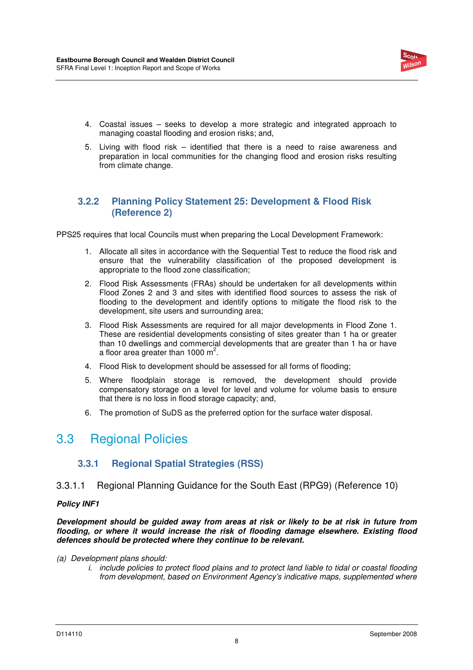

- 4. Coastal issues seeks to develop a more strategic and integrated approach to managing coastal flooding and erosion risks; and,
- 5. Living with flood risk identified that there is a need to raise awareness and preparation in local communities for the changing flood and erosion risks resulting from climate change.

## **3.2.2 Planning Policy Statement 25: Development & Flood Risk (Reference 2)**

PPS25 requires that local Councils must when preparing the Local Development Framework:

- 1. Allocate all sites in accordance with the Sequential Test to reduce the flood risk and ensure that the vulnerability classification of the proposed development is appropriate to the flood zone classification;
- 2. Flood Risk Assessments (FRAs) should be undertaken for all developments within Flood Zones 2 and 3 and sites with identified flood sources to assess the risk of flooding to the development and identify options to mitigate the flood risk to the development, site users and surrounding area;
- 3. Flood Risk Assessments are required for all major developments in Flood Zone 1. These are residential developments consisting of sites greater than 1 ha or greater than 10 dwellings and commercial developments that are greater than 1 ha or have a floor area greater than 1000  $m^2$ .
- 4. Flood Risk to development should be assessed for all forms of flooding;
- 5. Where floodplain storage is removed, the development should provide compensatory storage on a level for level and volume for volume basis to ensure that there is no loss in flood storage capacity; and,
- 6. The promotion of SuDS as the preferred option for the surface water disposal.

## 3.3 Regional Policies

## **3.3.1 Regional Spatial Strategies (RSS)**

#### 3.3.1.1 Regional Planning Guidance for the South East (RPG9) (Reference 10)

#### **Policy INF1**

**Development should be guided away from areas at risk or likely to be at risk in future from flooding, or where it would increase the risk of flooding damage elsewhere. Existing flood defences should be protected where they continue to be relevant.** 

- (a) Development plans should:
	- i. include policies to protect flood plains and to protect land liable to tidal or coastal flooding from development, based on Environment Agency's indicative maps, supplemented where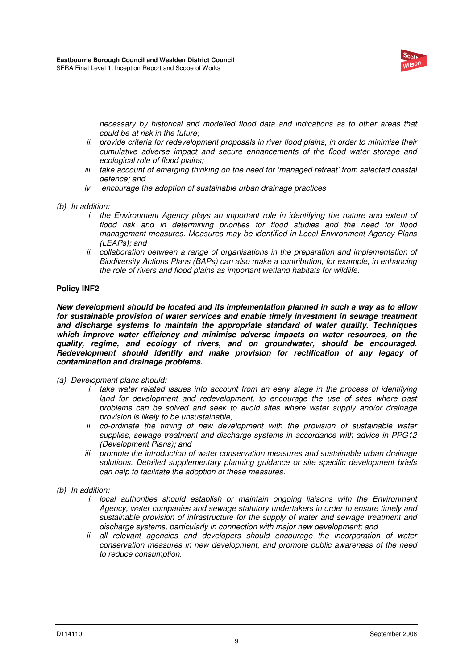

necessary by historical and modelled flood data and indications as to other areas that could be at risk in the future;

- ii. provide criteria for redevelopment proposals in river flood plains, in order to minimise their cumulative adverse impact and secure enhancements of the flood water storage and ecological role of flood plains;
- iii. take account of emerging thinking on the need for 'managed retreat' from selected coastal defence; and
- iv. encourage the adoption of sustainable urban drainage practices
- (b) In addition:
	- i. the Environment Agency plays an important role in identifying the nature and extent of flood risk and in determining priorities for flood studies and the need for flood management measures. Measures may be identified in Local Environment Agency Plans (LEAPs); and
	- ii. collaboration between a range of organisations in the preparation and implementation of Biodiversity Actions Plans (BAPs) can also make a contribution, for example, in enhancing the role of rivers and flood plains as important wetland habitats for wildlife.

#### **Policy INF2**

**New development should be located and its implementation planned in such a way as to allow for sustainable provision of water services and enable timely investment in sewage treatment and discharge systems to maintain the appropriate standard of water quality. Techniques which improve water efficiency and minimise adverse impacts on water resources, on the quality, regime, and ecology of rivers, and on groundwater, should be encouraged. Redevelopment should identify and make provision for rectification of any legacy of contamination and drainage problems.** 

- (a) Development plans should:
	- i. take water related issues into account from an early stage in the process of identifying land for development and redevelopment, to encourage the use of sites where past problems can be solved and seek to avoid sites where water supply and/or drainage provision is likely to be unsustainable;
	- ii. co-ordinate the timing of new development with the provision of sustainable water supplies, sewage treatment and discharge systems in accordance with advice in PPG12 (Development Plans); and
	- iii. promote the introduction of water conservation measures and sustainable urban drainage solutions. Detailed supplementary planning guidance or site specific development briefs can help to facilitate the adoption of these measures.
- (b) In addition:
	- i. local authorities should establish or maintain ongoing liaisons with the Environment Agency, water companies and sewage statutory undertakers in order to ensure timely and sustainable provision of infrastructure for the supply of water and sewage treatment and discharge systems, particularly in connection with major new development; and
	- ii. all relevant agencies and developers should encourage the incorporation of water conservation measures in new development, and promote public awareness of the need to reduce consumption.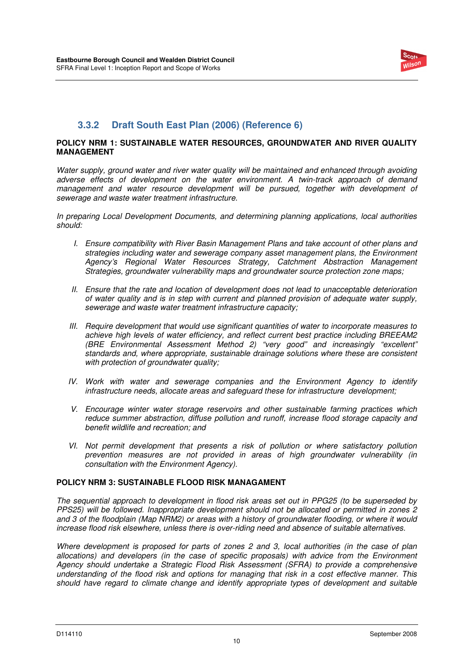

## **3.3.2 Draft South East Plan (2006) (Reference 6)**

#### **POLICY NRM 1: SUSTAINABLE WATER RESOURCES, GROUNDWATER AND RIVER QUALITY MANAGEMENT**

Water supply, ground water and river water quality will be maintained and enhanced through avoiding adverse effects of development on the water environment. A twin-track approach of demand management and water resource development will be pursued, together with development of sewerage and waste water treatment infrastructure.

In preparing Local Development Documents, and determining planning applications, local authorities should:

- I. Ensure compatibility with River Basin Management Plans and take account of other plans and strategies including water and sewerage company asset management plans, the Environment Agency's Regional Water Resources Strategy, Catchment Abstraction Management Strategies, groundwater vulnerability maps and groundwater source protection zone maps;
- II. Ensure that the rate and location of development does not lead to unacceptable deterioration of water quality and is in step with current and planned provision of adequate water supply, sewerage and waste water treatment infrastructure capacity;
- III. Require development that would use significant quantities of water to incorporate measures to achieve high levels of water efficiency, and reflect current best practice including BREEAM2 (BRE Environmental Assessment Method 2) "very good" and increasingly "excellent" standards and, where appropriate, sustainable drainage solutions where these are consistent with protection of groundwater quality;
- IV. Work with water and sewerage companies and the Environment Agency to identify infrastructure needs, allocate areas and safeguard these for infrastructure development;
- V. Encourage winter water storage reservoirs and other sustainable farming practices which reduce summer abstraction, diffuse pollution and runoff, increase flood storage capacity and benefit wildlife and recreation; and
- VI. Not permit development that presents a risk of pollution or where satisfactory pollution prevention measures are not provided in areas of high groundwater vulnerability (in consultation with the Environment Agency).

#### **POLICY NRM 3: SUSTAINABLE FLOOD RISK MANAGAMENT**

The sequential approach to development in flood risk areas set out in PPG25 (to be superseded by PPS25) will be followed. Inappropriate development should not be allocated or permitted in zones 2 and 3 of the floodplain (Map NRM2) or areas with a history of groundwater flooding, or where it would increase flood risk elsewhere, unless there is over-riding need and absence of suitable alternatives.

Where development is proposed for parts of zones 2 and 3, local authorities (in the case of plan allocations) and developers (in the case of specific proposals) with advice from the Environment Agency should undertake a Strategic Flood Risk Assessment (SFRA) to provide a comprehensive understanding of the flood risk and options for managing that risk in a cost effective manner. This should have regard to climate change and identify appropriate types of development and suitable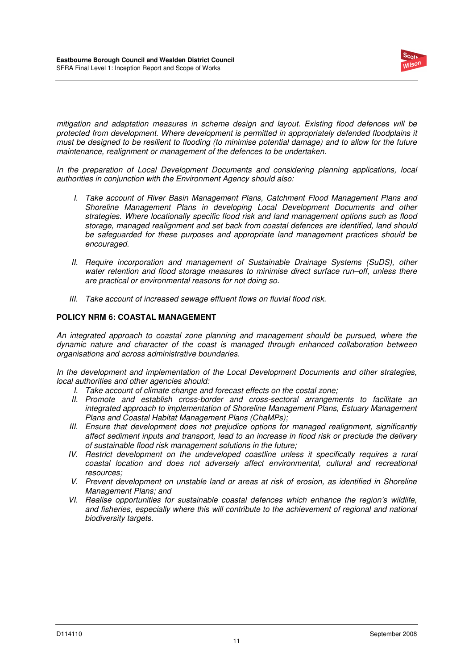

mitigation and adaptation measures in scheme design and layout. Existing flood defences will be protected from development. Where development is permitted in appropriately defended floodplains it must be designed to be resilient to flooding (to minimise potential damage) and to allow for the future maintenance, realignment or management of the defences to be undertaken.

In the preparation of Local Development Documents and considering planning applications, local authorities in conjunction with the Environment Agency should also:

- I. Take account of River Basin Management Plans, Catchment Flood Management Plans and Shoreline Management Plans in developing Local Development Documents and other strategies. Where locationally specific flood risk and land management options such as flood storage, managed realignment and set back from coastal defences are identified, land should be safeguarded for these purposes and appropriate land management practices should be encouraged.
- II. Require incorporation and management of Sustainable Drainage Systems (SuDS), other water retention and flood storage measures to minimise direct surface run–off, unless there are practical or environmental reasons for not doing so.
- III. Take account of increased sewage effluent flows on fluvial flood risk.

#### **POLICY NRM 6: COASTAL MANAGEMENT**

An integrated approach to coastal zone planning and management should be pursued, where the dynamic nature and character of the coast is managed through enhanced collaboration between organisations and across administrative boundaries.

In the development and implementation of the Local Development Documents and other strategies, local authorities and other agencies should:

- I. Take account of climate change and forecast effects on the costal zone;
- II. Promote and establish cross-border and cross-sectoral arrangements to facilitate an integrated approach to implementation of Shoreline Management Plans, Estuary Management Plans and Coastal Habitat Management Plans (ChaMPs);
- III. Ensure that development does not prejudice options for managed realignment, significantly affect sediment inputs and transport, lead to an increase in flood risk or preclude the delivery of sustainable flood risk management solutions in the future;
- IV. Restrict development on the undeveloped coastline unless it specifically requires a rural coastal location and does not adversely affect environmental, cultural and recreational resources;
- V. Prevent development on unstable land or areas at risk of erosion, as identified in Shoreline Management Plans; and
- VI. Realise opportunities for sustainable coastal defences which enhance the region's wildlife, and fisheries, especially where this will contribute to the achievement of regional and national biodiversity targets.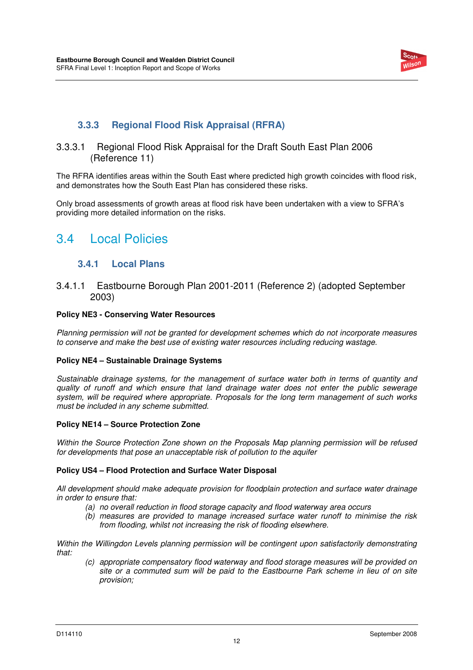

## **3.3.3 Regional Flood Risk Appraisal (RFRA)**

### 3.3.3.1 Regional Flood Risk Appraisal for the Draft South East Plan 2006 (Reference 11)

The RFRA identifies areas within the South East where predicted high growth coincides with flood risk, and demonstrates how the South East Plan has considered these risks.

Only broad assessments of growth areas at flood risk have been undertaken with a view to SFRA's providing more detailed information on the risks.

## 3.4 Local Policies

### **3.4.1 Local Plans**

#### 3.4.1.1 Eastbourne Borough Plan 2001-2011 (Reference 2) (adopted September 2003)

#### **Policy NE3 - Conserving Water Resources**

Planning permission will not be granted for development schemes which do not incorporate measures to conserve and make the best use of existing water resources including reducing wastage.

#### **Policy NE4 – Sustainable Drainage Systems**

Sustainable drainage systems, for the management of surface water both in terms of quantity and quality of runoff and which ensure that land drainage water does not enter the public sewerage system, will be required where appropriate. Proposals for the long term management of such works must be included in any scheme submitted.

#### **Policy NE14 – Source Protection Zone**

Within the Source Protection Zone shown on the Proposals Map planning permission will be refused for developments that pose an unacceptable risk of pollution to the aquifer

#### **Policy US4 – Flood Protection and Surface Water Disposal**

All development should make adequate provision for floodplain protection and surface water drainage in order to ensure that:

- (a) no overall reduction in flood storage capacity and flood waterway area occurs
- (b) measures are provided to manage increased surface water runoff to minimise the risk from flooding, whilst not increasing the risk of flooding elsewhere.

Within the Willingdon Levels planning permission will be contingent upon satisfactorily demonstrating that:

(c) appropriate compensatory flood waterway and flood storage measures will be provided on site or a commuted sum will be paid to the Eastbourne Park scheme in lieu of on site provision;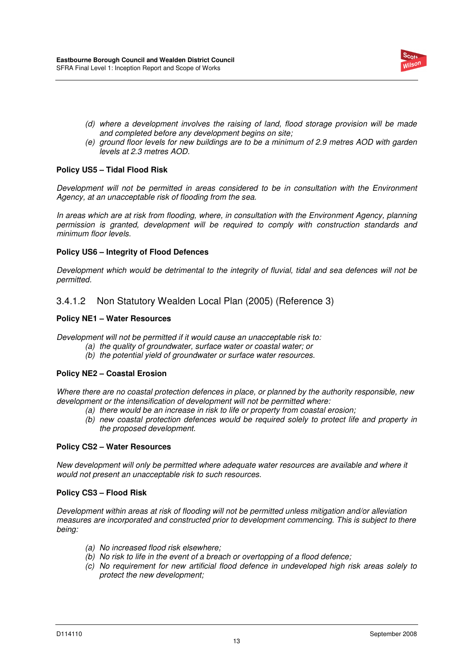

- (d) where a development involves the raising of land, flood storage provision will be made and completed before any development begins on site;
- (e) ground floor levels for new buildings are to be a minimum of 2.9 metres AOD with garden levels at 2.3 metres AOD.

#### **Policy US5 – Tidal Flood Risk**

Development will not be permitted in areas considered to be in consultation with the Environment Agency, at an unacceptable risk of flooding from the sea.

In areas which are at risk from flooding, where, in consultation with the Environment Agency, planning permission is granted, development will be required to comply with construction standards and minimum floor levels.

#### **Policy US6 – Integrity of Flood Defences**

Development which would be detrimental to the integrity of fluvial, tidal and sea defences will not be permitted.

### 3.4.1.2 Non Statutory Wealden Local Plan (2005) (Reference 3)

#### **Policy NE1 – Water Resources**

Development will not be permitted if it would cause an unacceptable risk to:

- (a) the quality of groundwater, surface water or coastal water; or
- (b) the potential yield of groundwater or surface water resources.

#### **Policy NE2 – Coastal Erosion**

Where there are no coastal protection defences in place, or planned by the authority responsible, new development or the intensification of development will not be permitted where:

- (a) there would be an increase in risk to life or property from coastal erosion;
- (b) new coastal protection defences would be required solely to protect life and property in the proposed development.

#### **Policy CS2 – Water Resources**

New development will only be permitted where adequate water resources are available and where it would not present an unacceptable risk to such resources.

#### **Policy CS3 – Flood Risk**

Development within areas at risk of flooding will not be permitted unless mitigation and/or alleviation measures are incorporated and constructed prior to development commencing. This is subject to there being:

- (a) No increased flood risk elsewhere;
- (b) No risk to life in the event of a breach or overtopping of a flood defence;
- (c) No requirement for new artificial flood defence in undeveloped high risk areas solely to protect the new development;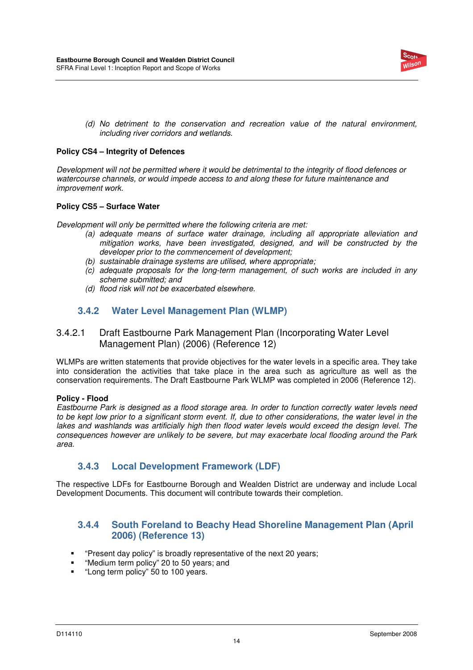

(d) No detriment to the conservation and recreation value of the natural environment, including river corridors and wetlands.

#### **Policy CS4 – Integrity of Defences**

Development will not be permitted where it would be detrimental to the integrity of flood defences or watercourse channels, or would impede access to and along these for future maintenance and improvement work.

#### **Policy CS5 – Surface Water**

Development will only be permitted where the following criteria are met:

- (a) adequate means of surface water drainage, including all appropriate alleviation and mitigation works, have been investigated, designed, and will be constructed by the developer prior to the commencement of development;
- (b) sustainable drainage systems are utilised, where appropriate;
- (c) adequate proposals for the long-term management, of such works are included in any scheme submitted; and
- (d) flood risk will not be exacerbated elsewhere.

## **3.4.2 Water Level Management Plan (WLMP)**

### 3.4.2.1 Draft Eastbourne Park Management Plan (Incorporating Water Level Management Plan) (2006) (Reference 12)

WLMPs are written statements that provide objectives for the water levels in a specific area. They take into consideration the activities that take place in the area such as agriculture as well as the conservation requirements. The Draft Eastbourne Park WLMP was completed in 2006 (Reference 12).

#### **Policy - Flood**

Eastbourne Park is designed as a flood storage area. In order to function correctly water levels need to be kept low prior to a significant storm event. If, due to other considerations, the water level in the lakes and washlands was artificially high then flood water levels would exceed the design level. The consequences however are unlikely to be severe, but may exacerbate local flooding around the Park area.

## **3.4.3 Local Development Framework (LDF)**

The respective LDFs for Eastbourne Borough and Wealden District are underway and include Local Development Documents. This document will contribute towards their completion.

### **3.4.4 South Foreland to Beachy Head Shoreline Management Plan (April 2006) (Reference 13)**

- "Present day policy" is broadly representative of the next 20 years;
- "Medium term policy" 20 to 50 years; and
- "Long term policy" 50 to 100 years.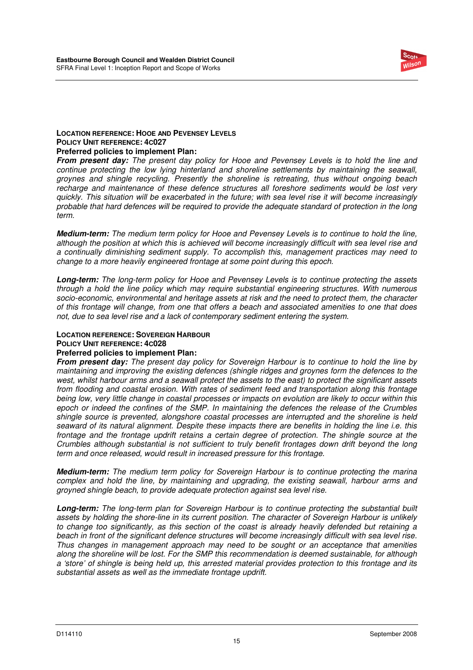

### **LOCATION REFERENCE: HOOE AND PEVENSEY LEVELS POLICY UNIT REFERENCE: 4C027**

#### **Preferred policies to implement Plan:**

**From present day:** The present day policy for Hooe and Pevensey Levels is to hold the line and continue protecting the low lying hinterland and shoreline settlements by maintaining the seawall, groynes and shingle recycling. Presently the shoreline is retreating, thus without ongoing beach recharge and maintenance of these defence structures all foreshore sediments would be lost very quickly. This situation will be exacerbated in the future; with sea level rise it will become increasingly probable that hard defences will be required to provide the adequate standard of protection in the long term.

**Medium-term:** The medium term policy for Hooe and Pevensey Levels is to continue to hold the line, although the position at which this is achieved will become increasingly difficult with sea level rise and a continually diminishing sediment supply. To accomplish this, management practices may need to change to a more heavily engineered frontage at some point during this epoch.

**Long-term:** The long-term policy for Hooe and Pevensey Levels is to continue protecting the assets through a hold the line policy which may require substantial engineering structures. With numerous socio-economic, environmental and heritage assets at risk and the need to protect them, the character of this frontage will change, from one that offers a beach and associated amenities to one that does not, due to sea level rise and a lack of contemporary sediment entering the system.

#### **LOCATION REFERENCE: SOVEREIGN HARBOUR POLICY UNIT REFERENCE: 4C028**

#### **Preferred policies to implement Plan:**

**From present day:** The present day policy for Sovereign Harbour is to continue to hold the line by maintaining and improving the existing defences (shingle ridges and groynes form the defences to the west, whilst harbour arms and a seawall protect the assets to the east) to protect the significant assets from flooding and coastal erosion. With rates of sediment feed and transportation along this frontage being low, very little change in coastal processes or impacts on evolution are likely to occur within this epoch or indeed the confines of the SMP. In maintaining the defences the release of the Crumbles shingle source is prevented, alongshore coastal processes are interrupted and the shoreline is held seaward of its natural alignment. Despite these impacts there are benefits in holding the line i.e. this frontage and the frontage updrift retains a certain degree of protection. The shingle source at the Crumbles although substantial is not sufficient to truly benefit frontages down drift beyond the long term and once released, would result in increased pressure for this frontage.

**Medium-term:** The medium term policy for Sovereign Harbour is to continue protecting the marina complex and hold the line, by maintaining and upgrading, the existing seawall, harbour arms and groyned shingle beach, to provide adequate protection against sea level rise.

**Long-term:** The long-term plan for Sovereign Harbour is to continue protecting the substantial built assets by holding the shore-line in its current position. The character of Sovereign Harbour is unlikely to change too significantly, as this section of the coast is already heavily defended but retaining a beach in front of the significant defence structures will become increasingly difficult with sea level rise. Thus changes in management approach may need to be sought or an acceptance that amenities along the shoreline will be lost. For the SMP this recommendation is deemed sustainable, for although a 'store' of shingle is being held up, this arrested material provides protection to this frontage and its substantial assets as well as the immediate frontage updrift.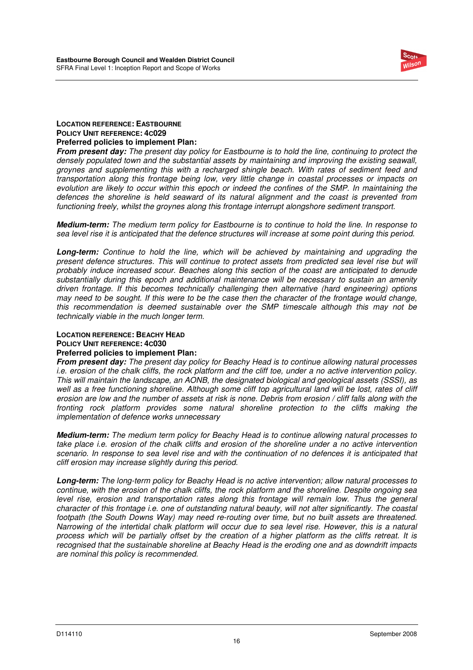

#### **LOCATION REFERENCE: EASTBOURNE POLICY UNIT REFERENCE: 4C029 Preferred policies to implement Plan:**

**From present day:** The present day policy for Eastbourne is to hold the line, continuing to protect the densely populated town and the substantial assets by maintaining and improving the existing seawall, groynes and supplementing this with a recharged shingle beach. With rates of sediment feed and transportation along this frontage being low, very little change in coastal processes or impacts on evolution are likely to occur within this epoch or indeed the confines of the SMP. In maintaining the defences the shoreline is held seaward of its natural alignment and the coast is prevented from functioning freely, whilst the groynes along this frontage interrupt alongshore sediment transport.

**Medium-term:** The medium term policy for Eastbourne is to continue to hold the line. In response to sea level rise it is anticipated that the defence structures will increase at some point during this period.

**Long-term:** Continue to hold the line, which will be achieved by maintaining and upgrading the present defence structures. This will continue to protect assets from predicted sea level rise but will probably induce increased scour. Beaches along this section of the coast are anticipated to denude substantially during this epoch and additional maintenance will be necessary to sustain an amenity driven frontage. If this becomes technically challenging then alternative (hard engineering) options may need to be sought. If this were to be the case then the character of the frontage would change, this recommendation is deemed sustainable over the SMP timescale although this may not be technically viable in the much longer term.

## **LOCATION REFERENCE: BEACHY HEAD POLICY UNIT REFERENCE: 4C030**

### **Preferred policies to implement Plan:**

**From present day:** The present day policy for Beachy Head is to continue allowing natural processes i.e. erosion of the chalk cliffs, the rock platform and the cliff toe, under a no active intervention policy. This will maintain the landscape, an AONB, the designated biological and geological assets (SSSI), as well as a free functioning shoreline. Although some cliff top agricultural land will be lost, rates of cliff erosion are low and the number of assets at risk is none. Debris from erosion / cliff falls along with the fronting rock platform provides some natural shoreline protection to the cliffs making the implementation of defence works unnecessary

**Medium-term:** The medium term policy for Beachy Head is to continue allowing natural processes to take place i.e. erosion of the chalk cliffs and erosion of the shoreline under a no active intervention scenario. In response to sea level rise and with the continuation of no defences it is anticipated that cliff erosion may increase slightly during this period.

**Long-term:** The long-term policy for Beachy Head is no active intervention; allow natural processes to continue, with the erosion of the chalk cliffs, the rock platform and the shoreline. Despite ongoing sea level rise, erosion and transportation rates along this frontage will remain low. Thus the general character of this frontage i.e. one of outstanding natural beauty, will not alter significantly. The coastal footpath (the South Downs Way) may need re-routing over time, but no built assets are threatened. Narrowing of the intertidal chalk platform will occur due to sea level rise. However, this is a natural process which will be partially offset by the creation of a higher platform as the cliffs retreat. It is recognised that the sustainable shoreline at Beachy Head is the eroding one and as downdrift impacts are nominal this policy is recommended.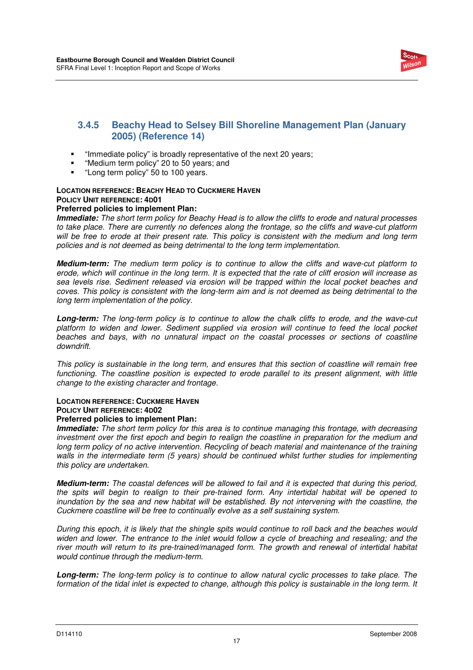

## **3.4.5 Beachy Head to Selsey Bill Shoreline Management Plan (January 2005) (Reference 14)**

- "Immediate policy" is broadly representative of the next 20 years;
- "Medium term policy" 20 to 50 years; and
- "Long term policy" 50 to 100 years.

#### **LOCATION REFERENCE: BEACHY HEAD TO CUCKMERE HAVEN POLICY UNIT REFERENCE: 4D01**

### **Preferred policies to implement Plan:**

**Immediate:** The short term policy for Beachy Head is to allow the cliffs to erode and natural processes to take place. There are currently no defences along the frontage, so the cliffs and wave-cut platform will be free to erode at their present rate. This policy is consistent with the medium and long term policies and is not deemed as being detrimental to the long term implementation.

**Medium-term:** The medium term policy is to continue to allow the cliffs and wave-cut platform to erode, which will continue in the long term. It is expected that the rate of cliff erosion will increase as sea levels rise. Sediment released via erosion will be trapped within the local pocket beaches and coves. This policy is consistent with the long-term aim and is not deemed as being detrimental to the long term implementation of the policy.

**Long-term:** The long-term policy is to continue to allow the chalk cliffs to erode, and the wave-cut platform to widen and lower. Sediment supplied via erosion will continue to feed the local pocket beaches and bays, with no unnatural impact on the coastal processes or sections of coastline downdrift.

This policy is sustainable in the long term, and ensures that this section of coastline will remain free functioning. The coastline position is expected to erode parallel to its present alignment, with little change to the existing character and frontage.

### **LOCATION REFERENCE: CUCKMERE HAVEN POLICY UNIT REFERENCE: 4D02**

#### **Preferred policies to implement Plan:**

**Immediate:** The short term policy for this area is to continue managing this frontage, with decreasing investment over the first epoch and begin to realign the coastline in preparation for the medium and long term policy of no active intervention. Recycling of beach material and maintenance of the training walls in the intermediate term (5 years) should be continued whilst further studies for implementing this policy are undertaken.

**Medium-term:** The coastal defences will be allowed to fail and it is expected that during this period, the spits will begin to realign to their pre-trained form. Any intertidal habitat will be opened to inundation by the sea and new habitat will be established. By not intervening with the coastline, the Cuckmere coastline will be free to continually evolve as a self sustaining system.

During this epoch, it is likely that the shingle spits would continue to roll back and the beaches would widen and lower. The entrance to the inlet would follow a cycle of breaching and resealing; and the river mouth will return to its pre-trained/managed form. The growth and renewal of intertidal habitat would continue through the medium-term.

**Long-term:** The long-term policy is to continue to allow natural cyclic processes to take place. The formation of the tidal inlet is expected to change, although this policy is sustainable in the long term. It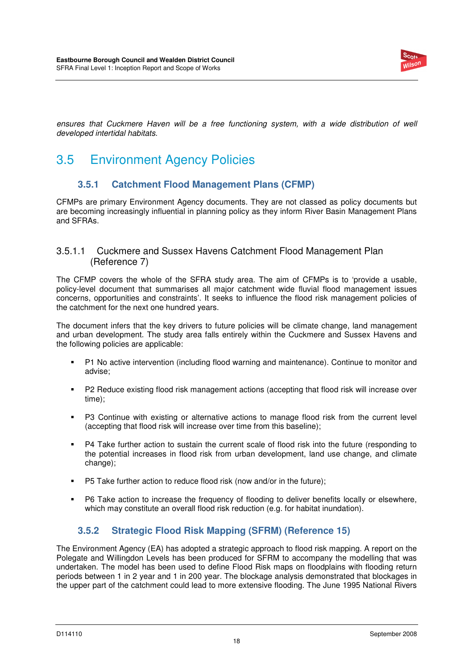

ensures that Cuckmere Haven will be a free functioning system, with a wide distribution of well developed intertidal habitats.

## 3.5 Environment Agency Policies

## **3.5.1 Catchment Flood Management Plans (CFMP)**

CFMPs are primary Environment Agency documents. They are not classed as policy documents but are becoming increasingly influential in planning policy as they inform River Basin Management Plans and SFRAs.

### 3.5.1.1 Cuckmere and Sussex Havens Catchment Flood Management Plan (Reference 7)

The CFMP covers the whole of the SFRA study area. The aim of CFMPs is to 'provide a usable, policy-level document that summarises all major catchment wide fluvial flood management issues concerns, opportunities and constraints'. It seeks to influence the flood risk management policies of the catchment for the next one hundred years.

The document infers that the key drivers to future policies will be climate change, land management and urban development. The study area falls entirely within the Cuckmere and Sussex Havens and the following policies are applicable:

- P1 No active intervention (including flood warning and maintenance). Continue to monitor and advise;
- P2 Reduce existing flood risk management actions (accepting that flood risk will increase over time);
- P3 Continue with existing or alternative actions to manage flood risk from the current level (accepting that flood risk will increase over time from this baseline);
- P4 Take further action to sustain the current scale of flood risk into the future (responding to the potential increases in flood risk from urban development, land use change, and climate change);
- P5 Take further action to reduce flood risk (now and/or in the future);
- **P6** Take action to increase the frequency of flooding to deliver benefits locally or elsewhere, which may constitute an overall flood risk reduction (e.g. for habitat inundation).

## **3.5.2 Strategic Flood Risk Mapping (SFRM) (Reference 15)**

The Environment Agency (EA) has adopted a strategic approach to flood risk mapping. A report on the Polegate and Willingdon Levels has been produced for SFRM to accompany the modelling that was undertaken. The model has been used to define Flood Risk maps on floodplains with flooding return periods between 1 in 2 year and 1 in 200 year. The blockage analysis demonstrated that blockages in the upper part of the catchment could lead to more extensive flooding. The June 1995 National Rivers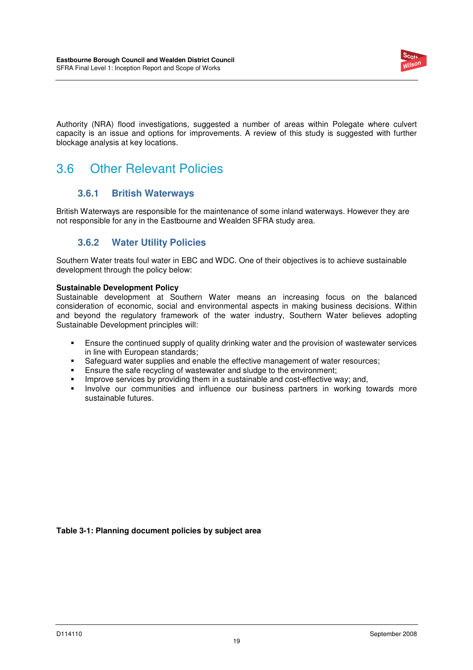

Authority (NRA) flood investigations, suggested a number of areas within Polegate where culvert capacity is an issue and options for improvements. A review of this study is suggested with further blockage analysis at key locations.

## 3.6 Other Relevant Policies

## **3.6.1 British Waterways**

British Waterways are responsible for the maintenance of some inland waterways. However they are not responsible for any in the Eastbourne and Wealden SFRA study area.

## **3.6.2 Water Utility Policies**

Southern Water treats foul water in EBC and WDC. One of their objectives is to achieve sustainable development through the policy below:

#### **Sustainable Development Policy**

Sustainable development at Southern Water means an increasing focus on the balanced consideration of economic, social and environmental aspects in making business decisions. Within and beyond the regulatory framework of the water industry, Southern Water believes adopting Sustainable Development principles will:

- **Ensure the continued supply of quality drinking water and the provision of wastewater services** in line with European standards;
- Safeguard water supplies and enable the effective management of water resources;
- **Ensure the safe recycling of wastewater and sludge to the environment;**
- Improve services by providing them in a sustainable and cost-effective way; and,
- Involve our communities and influence our business partners in working towards more sustainable futures.

**Table 3-1: Planning document policies by subject area**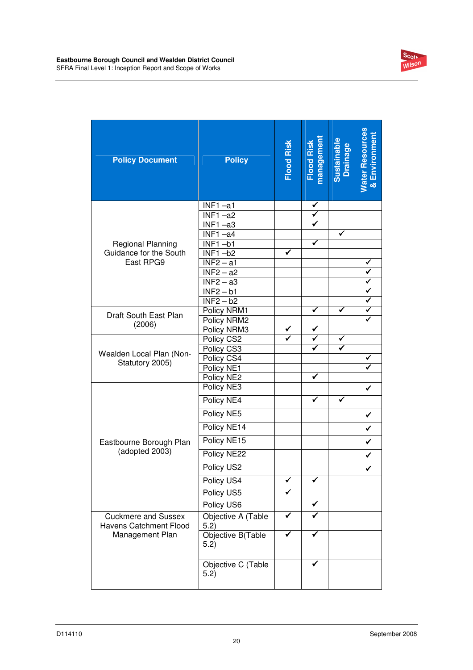

| <b>Policy Document</b>                                      | <b>Policy</b>              | Flood Risk | management<br>Flood Risk | <b>Sustainable</b><br><b>Drainage</b> | <b>Water Resources</b><br>Environment<br>ઌ |
|-------------------------------------------------------------|----------------------------|------------|--------------------------|---------------------------------------|--------------------------------------------|
|                                                             | $INF1 - a1$                |            | $\checkmark$             |                                       |                                            |
|                                                             | $INF1 - a2$                |            | $\overline{\checkmark}$  |                                       |                                            |
|                                                             | $INF1 - a3$                |            |                          |                                       |                                            |
|                                                             | $INF1 - a4$                |            |                          |                                       |                                            |
| Regional Planning<br>Guidance for the South                 | $INF1 - b1$                |            | ✔                        |                                       |                                            |
| East RPG9                                                   | $INF1 - b2$<br>$INF2 - a1$ |            |                          |                                       |                                            |
|                                                             | $INF2 - a2$                |            |                          |                                       |                                            |
|                                                             | $INF2 - a3$                |            |                          |                                       |                                            |
|                                                             | $INF2 - b1$                |            |                          |                                       | $\blacktriangledown$                       |
|                                                             | $INF2 - b2$                |            |                          |                                       | $\blacktriangledown$                       |
| Draft South East Plan                                       | Policy NRM1                |            | ✔                        |                                       |                                            |
| (2006)                                                      | Policy NRM2                |            |                          |                                       |                                            |
|                                                             | Policy NRM3                | ✔          | $\checkmark$             |                                       |                                            |
|                                                             | Policy CS2                 |            | $\checkmark$             | ✔                                     |                                            |
| Wealden Local Plan (Non-                                    | Policy CS3                 |            |                          |                                       |                                            |
| Statutory 2005)                                             | Policy CS4<br>Policy NE1   |            |                          |                                       |                                            |
|                                                             | Policy NE2                 |            | ✔                        |                                       |                                            |
|                                                             | Policy NE3                 |            |                          |                                       | ✓                                          |
|                                                             | Policy NE4                 |            |                          |                                       |                                            |
|                                                             | Policy NE5                 |            |                          |                                       | ✔                                          |
|                                                             | Policy NE14                |            |                          |                                       | ✓                                          |
| Eastbourne Borough Plan                                     | Policy NE15                |            |                          |                                       | $\checkmark$                               |
| (adopted 2003)                                              | Policy NE22                |            |                          |                                       | $\checkmark$                               |
|                                                             | Policy US2                 |            |                          |                                       | $\checkmark$                               |
|                                                             | Policy US4                 | ✓          | ✓                        |                                       |                                            |
|                                                             | Policy US5                 | ✓          |                          |                                       |                                            |
|                                                             | Policy US6                 |            | ✓                        |                                       |                                            |
| <b>Cuckmere and Sussex</b><br><b>Havens Catchment Flood</b> | Objective A (Table<br>5.2) | ✓          | $\checkmark$             |                                       |                                            |
| Management Plan                                             | Objective B(Table<br>5.2)  |            |                          |                                       |                                            |
|                                                             | Objective C (Table<br>5.2) |            | ✓                        |                                       |                                            |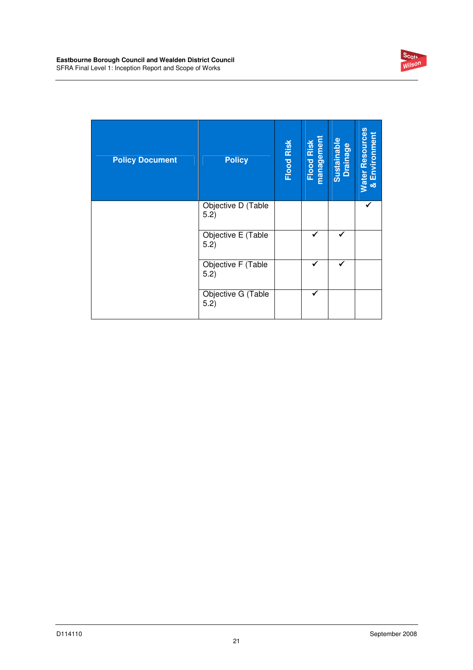

| <b>Policy Document</b> | <b>Policy</b>              | <b>Flood Risk</b> | management<br><b>Flood Risk</b> | <b>Sustainable</b><br><b>Drainage</b> | Water Resources<br>& Environment |
|------------------------|----------------------------|-------------------|---------------------------------|---------------------------------------|----------------------------------|
|                        | Objective D (Table<br>5.2) |                   |                                 |                                       |                                  |
|                        | Objective E (Table<br>5.2) |                   |                                 |                                       |                                  |
|                        | Objective F (Table<br>5.2) |                   |                                 |                                       |                                  |
|                        | Objective G (Table<br>5.2) |                   |                                 |                                       |                                  |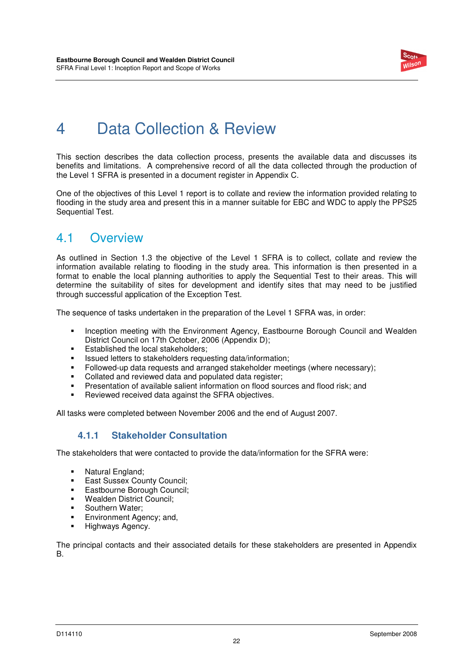

# 4 Data Collection & Review

This section describes the data collection process, presents the available data and discusses its benefits and limitations. A comprehensive record of all the data collected through the production of the Level 1 SFRA is presented in a document register in Appendix C.

One of the objectives of this Level 1 report is to collate and review the information provided relating to flooding in the study area and present this in a manner suitable for EBC and WDC to apply the PPS25 Sequential Test.

## 4.1 Overview

As outlined in Section 1.3 the objective of the Level 1 SFRA is to collect, collate and review the information available relating to flooding in the study area. This information is then presented in a format to enable the local planning authorities to apply the Sequential Test to their areas. This will determine the suitability of sites for development and identify sites that may need to be justified through successful application of the Exception Test.

The sequence of tasks undertaken in the preparation of the Level 1 SFRA was, in order:

- Inception meeting with the Environment Agency, Eastbourne Borough Council and Wealden District Council on 17th October, 2006 (Appendix D);
- **Established the local stakeholders;**
- **ISSUED LETTERS IS STAKEHOLD FRAGGER ISSUED LETTERS** ISSUED ISSUED ISSUED:
- Followed-up data requests and arranged stakeholder meetings (where necessary);
- Collated and reviewed data and populated data register;
- **Presentation of available salient information on flood sources and flood risk; and**
- **Reviewed received data against the SFRA objectives.**

All tasks were completed between November 2006 and the end of August 2007.

### **4.1.1 Stakeholder Consultation**

The stakeholders that were contacted to provide the data/information for the SFRA were:

- Natural England;
- East Sussex County Council;
- **Eastbourne Borough Council;**
- Wealden District Council;
- Southern Water;
- **Environment Agency; and,**
- Highways Agency.

The principal contacts and their associated details for these stakeholders are presented in Appendix B.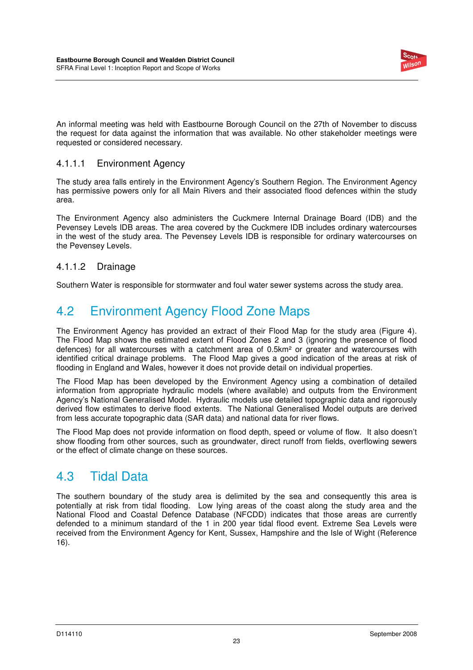

An informal meeting was held with Eastbourne Borough Council on the 27th of November to discuss the request for data against the information that was available. No other stakeholder meetings were requested or considered necessary.

## 4.1.1.1 Environment Agency

The study area falls entirely in the Environment Agency's Southern Region. The Environment Agency has permissive powers only for all Main Rivers and their associated flood defences within the study area.

The Environment Agency also administers the Cuckmere Internal Drainage Board (IDB) and the Pevensey Levels IDB areas. The area covered by the Cuckmere IDB includes ordinary watercourses in the west of the study area. The Pevensey Levels IDB is responsible for ordinary watercourses on the Pevensey Levels.

## 4.1.1.2 Drainage

Southern Water is responsible for stormwater and foul water sewer systems across the study area.

## 4.2 Environment Agency Flood Zone Maps

The Environment Agency has provided an extract of their Flood Map for the study area (Figure 4). The Flood Map shows the estimated extent of Flood Zones 2 and 3 (ignoring the presence of flood defences) for all watercourses with a catchment area of 0.5km² or greater and watercourses with identified critical drainage problems. The Flood Map gives a good indication of the areas at risk of flooding in England and Wales, however it does not provide detail on individual properties.

The Flood Map has been developed by the Environment Agency using a combination of detailed information from appropriate hydraulic models (where available) and outputs from the Environment Agency's National Generalised Model. Hydraulic models use detailed topographic data and rigorously derived flow estimates to derive flood extents. The National Generalised Model outputs are derived from less accurate topographic data (SAR data) and national data for river flows.

The Flood Map does not provide information on flood depth, speed or volume of flow. It also doesn't show flooding from other sources, such as groundwater, direct runoff from fields, overflowing sewers or the effect of climate change on these sources.

## 4.3 Tidal Data

The southern boundary of the study area is delimited by the sea and consequently this area is potentially at risk from tidal flooding. Low lying areas of the coast along the study area and the National Flood and Coastal Defence Database (NFCDD) indicates that those areas are currently defended to a minimum standard of the 1 in 200 year tidal flood event. Extreme Sea Levels were received from the Environment Agency for Kent, Sussex, Hampshire and the Isle of Wight (Reference 16).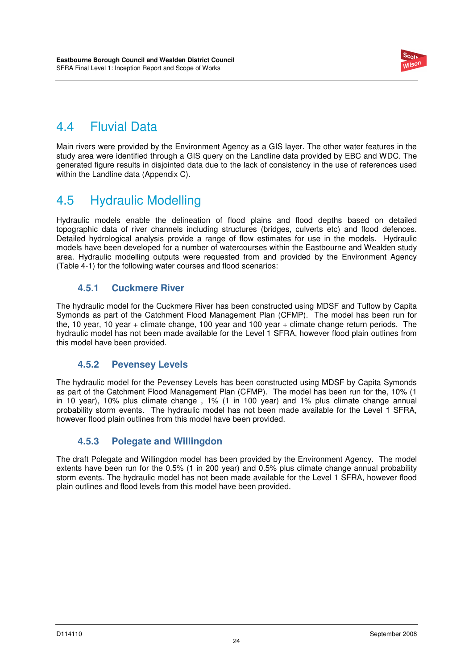

## 4.4 Fluvial Data

Main rivers were provided by the Environment Agency as a GIS layer. The other water features in the study area were identified through a GIS query on the Landline data provided by EBC and WDC. The generated figure results in disjointed data due to the lack of consistency in the use of references used within the Landline data (Appendix C).

## 4.5 Hydraulic Modelling

Hydraulic models enable the delineation of flood plains and flood depths based on detailed topographic data of river channels including structures (bridges, culverts etc) and flood defences. Detailed hydrological analysis provide a range of flow estimates for use in the models. Hydraulic models have been developed for a number of watercourses within the Eastbourne and Wealden study area. Hydraulic modelling outputs were requested from and provided by the Environment Agency (Table 4-1) for the following water courses and flood scenarios:

## **4.5.1 Cuckmere River**

The hydraulic model for the Cuckmere River has been constructed using MDSF and Tuflow by Capita Symonds as part of the Catchment Flood Management Plan (CFMP). The model has been run for the, 10 year, 10 year + climate change, 100 year and 100 year + climate change return periods. The hydraulic model has not been made available for the Level 1 SFRA, however flood plain outlines from this model have been provided.

## **4.5.2 Pevensey Levels**

The hydraulic model for the Pevensey Levels has been constructed using MDSF by Capita Symonds as part of the Catchment Flood Management Plan (CFMP). The model has been run for the, 10% (1 in 10 year), 10% plus climate change , 1% (1 in 100 year) and 1% plus climate change annual probability storm events. The hydraulic model has not been made available for the Level 1 SFRA, however flood plain outlines from this model have been provided.

## **4.5.3 Polegate and Willingdon**

The draft Polegate and Willingdon model has been provided by the Environment Agency. The model extents have been run for the 0.5% (1 in 200 year) and 0.5% plus climate change annual probability storm events. The hydraulic model has not been made available for the Level 1 SFRA, however flood plain outlines and flood levels from this model have been provided.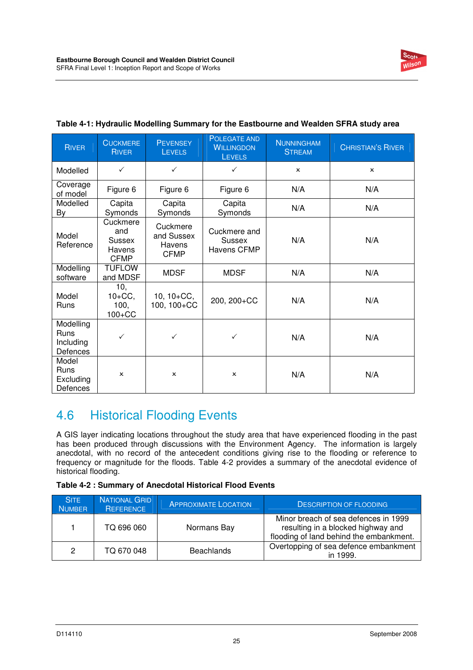

| <b>RIVER</b>                               | <b>CUCKMERE</b><br><b>RIVER</b>                           | <b>PEVENSEY</b><br><b>LEVELS</b>                | <b>POLEGATE AND</b><br><b>WILLINGDON</b><br><b>LEVELS</b> | <b>NUNNINGHAM</b><br><b>STREAM</b> | <b>CHRISTIAN'S RIVER</b>  |
|--------------------------------------------|-----------------------------------------------------------|-------------------------------------------------|-----------------------------------------------------------|------------------------------------|---------------------------|
| Modelled                                   | $\checkmark$                                              | $\checkmark$                                    | $\checkmark$                                              | $\boldsymbol{\mathsf{x}}$          | $\boldsymbol{\mathsf{x}}$ |
| Coverage<br>of model                       | Figure 6                                                  | Figure 6                                        | Figure 6                                                  | N/A                                | N/A                       |
| Modelled<br>By                             | Capita<br>Symonds                                         | Capita<br>Symonds                               | Capita<br>Symonds                                         | N/A                                | N/A                       |
| Model<br>Reference                         | Cuckmere<br>and<br><b>Sussex</b><br>Havens<br><b>CFMP</b> | Cuckmere<br>and Sussex<br>Havens<br><b>CFMP</b> | Cuckmere and<br><b>Sussex</b><br>Havens CFMP              | N/A                                | N/A                       |
| Modelling<br>software                      | <b>TUFLOW</b><br>and MDSF                                 | <b>MDSF</b>                                     | <b>MDSF</b>                                               | N/A                                | N/A                       |
| Model<br>Runs                              | 10,<br>$10+CC,$<br>100,<br>$100 + CC$                     | $10, 10 + CC,$<br>100, 100+CC                   | 200, 200+CC                                               | N/A                                | N/A                       |
| Modelling<br>Runs<br>Including<br>Defences | $\checkmark$                                              | $\checkmark$                                    | ✓                                                         | N/A                                | N/A                       |
| Model<br>Runs<br>Excluding<br>Defences     | $\boldsymbol{\mathsf{x}}$                                 | $\pmb{\times}$                                  | $\pmb{\times}$                                            | N/A                                | N/A                       |

### **Table 4-1: Hydraulic Modelling Summary for the Eastbourne and Wealden SFRA study area**

## 4.6 Historical Flooding Events

A GIS layer indicating locations throughout the study area that have experienced flooding in the past has been produced through discussions with the Environment Agency. The information is largely anecdotal, with no record of the antecedent conditions giving rise to the flooding or reference to frequency or magnitude for the floods. Table 4-2 provides a summary of the anecdotal evidence of historical flooding.

#### **Table 4-2 : Summary of Anecdotal Historical Flood Events**

| <b>SITE</b><br><b>NUMBER</b> | <b>NATIONAL GRID</b><br><b>REFERENCE</b> | <b>APPROXIMATE LOCATION</b> | <b>DESCRIPTION OF FLOODING</b>                                                                                        |
|------------------------------|------------------------------------------|-----------------------------|-----------------------------------------------------------------------------------------------------------------------|
|                              | TQ 696 060                               | Normans Bay                 | Minor breach of sea defences in 1999<br>resulting in a blocked highway and<br>flooding of land behind the embankment. |
| 2                            | TQ 670 048                               | <b>Beachlands</b>           | Overtopping of sea defence embankment<br>in 1999.                                                                     |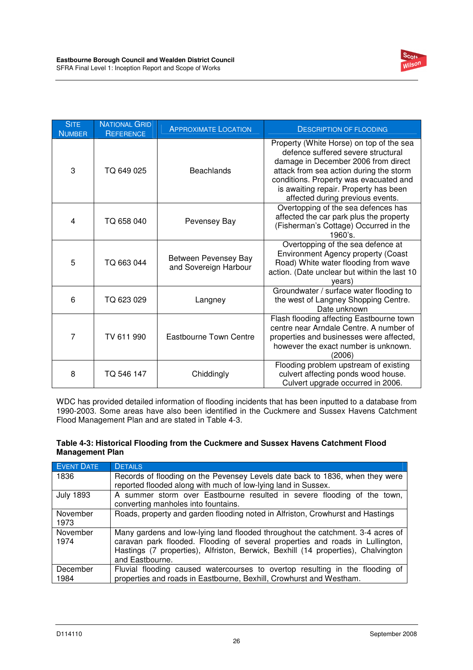| <b>SITE</b><br><b>NUMBER</b> | <b>NATIONAL GRID</b><br><b>REFERENCE</b> | <b>APPROXIMATE LOCATION</b>                   | <b>DESCRIPTION OF FLOODING</b>                                                                                                                                                                                                                                                          |
|------------------------------|------------------------------------------|-----------------------------------------------|-----------------------------------------------------------------------------------------------------------------------------------------------------------------------------------------------------------------------------------------------------------------------------------------|
| 3                            | TQ 649 025                               | <b>Beachlands</b>                             | Property (White Horse) on top of the sea<br>defence suffered severe structural<br>damage in December 2006 from direct<br>attack from sea action during the storm<br>conditions. Property was evacuated and<br>is awaiting repair. Property has been<br>affected during previous events. |
| 4                            | TQ 658 040                               | Pevensey Bay                                  | Overtopping of the sea defences has<br>affected the car park plus the property<br>(Fisherman's Cottage) Occurred in the<br>1960's.                                                                                                                                                      |
| 5                            | TQ 663 044                               | Between Pevensey Bay<br>and Sovereign Harbour | Overtopping of the sea defence at<br><b>Environment Agency property (Coast</b><br>Road) White water flooding from wave<br>action. (Date unclear but within the last 10<br>years)                                                                                                        |
| 6                            | TQ 623 029                               | Langney                                       | Groundwater / surface water flooding to<br>the west of Langney Shopping Centre.<br>Date unknown                                                                                                                                                                                         |
| 7                            | TV 611 990                               | <b>Eastbourne Town Centre</b>                 | Flash flooding affecting Eastbourne town<br>centre near Arndale Centre. A number of<br>properties and businesses were affected,<br>however the exact number is unknown.<br>(2006)                                                                                                       |
| 8                            | TQ 546 147                               | Chiddingly                                    | Flooding problem upstream of existing<br>culvert affecting ponds wood house.<br>Culvert upgrade occurred in 2006.                                                                                                                                                                       |

WDC has provided detailed information of flooding incidents that has been inputted to a database from 1990-2003. Some areas have also been identified in the Cuckmere and Sussex Havens Catchment Flood Management Plan and are stated in Table 4-3.

#### **Table 4-3: Historical Flooding from the Cuckmere and Sussex Havens Catchment Flood Management Plan**

| <b>EVENT DATE</b> | <b>DETAILS</b>                                                                                                                                                                                                                                                          |  |
|-------------------|-------------------------------------------------------------------------------------------------------------------------------------------------------------------------------------------------------------------------------------------------------------------------|--|
| 1836              | Records of flooding on the Pevensey Levels date back to 1836, when they were<br>reported flooded along with much of low-lying land in Sussex.                                                                                                                           |  |
| <b>July 1893</b>  | A summer storm over Eastbourne resulted in severe flooding of the town,<br>converting manholes into fountains.                                                                                                                                                          |  |
| November<br>1973  | Roads, property and garden flooding noted in Alfriston, Crowhurst and Hastings                                                                                                                                                                                          |  |
| November<br>1974  | Many gardens and low-lying land flooded throughout the catchment. 3-4 acres of<br>caravan park flooded. Flooding of several properties and roads in Lullington,<br>Hastings (7 properties), Alfriston, Berwick, Bexhill (14 properties), Chalvington<br>and Eastbourne. |  |
| December<br>1984  | Fluvial flooding caused watercourses to overtop resulting in the flooding of<br>properties and roads in Eastbourne, Bexhill, Crowhurst and Westham.                                                                                                                     |  |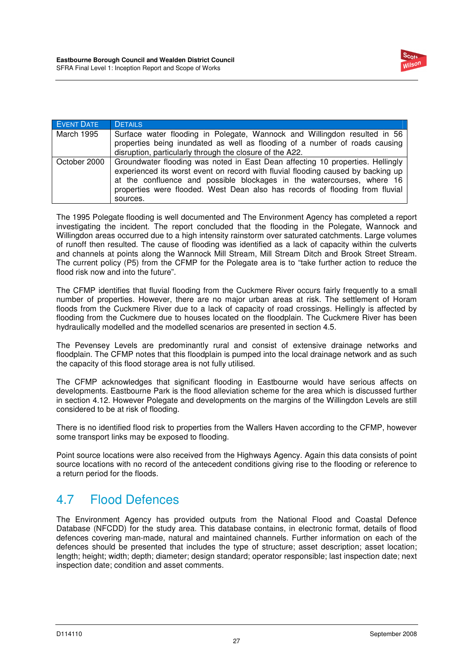

| <b>EVENT DATE</b> | <b>DETAILS</b>                                                                                                                                                                                                                                                                                                                           |
|-------------------|------------------------------------------------------------------------------------------------------------------------------------------------------------------------------------------------------------------------------------------------------------------------------------------------------------------------------------------|
| March 1995        | Surface water flooding in Polegate, Wannock and Willingdon resulted in 56<br>properties being inundated as well as flooding of a number of roads causing<br>disruption, particularly through the closure of the A22.                                                                                                                     |
| October 2000      | Groundwater flooding was noted in East Dean affecting 10 properties. Hellingly<br>experienced its worst event on record with fluvial flooding caused by backing up<br>at the confluence and possible blockages in the watercourses, where 16<br>properties were flooded. West Dean also has records of flooding from fluvial<br>sources. |

The 1995 Polegate flooding is well documented and The Environment Agency has completed a report investigating the incident. The report concluded that the flooding in the Polegate, Wannock and Willingdon areas occurred due to a high intensity rainstorm over saturated catchments. Large volumes of runoff then resulted. The cause of flooding was identified as a lack of capacity within the culverts and channels at points along the Wannock Mill Stream, Mill Stream Ditch and Brook Street Stream. The current policy (P5) from the CFMP for the Polegate area is to "take further action to reduce the flood risk now and into the future".

The CFMP identifies that fluvial flooding from the Cuckmere River occurs fairly frequently to a small number of properties. However, there are no major urban areas at risk. The settlement of Horam floods from the Cuckmere River due to a lack of capacity of road crossings. Hellingly is affected by flooding from the Cuckmere due to houses located on the floodplain. The Cuckmere River has been hydraulically modelled and the modelled scenarios are presented in section 4.5.

The Pevensey Levels are predominantly rural and consist of extensive drainage networks and floodplain. The CFMP notes that this floodplain is pumped into the local drainage network and as such the capacity of this flood storage area is not fully utilised.

The CFMP acknowledges that significant flooding in Eastbourne would have serious affects on developments. Eastbourne Park is the flood alleviation scheme for the area which is discussed further in section 4.12. However Polegate and developments on the margins of the Willingdon Levels are still considered to be at risk of flooding.

There is no identified flood risk to properties from the Wallers Haven according to the CFMP, however some transport links may be exposed to flooding.

Point source locations were also received from the Highways Agency. Again this data consists of point source locations with no record of the antecedent conditions giving rise to the flooding or reference to a return period for the floods.

## 4.7 Flood Defences

The Environment Agency has provided outputs from the National Flood and Coastal Defence Database (NFCDD) for the study area. This database contains, in electronic format, details of flood defences covering man-made, natural and maintained channels. Further information on each of the defences should be presented that includes the type of structure; asset description; asset location; length; height; width; depth; diameter; design standard; operator responsible; last inspection date; next inspection date; condition and asset comments.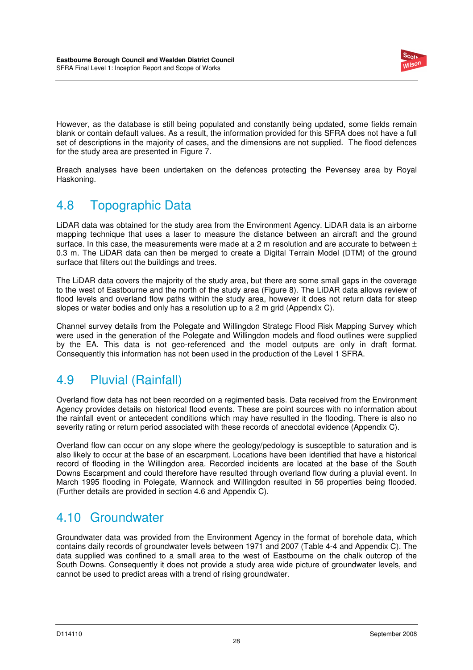

However, as the database is still being populated and constantly being updated, some fields remain blank or contain default values. As a result, the information provided for this SFRA does not have a full set of descriptions in the majority of cases, and the dimensions are not supplied. The flood defences for the study area are presented in Figure 7.

Breach analyses have been undertaken on the defences protecting the Pevensey area by Royal Haskoning.

## 4.8 Topographic Data

LiDAR data was obtained for the study area from the Environment Agency. LiDAR data is an airborne mapping technique that uses a laser to measure the distance between an aircraft and the ground surface. In this case, the measurements were made at a 2 m resolution and are accurate to between  $\pm$ 0.3 m. The LiDAR data can then be merged to create a Digital Terrain Model (DTM) of the ground surface that filters out the buildings and trees.

The LiDAR data covers the majority of the study area, but there are some small gaps in the coverage to the west of Eastbourne and the north of the study area (Figure 8). The LiDAR data allows review of flood levels and overland flow paths within the study area, however it does not return data for steep slopes or water bodies and only has a resolution up to a 2 m grid (Appendix C).

Channel survey details from the Polegate and Willingdon Strategc Flood Risk Mapping Survey which were used in the generation of the Polegate and Willingdon models and flood outlines were supplied by the EA. This data is not geo-referenced and the model outputs are only in draft format. Consequently this information has not been used in the production of the Level 1 SFRA.

## 4.9 Pluvial (Rainfall)

Overland flow data has not been recorded on a regimented basis. Data received from the Environment Agency provides details on historical flood events. These are point sources with no information about the rainfall event or antecedent conditions which may have resulted in the flooding. There is also no severity rating or return period associated with these records of anecdotal evidence (Appendix C).

Overland flow can occur on any slope where the geology/pedology is susceptible to saturation and is also likely to occur at the base of an escarpment. Locations have been identified that have a historical record of flooding in the Willingdon area. Recorded incidents are located at the base of the South Downs Escarpment and could therefore have resulted through overland flow during a pluvial event. In March 1995 flooding in Polegate, Wannock and Willingdon resulted in 56 properties being flooded. (Further details are provided in section 4.6 and Appendix C).

## 4.10 Groundwater

Groundwater data was provided from the Environment Agency in the format of borehole data, which contains daily records of groundwater levels between 1971 and 2007 (Table 4-4 and Appendix C). The data supplied was confined to a small area to the west of Eastbourne on the chalk outcrop of the South Downs. Consequently it does not provide a study area wide picture of groundwater levels, and cannot be used to predict areas with a trend of rising groundwater.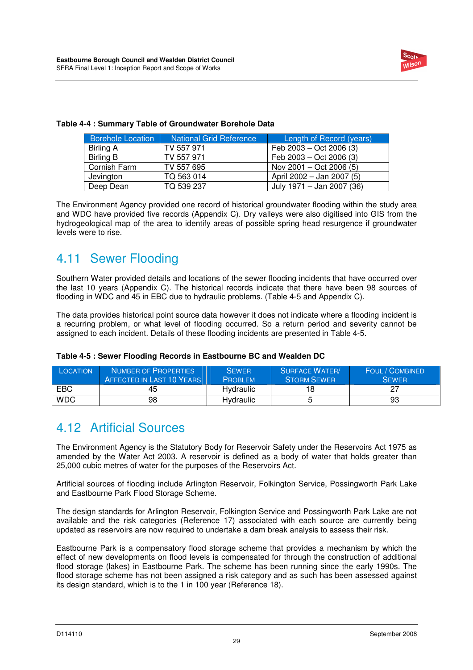

| <b>Borehole Location</b> | <b>National Grid Reference</b> | Length of Record (years)  |
|--------------------------|--------------------------------|---------------------------|
| Birling A                | TV 557 971                     | Feb $2003 - Oct 2006(3)$  |
| Birling B                | TV 557 971                     | Feb $2003 - Oct 2006(3)$  |
| Cornish Farm             | TV 557 695                     | Nov $2001 - Oct 2006(5)$  |
| Jevington                | TQ 563 014                     | April 2002 - Jan 2007 (5) |
| Deep Dean                | TQ 539 237                     | July 1971 - Jan 2007 (36) |

#### **Table 4-4 : Summary Table of Groundwater Borehole Data**

The Environment Agency provided one record of historical groundwater flooding within the study area and WDC have provided five records (Appendix C). Dry valleys were also digitised into GIS from the hydrogeological map of the area to identify areas of possible spring head resurgence if groundwater levels were to rise.

## 4.11 Sewer Flooding

Southern Water provided details and locations of the sewer flooding incidents that have occurred over the last 10 years (Appendix C). The historical records indicate that there have been 98 sources of flooding in WDC and 45 in EBC due to hydraulic problems. (Table 4-5 and Appendix C).

The data provides historical point source data however it does not indicate where a flooding incident is a recurring problem, or what level of flooding occurred. So a return period and severity cannot be assigned to each incident. Details of these flooding incidents are presented in Table 4-5.

| LOCATION   | NUMBER OF PROPERTIES<br>AFFECTED IN LAST 10 YEARS | <b>SEWER</b><br><b>PROBLEM</b> | <b>SURFACE WATER/</b><br><b>STORM SEWER</b> | <b>FOUL / COMBINED</b><br><b>SFWFR</b> |
|------------|---------------------------------------------------|--------------------------------|---------------------------------------------|----------------------------------------|
| EBC        | 45                                                | Hydraulic                      |                                             |                                        |
| <b>WDC</b> | 98                                                | Hydraulic                      |                                             | 93                                     |

#### **Table 4-5 : Sewer Flooding Records in Eastbourne BC and Wealden DC**

## 4.12 Artificial Sources

The Environment Agency is the Statutory Body for Reservoir Safety under the Reservoirs Act 1975 as amended by the Water Act 2003. A reservoir is defined as a body of water that holds greater than 25,000 cubic metres of water for the purposes of the Reservoirs Act.

Artificial sources of flooding include Arlington Reservoir, Folkington Service, Possingworth Park Lake and Eastbourne Park Flood Storage Scheme.

The design standards for Arlington Reservoir, Folkington Service and Possingworth Park Lake are not available and the risk categories (Reference 17) associated with each source are currently being updated as reservoirs are now required to undertake a dam break analysis to assess their risk.

Eastbourne Park is a compensatory flood storage scheme that provides a mechanism by which the effect of new developments on flood levels is compensated for through the construction of additional flood storage (lakes) in Eastbourne Park. The scheme has been running since the early 1990s. The flood storage scheme has not been assigned a risk category and as such has been assessed against its design standard, which is to the 1 in 100 year (Reference 18).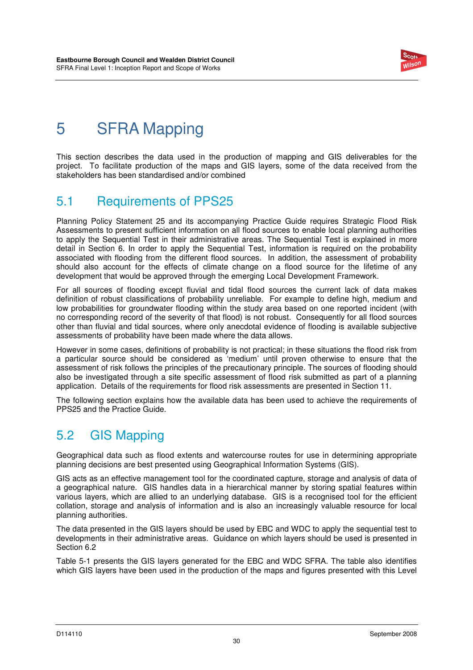

# 5 SFRA Mapping

This section describes the data used in the production of mapping and GIS deliverables for the project. To facilitate production of the maps and GIS layers, some of the data received from the stakeholders has been standardised and/or combined

## 5.1 Requirements of PPS25

Planning Policy Statement 25 and its accompanying Practice Guide requires Strategic Flood Risk Assessments to present sufficient information on all flood sources to enable local planning authorities to apply the Sequential Test in their administrative areas. The Sequential Test is explained in more detail in Section 6. In order to apply the Sequential Test, information is required on the probability associated with flooding from the different flood sources. In addition, the assessment of probability should also account for the effects of climate change on a flood source for the lifetime of any development that would be approved through the emerging Local Development Framework.

For all sources of flooding except fluvial and tidal flood sources the current lack of data makes definition of robust classifications of probability unreliable. For example to define high, medium and low probabilities for groundwater flooding within the study area based on one reported incident (with no corresponding record of the severity of that flood) is not robust. Consequently for all flood sources other than fluvial and tidal sources, where only anecdotal evidence of flooding is available subjective assessments of probability have been made where the data allows.

However in some cases, definitions of probability is not practical; in these situations the flood risk from a particular source should be considered as 'medium' until proven otherwise to ensure that the assessment of risk follows the principles of the precautionary principle. The sources of flooding should also be investigated through a site specific assessment of flood risk submitted as part of a planning application. Details of the requirements for flood risk assessments are presented in Section 11.

The following section explains how the available data has been used to achieve the requirements of PPS25 and the Practice Guide.

## 5.2 GIS Mapping

Geographical data such as flood extents and watercourse routes for use in determining appropriate planning decisions are best presented using Geographical Information Systems (GIS).

GIS acts as an effective management tool for the coordinated capture, storage and analysis of data of a geographical nature. GIS handles data in a hierarchical manner by storing spatial features within various layers, which are allied to an underlying database. GIS is a recognised tool for the efficient collation, storage and analysis of information and is also an increasingly valuable resource for local planning authorities.

The data presented in the GIS layers should be used by EBC and WDC to apply the sequential test to developments in their administrative areas. Guidance on which layers should be used is presented in Section 6.2

Table 5-1 presents the GIS layers generated for the EBC and WDC SFRA. The table also identifies which GIS layers have been used in the production of the maps and figures presented with this Level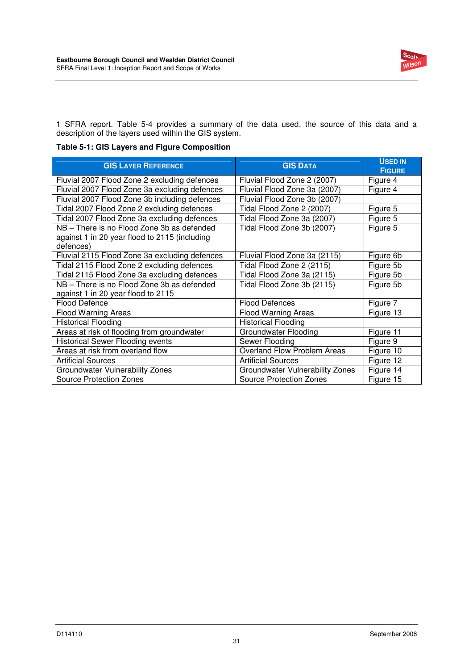

1 SFRA report. Table 5-4 provides a summary of the data used, the source of this data and a description of the layers used within the GIS system.

| Table 5-1: GIS Layers and Figure Composition |  |  |  |  |  |
|----------------------------------------------|--|--|--|--|--|
|----------------------------------------------|--|--|--|--|--|

| <b>GIS LAYER REFERENCE</b>                                 | <b>GIS DATA</b>                 | <b>USED IN</b><br><b>FIGURE</b> |
|------------------------------------------------------------|---------------------------------|---------------------------------|
| Fluvial 2007 Flood Zone 2 excluding defences               | Fluvial Flood Zone 2 (2007)     | Figure 4                        |
| Fluvial 2007 Flood Zone 3a excluding defences              | Fluvial Flood Zone 3a (2007)    | Figure 4                        |
| Fluvial 2007 Flood Zone 3b including defences              | Fluvial Flood Zone 3b (2007)    |                                 |
| Tidal 2007 Flood Zone 2 excluding defences                 | Tidal Flood Zone 2 (2007)       | Figure 5                        |
| Tidal 2007 Flood Zone 3a excluding defences                | Tidal Flood Zone 3a (2007)      | Figure 5                        |
| NB - There is no Flood Zone 3b as defended                 | Tidal Flood Zone 3b (2007)      | Figure 5                        |
| against 1 in 20 year flood to 2115 (including<br>defences) |                                 |                                 |
| Fluvial 2115 Flood Zone 3a excluding defences              | Fluvial Flood Zone 3a (2115)    | Figure 6b                       |
| Tidal 2115 Flood Zone 2 excluding defences                 | Tidal Flood Zone 2 (2115)       | Figure 5b                       |
| Tidal 2115 Flood Zone 3a excluding defences                | Tidal Flood Zone 3a (2115)      | Figure 5b                       |
| NB - There is no Flood Zone 3b as defended                 | Tidal Flood Zone 3b (2115)      | Figure 5b                       |
| against 1 in 20 year flood to 2115                         |                                 |                                 |
| <b>Flood Defence</b>                                       | <b>Flood Defences</b>           | Figure 7                        |
| <b>Flood Warning Areas</b>                                 | <b>Flood Warning Areas</b>      | Figure 13                       |
| <b>Historical Flooding</b>                                 | <b>Historical Flooding</b>      |                                 |
| Areas at risk of flooding from groundwater                 | Groundwater Flooding            | Figure 11                       |
| <b>Historical Sewer Flooding events</b>                    | Sewer Flooding                  | Figure 9                        |
| Areas at risk from overland flow                           | Overland Flow Problem Areas     | Figure 10                       |
| <b>Artificial Sources</b>                                  | <b>Artificial Sources</b>       | Figure 12                       |
| Groundwater Vulnerability Zones                            | Groundwater Vulnerability Zones | Figure 14                       |
| <b>Source Protection Zones</b>                             | <b>Source Protection Zones</b>  | Figure 15                       |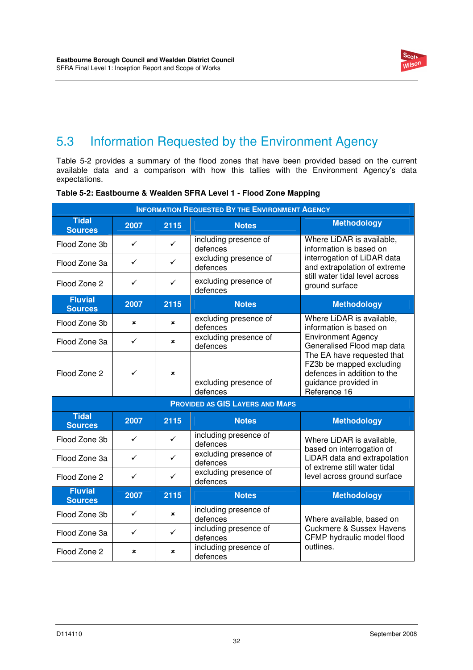

## 5.3 Information Requested by the Environment Agency

Table 5-2 provides a summary of the flood zones that have been provided based on the current available data and a comparison with how this tallies with the Environment Agency's data expectations.

| <b>INFORMATION REQUESTED BY THE ENVIRONMENT AGENCY</b> |              |              |                                        |                                                                                                                               |
|--------------------------------------------------------|--------------|--------------|----------------------------------------|-------------------------------------------------------------------------------------------------------------------------------|
| <b>Tidal</b><br><b>Sources</b>                         | 2007         | 2115         | <b>Notes</b>                           | <b>Methodology</b>                                                                                                            |
| Flood Zone 3b                                          | $\checkmark$ | ✓            | including presence of<br>defences      | Where LiDAR is available,<br>information is based on                                                                          |
| Flood Zone 3a                                          | $\checkmark$ | $\checkmark$ | excluding presence of<br>defences      | interrogation of LiDAR data<br>and extrapolation of extreme                                                                   |
| Flood Zone 2                                           | $\checkmark$ | ✓            | excluding presence of<br>defences      | still water tidal level across<br>ground surface                                                                              |
| <b>Fluvial</b><br><b>Sources</b>                       | 2007         | 2115         | <b>Notes</b>                           | <b>Methodology</b>                                                                                                            |
| Flood Zone 3b                                          | ×            | ×            | excluding presence of<br>defences      | Where LiDAR is available,<br>information is based on                                                                          |
| Flood Zone 3a                                          | ✓            | ×            | excluding presence of<br>defences      | <b>Environment Agency</b><br>Generalised Flood map data                                                                       |
| Flood Zone 2                                           | ✓            | ×            | excluding presence of<br>defences      | The EA have requested that<br>FZ3b be mapped excluding<br>defences in addition to the<br>guidance provided in<br>Reference 16 |
|                                                        |              |              | <b>PROVIDED AS GIS LAYERS AND MAPS</b> |                                                                                                                               |
| <b>Tidal</b><br><b>Sources</b>                         | 2007         | 2115         | <b>Notes</b>                           | <b>Methodology</b>                                                                                                            |
| Flood Zone 3b                                          | ✓            | ✓            | including presence of<br>defences      | Where LiDAR is available,                                                                                                     |
| Flood Zone 3a                                          | $\checkmark$ | $\checkmark$ | excluding presence of<br>defences      | based on interrogation of<br>LiDAR data and extrapolation<br>of extreme still water tidal                                     |
| Flood Zone 2                                           | $\checkmark$ | $\checkmark$ | excluding presence of<br>defences      | level across ground surface                                                                                                   |
| <b>Fluvial</b><br><b>Sources</b>                       | 2007         | 2115         | <b>Notes</b>                           | <b>Methodology</b>                                                                                                            |
| Flood Zone 3b                                          | $\checkmark$ | ×            | including presence of<br>defences      | Where available, based on                                                                                                     |
| Flood Zone 3a                                          | $\checkmark$ | $\checkmark$ | including presence of<br>defences      | <b>Cuckmere &amp; Sussex Havens</b><br>CFMP hydraulic model flood                                                             |
| Flood Zone 2                                           | ×            | ×            | including presence of<br>defences      | outlines.                                                                                                                     |

#### **Table 5-2: Eastbourne & Wealden SFRA Level 1 - Flood Zone Mapping**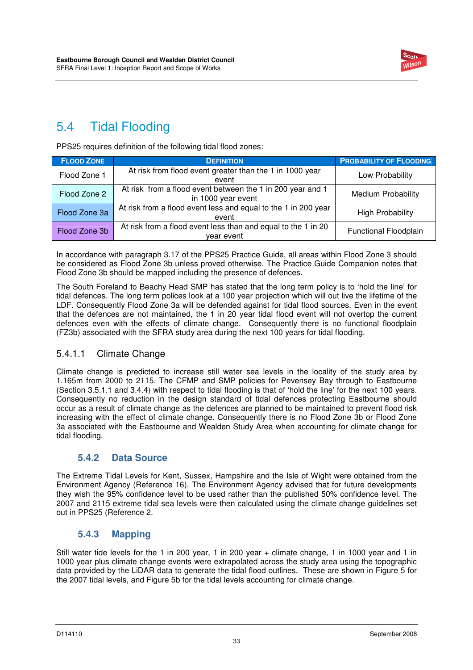

## 5.4 Tidal Flooding

PPS25 requires definition of the following tidal flood zones:

| <b>FLOOD ZONE</b> | <b>DEFINITION</b>                                                                | <b>PROBABILITY OF FLOODING</b> |
|-------------------|----------------------------------------------------------------------------------|--------------------------------|
| Flood Zone 1      | At risk from flood event greater than the 1 in 1000 year<br>event                | Low Probability                |
| Flood Zone 2      | At risk from a flood event between the 1 in 200 year and 1<br>in 1000 year event | <b>Medium Probability</b>      |
| Flood Zone 3a     | At risk from a flood event less and equal to the 1 in 200 year<br>event          | <b>High Probability</b>        |
| Flood Zone 3b     | At risk from a flood event less than and equal to the 1 in 20<br>vear event      | <b>Functional Floodplain</b>   |

In accordance with paragraph 3.17 of the PPS25 Practice Guide, all areas within Flood Zone 3 should be considered as Flood Zone 3b unless proved otherwise. The Practice Guide Companion notes that Flood Zone 3b should be mapped including the presence of defences.

The South Foreland to Beachy Head SMP has stated that the long term policy is to 'hold the line' for tidal defences. The long term polices look at a 100 year projection which will out live the lifetime of the LDF. Consequently Flood Zone 3a will be defended against for tidal flood sources. Even in the event that the defences are not maintained, the 1 in 20 year tidal flood event will not overtop the current defences even with the effects of climate change. Consequently there is no functional floodplain (FZ3b) associated with the SFRA study area during the next 100 years for tidal flooding.

### 5.4.1.1 Climate Change

Climate change is predicted to increase still water sea levels in the locality of the study area by 1.165m from 2000 to 2115. The CFMP and SMP policies for Pevensey Bay through to Eastbourne (Section 3.5.1.1 and 3.4.4) with respect to tidal flooding is that of 'hold the line' for the next 100 years. Consequently no reduction in the design standard of tidal defences protecting Eastbourne should occur as a result of climate change as the defences are planned to be maintained to prevent flood risk increasing with the effect of climate change. Consequently there is no Flood Zone 3b or Flood Zone 3a associated with the Eastbourne and Wealden Study Area when accounting for climate change for tidal flooding.

### **5.4.2 Data Source**

The Extreme Tidal Levels for Kent, Sussex, Hampshire and the Isle of Wight were obtained from the Environment Agency (Reference 16). The Environment Agency advised that for future developments they wish the 95% confidence level to be used rather than the published 50% confidence level. The 2007 and 2115 extreme tidal sea levels were then calculated using the climate change guidelines set out in PPS25 (Reference 2.

### **5.4.3 Mapping**

Still water tide levels for the 1 in 200 year, 1 in 200 year + climate change, 1 in 1000 year and 1 in 1000 year plus climate change events were extrapolated across the study area using the topographic data provided by the LiDAR data to generate the tidal flood outlines. These are shown in Figure 5 for the 2007 tidal levels, and Figure 5b for the tidal levels accounting for climate change.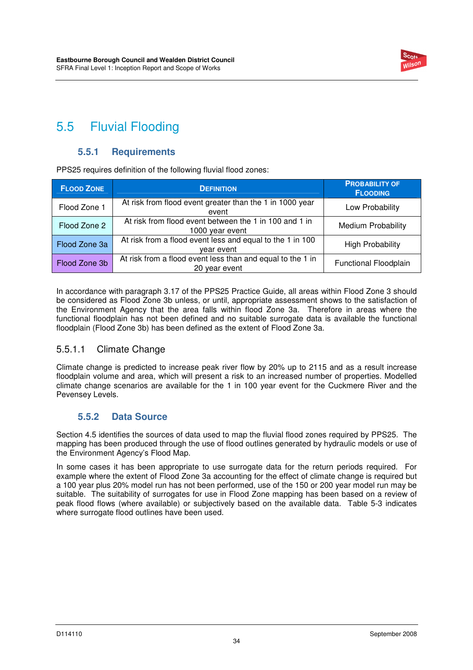

## 5.5 Fluvial Flooding

### **5.5.1 Requirements**

PPS25 requires definition of the following fluvial flood zones:

| <b>FLOOD ZONE</b> | <b>DEFINITION</b>                                                           | <b>PROBABILITY OF</b><br><b>FLOODING</b> |
|-------------------|-----------------------------------------------------------------------------|------------------------------------------|
| Flood Zone 1      | At risk from flood event greater than the 1 in 1000 year<br>event           | Low Probability                          |
| Flood Zone 2      | At risk from flood event between the 1 in 100 and 1 in<br>1000 year event   | <b>Medium Probability</b>                |
| Flood Zone 3a     | At risk from a flood event less and equal to the 1 in 100<br>vear event     | <b>High Probability</b>                  |
| Flood Zone 3b     | At risk from a flood event less than and equal to the 1 in<br>20 year event | <b>Functional Floodplain</b>             |

In accordance with paragraph 3.17 of the PPS25 Practice Guide, all areas within Flood Zone 3 should be considered as Flood Zone 3b unless, or until, appropriate assessment shows to the satisfaction of the Environment Agency that the area falls within flood Zone 3a. Therefore in areas where the functional floodplain has not been defined and no suitable surrogate data is available the functional floodplain (Flood Zone 3b) has been defined as the extent of Flood Zone 3a.

#### 5.5.1.1 Climate Change

Climate change is predicted to increase peak river flow by 20% up to 2115 and as a result increase floodplain volume and area, which will present a risk to an increased number of properties. Modelled climate change scenarios are available for the 1 in 100 year event for the Cuckmere River and the Pevensey Levels.

### **5.5.2 Data Source**

Section 4.5 identifies the sources of data used to map the fluvial flood zones required by PPS25. The mapping has been produced through the use of flood outlines generated by hydraulic models or use of the Environment Agency's Flood Map.

In some cases it has been appropriate to use surrogate data for the return periods required. For example where the extent of Flood Zone 3a accounting for the effect of climate change is required but a 100 year plus 20% model run has not been performed, use of the 150 or 200 year model run may be suitable. The suitability of surrogates for use in Flood Zone mapping has been based on a review of peak flood flows (where available) or subjectively based on the available data. Table 5-3 indicates where surrogate flood outlines have been used.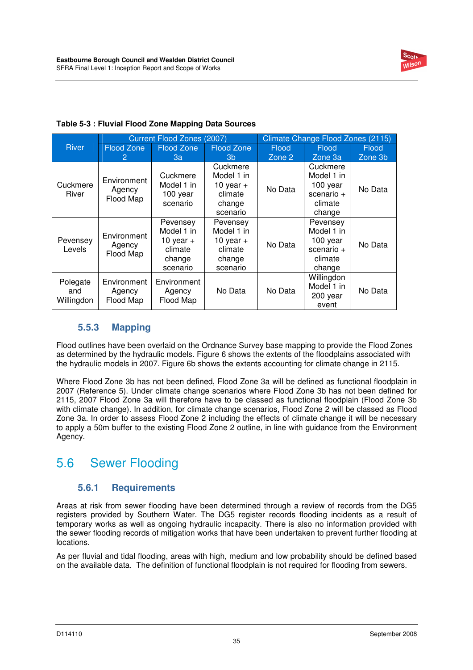

|                               |                                    | <b>Current Flood Zones (2007)</b>                                      |                                                                        |         | Climate Change Flood Zones (2115)                                     |              |
|-------------------------------|------------------------------------|------------------------------------------------------------------------|------------------------------------------------------------------------|---------|-----------------------------------------------------------------------|--------------|
| <b>River</b>                  | <b>Flood Zone</b>                  | <b>Flood Zone</b>                                                      | <b>Flood Zone</b>                                                      | Flood   | <b>Flood</b>                                                          | <b>Flood</b> |
|                               | 2                                  | 3a                                                                     | 3b                                                                     | Zone 2  | Zone 3a                                                               | Zone 3b      |
| Cuckmere<br>River             | Environment<br>Agency<br>Flood Map | Cuckmere<br>Model 1 in<br>100 year<br>scenario                         | Cuckmere<br>Model 1 in<br>10 year $+$<br>climate<br>change<br>scenario | No Data | Cuckmere<br>Model 1 in<br>100 year<br>scenario +<br>climate<br>change | No Data      |
| Pevensey<br>Levels            | Environment<br>Agency<br>Flood Map | Pevensey<br>Model 1 in<br>10 year $+$<br>climate<br>change<br>scenario | Pevensey<br>Model 1 in<br>10 year $+$<br>climate<br>change<br>scenario | No Data | Pevensey<br>Model 1 in<br>100 year<br>scenario +<br>climate<br>change | No Data      |
| Polegate<br>and<br>Willingdon | Environment<br>Agency<br>Flood Map | Environment<br>Agency<br>Flood Map                                     | No Data                                                                | No Data | Willingdon<br>Model 1 in<br>200 year<br>event                         | No Data      |

#### **Table 5-3 : Fluvial Flood Zone Mapping Data Sources**

### **5.5.3 Mapping**

Flood outlines have been overlaid on the Ordnance Survey base mapping to provide the Flood Zones as determined by the hydraulic models. Figure 6 shows the extents of the floodplains associated with the hydraulic models in 2007. Figure 6b shows the extents accounting for climate change in 2115.

Where Flood Zone 3b has not been defined, Flood Zone 3a will be defined as functional floodplain in 2007 (Reference 5). Under climate change scenarios where Flood Zone 3b has not been defined for 2115, 2007 Flood Zone 3a will therefore have to be classed as functional floodplain (Flood Zone 3b with climate change). In addition, for climate change scenarios, Flood Zone 2 will be classed as Flood Zone 3a. In order to assess Flood Zone 2 including the effects of climate change it will be necessary to apply a 50m buffer to the existing Flood Zone 2 outline, in line with guidance from the Environment Agency.

## 5.6 Sewer Flooding

#### **5.6.1 Requirements**

Areas at risk from sewer flooding have been determined through a review of records from the DG5 registers provided by Southern Water. The DG5 register records flooding incidents as a result of temporary works as well as ongoing hydraulic incapacity. There is also no information provided with the sewer flooding records of mitigation works that have been undertaken to prevent further flooding at locations.

As per fluvial and tidal flooding, areas with high, medium and low probability should be defined based on the available data. The definition of functional floodplain is not required for flooding from sewers.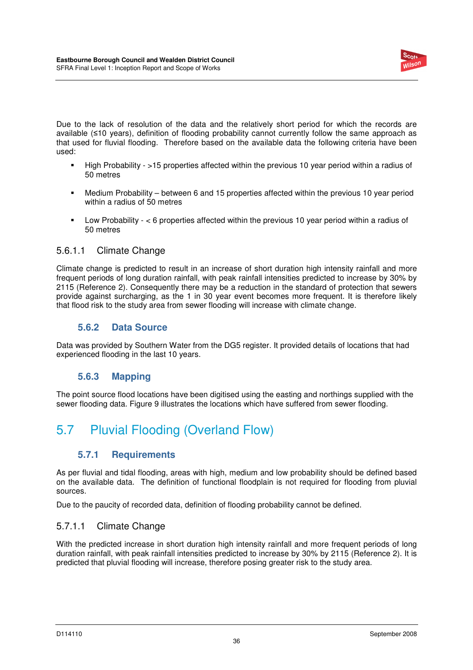

Due to the lack of resolution of the data and the relatively short period for which the records are available (≤10 years), definition of flooding probability cannot currently follow the same approach as that used for fluvial flooding. Therefore based on the available data the following criteria have been used:

- High Probability >15 properties affected within the previous 10 year period within a radius of 50 metres
- Medium Probability between 6 and 15 properties affected within the previous 10 year period within a radius of 50 metres
- Low Probability < 6 properties affected within the previous 10 year period within a radius of 50 metres

#### 5.6.1.1 Climate Change

Climate change is predicted to result in an increase of short duration high intensity rainfall and more frequent periods of long duration rainfall, with peak rainfall intensities predicted to increase by 30% by 2115 (Reference 2). Consequently there may be a reduction in the standard of protection that sewers provide against surcharging, as the 1 in 30 year event becomes more frequent. It is therefore likely that flood risk to the study area from sewer flooding will increase with climate change.

### **5.6.2 Data Source**

Data was provided by Southern Water from the DG5 register. It provided details of locations that had experienced flooding in the last 10 years.

#### **5.6.3 Mapping**

The point source flood locations have been digitised using the easting and northings supplied with the sewer flooding data. Figure 9 illustrates the locations which have suffered from sewer flooding.

## 5.7 Pluvial Flooding (Overland Flow)

#### **5.7.1 Requirements**

As per fluvial and tidal flooding, areas with high, medium and low probability should be defined based on the available data. The definition of functional floodplain is not required for flooding from pluvial sources.

Due to the paucity of recorded data, definition of flooding probability cannot be defined.

#### 5.7.1.1 Climate Change

With the predicted increase in short duration high intensity rainfall and more frequent periods of long duration rainfall, with peak rainfall intensities predicted to increase by 30% by 2115 (Reference 2). It is predicted that pluvial flooding will increase, therefore posing greater risk to the study area.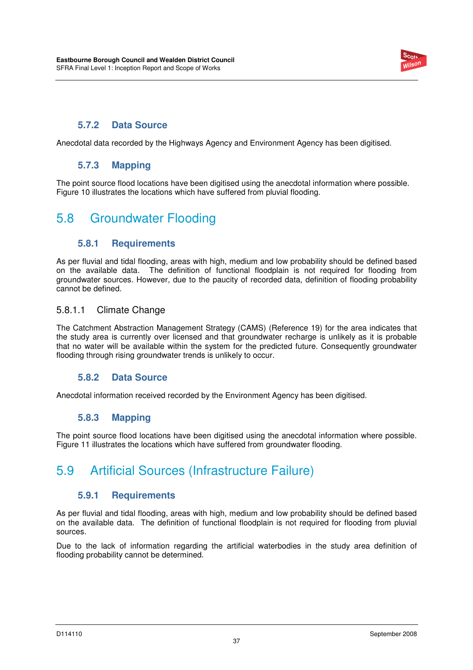

### **5.7.2 Data Source**

Anecdotal data recorded by the Highways Agency and Environment Agency has been digitised.

### **5.7.3 Mapping**

The point source flood locations have been digitised using the anecdotal information where possible. Figure 10 illustrates the locations which have suffered from pluvial flooding.

## 5.8 Groundwater Flooding

#### **5.8.1 Requirements**

As per fluvial and tidal flooding, areas with high, medium and low probability should be defined based on the available data. The definition of functional floodplain is not required for flooding from groundwater sources. However, due to the paucity of recorded data, definition of flooding probability cannot be defined.

#### 5.8.1.1 Climate Change

The Catchment Abstraction Management Strategy (CAMS) (Reference 19) for the area indicates that the study area is currently over licensed and that groundwater recharge is unlikely as it is probable that no water will be available within the system for the predicted future. Consequently groundwater flooding through rising groundwater trends is unlikely to occur.

#### **5.8.2 Data Source**

Anecdotal information received recorded by the Environment Agency has been digitised.

#### **5.8.3 Mapping**

The point source flood locations have been digitised using the anecdotal information where possible. Figure 11 illustrates the locations which have suffered from groundwater flooding.

## 5.9 Artificial Sources (Infrastructure Failure)

#### **5.9.1 Requirements**

As per fluvial and tidal flooding, areas with high, medium and low probability should be defined based on the available data. The definition of functional floodplain is not required for flooding from pluvial sources.

Due to the lack of information regarding the artificial waterbodies in the study area definition of flooding probability cannot be determined.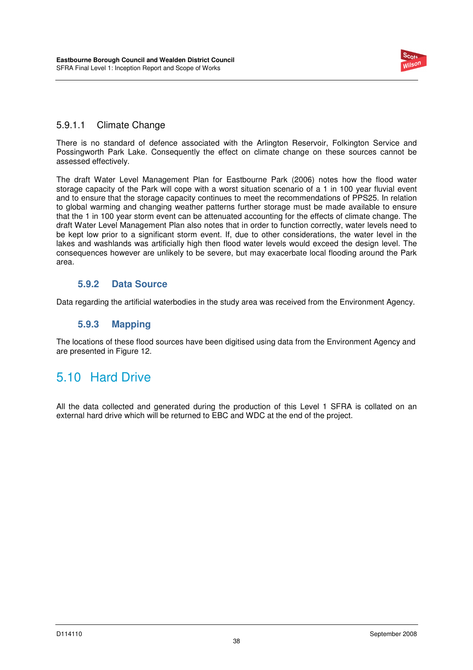

### 5.9.1.1 Climate Change

There is no standard of defence associated with the Arlington Reservoir, Folkington Service and Possingworth Park Lake. Consequently the effect on climate change on these sources cannot be assessed effectively.

The draft Water Level Management Plan for Eastbourne Park (2006) notes how the flood water storage capacity of the Park will cope with a worst situation scenario of a 1 in 100 year fluvial event and to ensure that the storage capacity continues to meet the recommendations of PPS25. In relation to global warming and changing weather patterns further storage must be made available to ensure that the 1 in 100 year storm event can be attenuated accounting for the effects of climate change. The draft Water Level Management Plan also notes that in order to function correctly, water levels need to be kept low prior to a significant storm event. If, due to other considerations, the water level in the lakes and washlands was artificially high then flood water levels would exceed the design level. The consequences however are unlikely to be severe, but may exacerbate local flooding around the Park area.

### **5.9.2 Data Source**

Data regarding the artificial waterbodies in the study area was received from the Environment Agency.

### **5.9.3 Mapping**

The locations of these flood sources have been digitised using data from the Environment Agency and are presented in Figure 12.

## 5.10 Hard Drive

All the data collected and generated during the production of this Level 1 SFRA is collated on an external hard drive which will be returned to EBC and WDC at the end of the project.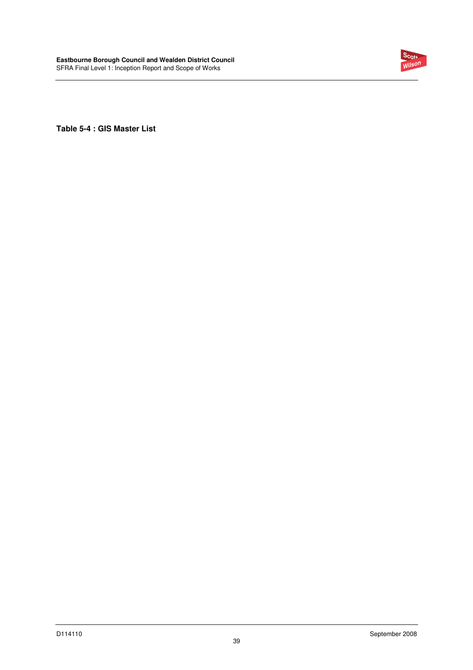

**Table 5-4 : GIS Master List**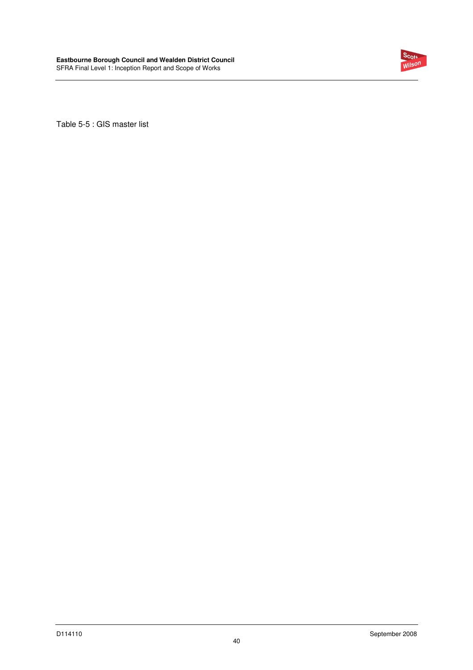

Table 5-5 : GIS master list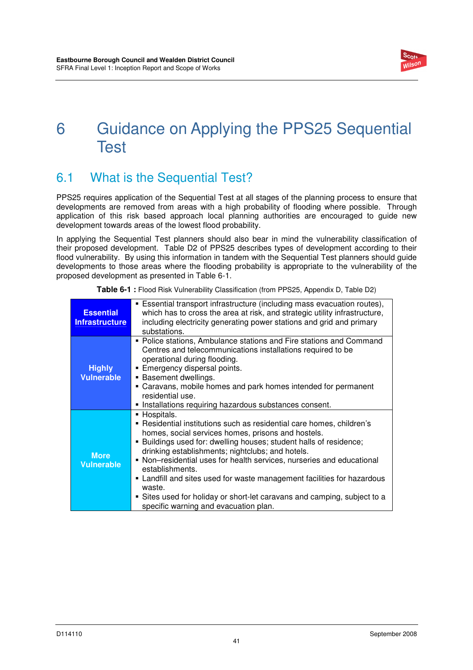

# 6 Guidance on Applying the PPS25 Sequential **Test**

## 6.1 What is the Sequential Test?

PPS25 requires application of the Sequential Test at all stages of the planning process to ensure that developments are removed from areas with a high probability of flooding where possible. Through application of this risk based approach local planning authorities are encouraged to guide new development towards areas of the lowest flood probability.

In applying the Sequential Test planners should also bear in mind the vulnerability classification of their proposed development. Table D2 of PPS25 describes types of development according to their flood vulnerability. By using this information in tandem with the Sequential Test planners should guide developments to those areas where the flooding probability is appropriate to the vulnerability of the proposed development as presented in Table 6-1.

| <b>Table 6-1</b> : Flood Risk Vulnerability Classification (from PPS25, Appendix D, Table D2) |  |  |
|-----------------------------------------------------------------------------------------------|--|--|
|                                                                                               |  |  |

| <b>Essential</b><br><b>Infrastructure</b> | ■ Essential transport infrastructure (including mass evacuation routes),<br>which has to cross the area at risk, and strategic utility infrastructure,<br>including electricity generating power stations and grid and primary<br>substations.                                                                                                                                                                                                                                                                                                                            |
|-------------------------------------------|---------------------------------------------------------------------------------------------------------------------------------------------------------------------------------------------------------------------------------------------------------------------------------------------------------------------------------------------------------------------------------------------------------------------------------------------------------------------------------------------------------------------------------------------------------------------------|
| <b>Highly</b><br><b>Vulnerable</b>        | • Police stations, Ambulance stations and Fire stations and Command<br>Centres and telecommunications installations required to be<br>operational during flooding.<br><b>Emergency dispersal points.</b><br><b>Basement dwellings.</b><br>• Caravans, mobile homes and park homes intended for permanent<br>residential use.<br>Installations requiring hazardous substances consent.                                                                                                                                                                                     |
| <b>More</b><br><b>Vulnerable</b>          | ■ Hospitals.<br>• Residential institutions such as residential care homes, children's<br>homes, social services homes, prisons and hostels.<br>. Buildings used for: dwelling houses; student halls of residence;<br>drinking establishments; nightclubs; and hotels.<br>• Non-residential uses for health services, nurseries and educational<br>establishments.<br>• Landfill and sites used for waste management facilities for hazardous<br>waste.<br>Sites used for holiday or short-let caravans and camping, subject to a<br>specific warning and evacuation plan. |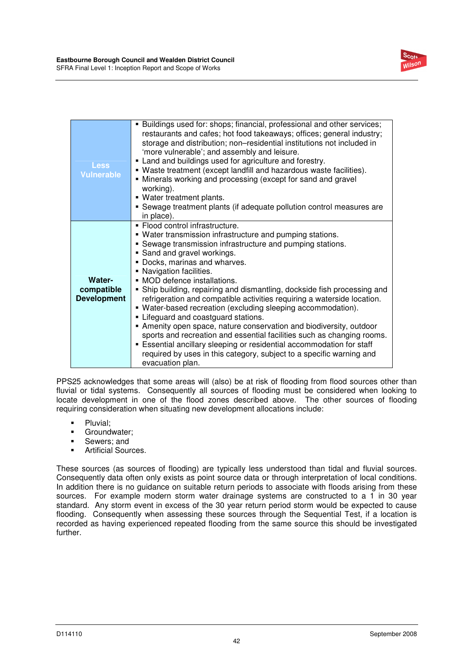

| <b>Less</b><br><b>Vulnerable</b>           | • Buildings used for: shops; financial, professional and other services;<br>restaurants and cafes; hot food takeaways; offices; general industry;<br>storage and distribution; non-residential institutions not included in<br>'more vulnerable'; and assembly and leisure.<br>• Land and buildings used for agriculture and forestry.<br>• Waste treatment (except landfill and hazardous waste facilities).<br>• Minerals working and processing (except for sand and gravel<br>working).<br>• Water treatment plants.<br>• Sewage treatment plants (if adequate pollution control measures are<br>in place).                                                                                                                                                                                                                                                                |
|--------------------------------------------|--------------------------------------------------------------------------------------------------------------------------------------------------------------------------------------------------------------------------------------------------------------------------------------------------------------------------------------------------------------------------------------------------------------------------------------------------------------------------------------------------------------------------------------------------------------------------------------------------------------------------------------------------------------------------------------------------------------------------------------------------------------------------------------------------------------------------------------------------------------------------------|
| Water-<br>compatible<br><b>Development</b> | • Flood control infrastructure.<br>• Water transmission infrastructure and pumping stations.<br>• Sewage transmission infrastructure and pumping stations.<br>• Sand and gravel workings.<br>• Docks, marinas and wharves.<br>• Navigation facilities.<br>• MOD defence installations.<br>• Ship building, repairing and dismantling, dockside fish processing and<br>refrigeration and compatible activities requiring a waterside location.<br>• Water-based recreation (excluding sleeping accommodation).<br>- Lifeguard and coastguard stations.<br>Amenity open space, nature conservation and biodiversity, outdoor<br>sports and recreation and essential facilities such as changing rooms.<br><b>Essential ancillary sleeping or residential accommodation for staff</b><br>required by uses in this category, subject to a specific warning and<br>evacuation plan. |

PPS25 acknowledges that some areas will (also) be at risk of flooding from flood sources other than fluvial or tidal systems. Consequently all sources of flooding must be considered when looking to locate development in one of the flood zones described above. The other sources of flooding requiring consideration when situating new development allocations include:

- **Pluvial:**
- Groundwater;
- **Sewers**: and
- Artificial Sources.

These sources (as sources of flooding) are typically less understood than tidal and fluvial sources. Consequently data often only exists as point source data or through interpretation of local conditions. In addition there is no guidance on suitable return periods to associate with floods arising from these sources. For example modern storm water drainage systems are constructed to a 1 in 30 year standard. Any storm event in excess of the 30 year return period storm would be expected to cause flooding. Consequently when assessing these sources through the Sequential Test, if a location is recorded as having experienced repeated flooding from the same source this should be investigated further.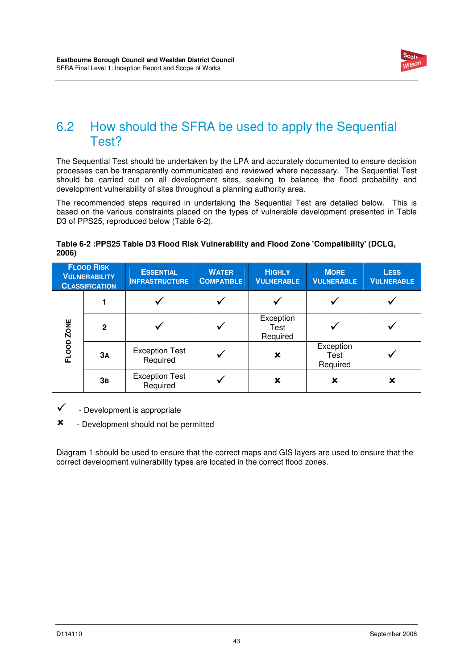

## 6.2 How should the SFRA be used to apply the Sequential Test?

The Sequential Test should be undertaken by the LPA and accurately documented to ensure decision processes can be transparently communicated and reviewed where necessary. The Sequential Test should be carried out on all development sites, seeking to balance the flood probability and development vulnerability of sites throughout a planning authority area.

The recommended steps required in undertaking the Sequential Test are detailed below. This is based on the various constraints placed on the types of vulnerable development presented in Table D3 of PPS25, reproduced below (Table 6-2).

#### **Table 6-2 :PPS25 Table D3 Flood Risk Vulnerability and Flood Zone 'Compatibility' (DCLG, 2006)**

| <b>FLOOD RISK</b><br><b>VULNERABILITY</b><br><b>CLASSIFICATION</b> |              | <b>ESSENTIAL</b><br><b>INFRASTRUCTURE</b> | <b>WATER</b><br><b>COMPATIBLE</b> | <b>HIGHLY</b><br><b>VULNERABLE</b> | <b>MORE</b><br><b>VULNERABLE</b> | <b>LESS</b><br><b>VULNERABLE</b> |
|--------------------------------------------------------------------|--------------|-------------------------------------------|-----------------------------------|------------------------------------|----------------------------------|----------------------------------|
|                                                                    |              |                                           |                                   |                                    |                                  |                                  |
| FLOOD ZONE                                                         | $\mathbf{2}$ |                                           |                                   | Exception<br>Test<br>Required      |                                  |                                  |
|                                                                    | 3A           | <b>Exception Test</b><br>Required         |                                   | ×                                  | Exception<br>Test<br>Required    |                                  |
|                                                                    | 3B           | <b>Exception Test</b><br>Required         |                                   | x                                  | x                                |                                  |

 $\checkmark$ - Development is appropriate

- Development should not be permitted

Diagram 1 should be used to ensure that the correct maps and GIS layers are used to ensure that the correct development vulnerability types are located in the correct flood zones.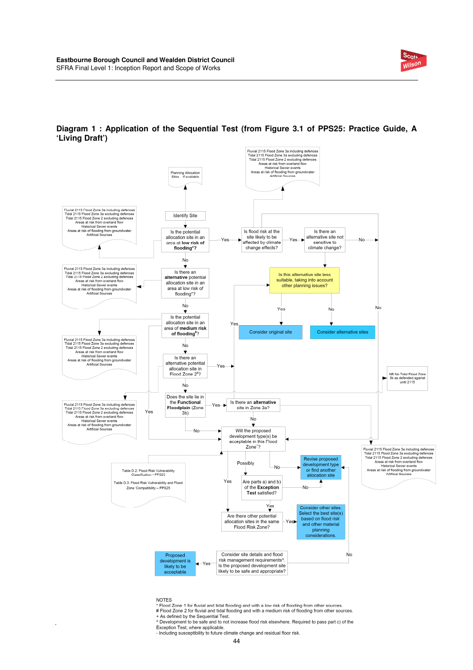

#### **Diagram 1 : Application of the Sequential Test (from Figure 3.1 of PPS25: Practice Guide, A 'Living Draft')**



**NOTES** 

l,

אור או ב- Nor Es<br>\* Flood Zone 1 for fluvial and tidal flooding and with a low risk of flooding from other sources.<br># Flood Zone 2 for fluvial and tidal flooding and with a medium risk of flooding from other sources.

+ As defined by the Sequential Test.

^ Development to be safe and to not increase flood risk elsewhere. Required to pass part c) of the Exception Test, where applicable.

- Including susceptibility to future climate change and residual floor risk.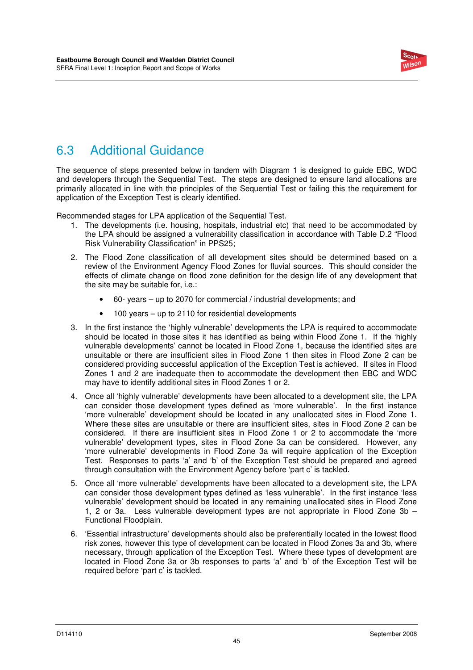

## 6.3 Additional Guidance

The sequence of steps presented below in tandem with Diagram 1 is designed to guide EBC, WDC and developers through the Sequential Test. The steps are designed to ensure land allocations are primarily allocated in line with the principles of the Sequential Test or failing this the requirement for application of the Exception Test is clearly identified.

Recommended stages for LPA application of the Sequential Test.

- 1. The developments (i.e. housing, hospitals, industrial etc) that need to be accommodated by the LPA should be assigned a vulnerability classification in accordance with Table D.2 "Flood Risk Vulnerability Classification" in PPS25;
- 2. The Flood Zone classification of all development sites should be determined based on a review of the Environment Agency Flood Zones for fluvial sources. This should consider the effects of climate change on flood zone definition for the design life of any development that the site may be suitable for, i.e.:
	- 60- years up to 2070 for commercial / industrial developments; and
	- 100 years  $-$  up to 2110 for residential developments
- 3. In the first instance the 'highly vulnerable' developments the LPA is required to accommodate should be located in those sites it has identified as being within Flood Zone 1. If the 'highly vulnerable developments' cannot be located in Flood Zone 1, because the identified sites are unsuitable or there are insufficient sites in Flood Zone 1 then sites in Flood Zone 2 can be considered providing successful application of the Exception Test is achieved. If sites in Flood Zones 1 and 2 are inadequate then to accommodate the development then EBC and WDC may have to identify additional sites in Flood Zones 1 or 2.
- 4. Once all 'highly vulnerable' developments have been allocated to a development site, the LPA can consider those development types defined as 'more vulnerable'. In the first instance 'more vulnerable' development should be located in any unallocated sites in Flood Zone 1. Where these sites are unsuitable or there are insufficient sites, sites in Flood Zone 2 can be considered. If there are insufficient sites in Flood Zone 1 or 2 to accommodate the 'more vulnerable' development types, sites in Flood Zone 3a can be considered. However, any 'more vulnerable' developments in Flood Zone 3a will require application of the Exception Test. Responses to parts 'a' and 'b' of the Exception Test should be prepared and agreed through consultation with the Environment Agency before 'part c' is tackled.
- 5. Once all 'more vulnerable' developments have been allocated to a development site, the LPA can consider those development types defined as 'less vulnerable'. In the first instance 'less vulnerable' development should be located in any remaining unallocated sites in Flood Zone 1, 2 or 3a. Less vulnerable development types are not appropriate in Flood Zone 3b – Functional Floodplain.
- 6. 'Essential infrastructure' developments should also be preferentially located in the lowest flood risk zones, however this type of development can be located in Flood Zones 3a and 3b, where necessary, through application of the Exception Test. Where these types of development are located in Flood Zone 3a or 3b responses to parts 'a' and 'b' of the Exception Test will be required before 'part c' is tackled.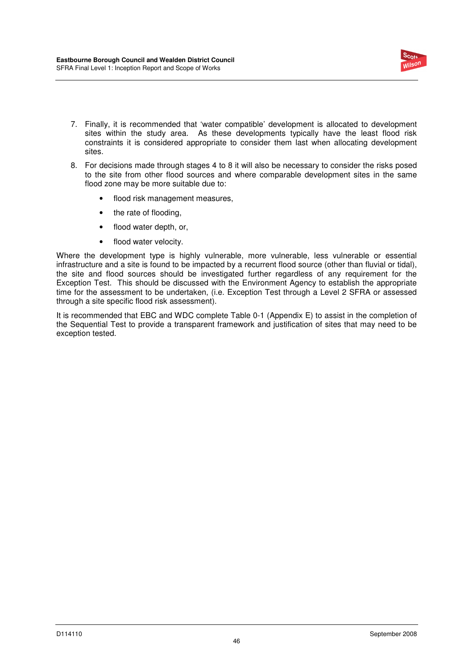

- 7. Finally, it is recommended that 'water compatible' development is allocated to development sites within the study area. As these developments typically have the least flood risk constraints it is considered appropriate to consider them last when allocating development sites.
- 8. For decisions made through stages 4 to 8 it will also be necessary to consider the risks posed to the site from other flood sources and where comparable development sites in the same flood zone may be more suitable due to:
	- flood risk management measures,
	- the rate of flooding,
	- flood water depth, or,
	- flood water velocity.

Where the development type is highly vulnerable, more vulnerable, less vulnerable or essential infrastructure and a site is found to be impacted by a recurrent flood source (other than fluvial or tidal), the site and flood sources should be investigated further regardless of any requirement for the Exception Test. This should be discussed with the Environment Agency to establish the appropriate time for the assessment to be undertaken, (i.e. Exception Test through a Level 2 SFRA or assessed through a site specific flood risk assessment).

It is recommended that EBC and WDC complete Table 0-1 (Appendix E) to assist in the completion of the Sequential Test to provide a transparent framework and justification of sites that may need to be exception tested.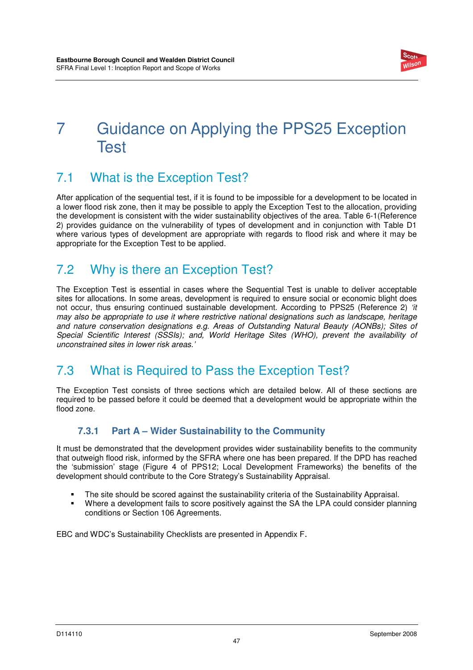

# 7 Guidance on Applying the PPS25 Exception Test

## 7.1 What is the Exception Test?

After application of the sequential test, if it is found to be impossible for a development to be located in a lower flood risk zone, then it may be possible to apply the Exception Test to the allocation, providing the development is consistent with the wider sustainability objectives of the area. Table 6-1(Reference 2) provides guidance on the vulnerability of types of development and in conjunction with Table D1 where various types of development are appropriate with regards to flood risk and where it may be appropriate for the Exception Test to be applied.

## 7.2 Why is there an Exception Test?

The Exception Test is essential in cases where the Sequential Test is unable to deliver acceptable sites for allocations. In some areas, development is required to ensure social or economic blight does not occur, thus ensuring continued sustainable development. According to PPS25 (Reference 2) 'it may also be appropriate to use it where restrictive national designations such as landscape, heritage and nature conservation designations e.g. Areas of Outstanding Natural Beauty (AONBs); Sites of Special Scientific Interest (SSSIs); and, World Heritage Sites (WHO), prevent the availability of unconstrained sites in lower risk areas.'

## 7.3 What is Required to Pass the Exception Test?

The Exception Test consists of three sections which are detailed below. All of these sections are required to be passed before it could be deemed that a development would be appropriate within the flood zone.

### **7.3.1 Part A – Wider Sustainability to the Community**

It must be demonstrated that the development provides wider sustainability benefits to the community that outweigh flood risk, informed by the SFRA where one has been prepared. If the DPD has reached the 'submission' stage (Figure 4 of PPS12; Local Development Frameworks) the benefits of the development should contribute to the Core Strategy's Sustainability Appraisal.

- The site should be scored against the sustainability criteria of the Sustainability Appraisal.
- Where a development fails to score positively against the SA the LPA could consider planning conditions or Section 106 Agreements.

EBC and WDC's Sustainability Checklists are presented in Appendix F.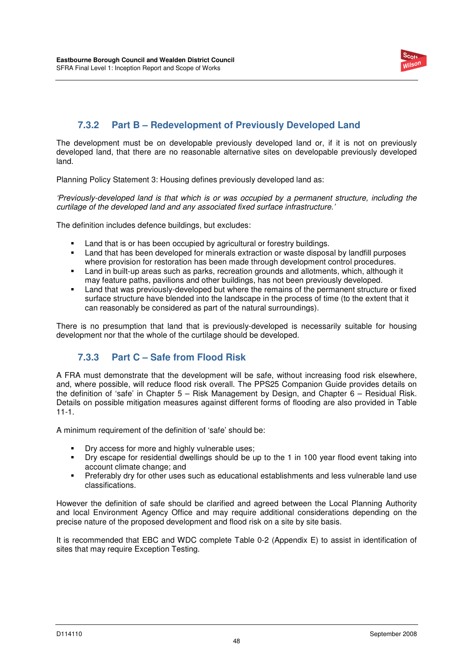

### **7.3.2 Part B – Redevelopment of Previously Developed Land**

The development must be on developable previously developed land or, if it is not on previously developed land, that there are no reasonable alternative sites on developable previously developed land.

Planning Policy Statement 3: Housing defines previously developed land as:

'Previously-developed land is that which is or was occupied by a permanent structure, including the curtilage of the developed land and any associated fixed surface infrastructure.'

The definition includes defence buildings, but excludes:

- Land that is or has been occupied by agricultural or forestry buildings.
- Land that has been developed for minerals extraction or waste disposal by landfill purposes where provision for restoration has been made through development control procedures.
- Land in built-up areas such as parks, recreation grounds and allotments, which, although it may feature paths, pavilions and other buildings, has not been previously developed.
- Land that was previously-developed but where the remains of the permanent structure or fixed surface structure have blended into the landscape in the process of time (to the extent that it can reasonably be considered as part of the natural surroundings).

There is no presumption that land that is previously-developed is necessarily suitable for housing development nor that the whole of the curtilage should be developed.

### **7.3.3 Part C – Safe from Flood Risk**

A FRA must demonstrate that the development will be safe, without increasing food risk elsewhere, and, where possible, will reduce flood risk overall. The PPS25 Companion Guide provides details on the definition of 'safe' in Chapter 5 – Risk Management by Design, and Chapter 6 – Residual Risk. Details on possible mitigation measures against different forms of flooding are also provided in Table 11-1.

A minimum requirement of the definition of 'safe' should be:

- Dry access for more and highly vulnerable uses;
- Dry escape for residential dwellings should be up to the 1 in 100 year flood event taking into account climate change; and
- **Preferably dry for other uses such as educational establishments and less vulnerable land use** classifications.

However the definition of safe should be clarified and agreed between the Local Planning Authority and local Environment Agency Office and may require additional considerations depending on the precise nature of the proposed development and flood risk on a site by site basis.

It is recommended that EBC and WDC complete Table 0-2 (Appendix E) to assist in identification of sites that may require Exception Testing.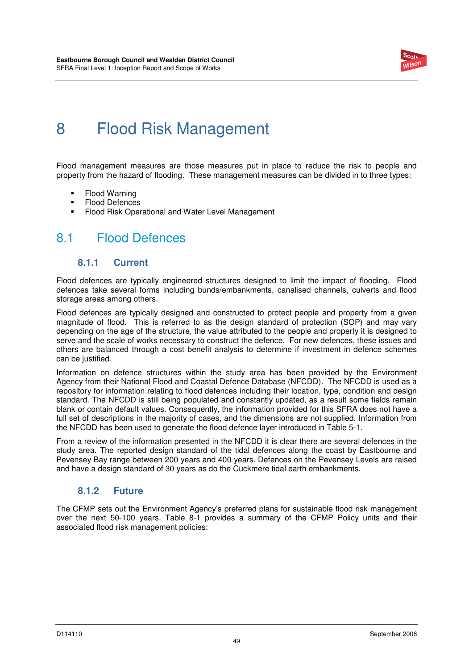

# 8 Flood Risk Management

Flood management measures are those measures put in place to reduce the risk to people and property from the hazard of flooding. These management measures can be divided in to three types:

- Flood Warning
- **Flood Defences**
- **Flood Risk Operational and Water Level Management**

## 8.1 Flood Defences

#### **8.1.1 Current**

Flood defences are typically engineered structures designed to limit the impact of flooding. Flood defences take several forms including bunds/embankments, canalised channels, culverts and flood storage areas among others.

Flood defences are typically designed and constructed to protect people and property from a given magnitude of flood. This is referred to as the design standard of protection (SOP) and may vary depending on the age of the structure, the value attributed to the people and property it is designed to serve and the scale of works necessary to construct the defence. For new defences, these issues and others are balanced through a cost benefit analysis to determine if investment in defence schemes can be justified.

Information on defence structures within the study area has been provided by the Environment Agency from their National Flood and Coastal Defence Database (NFCDD). The NFCDD is used as a repository for information relating to flood defences including their location, type, condition and design standard. The NFCDD is still being populated and constantly updated, as a result some fields remain blank or contain default values. Consequently, the information provided for this SFRA does not have a full set of descriptions in the majority of cases, and the dimensions are not supplied. Information from the NFCDD has been used to generate the flood defence layer introduced in Table 5-1.

From a review of the information presented in the NFCDD it is clear there are several defences in the study area. The reported design standard of the tidal defences along the coast by Eastbourne and Pevensey Bay range between 200 years and 400 years. Defences on the Pevensey Levels are raised and have a design standard of 30 years as do the Cuckmere tidal earth embankments.

#### **8.1.2 Future**

The CFMP sets out the Environment Agency's preferred plans for sustainable flood risk management over the next 50-100 years. Table 8-1 provides a summary of the CFMP Policy units and their associated flood risk management policies: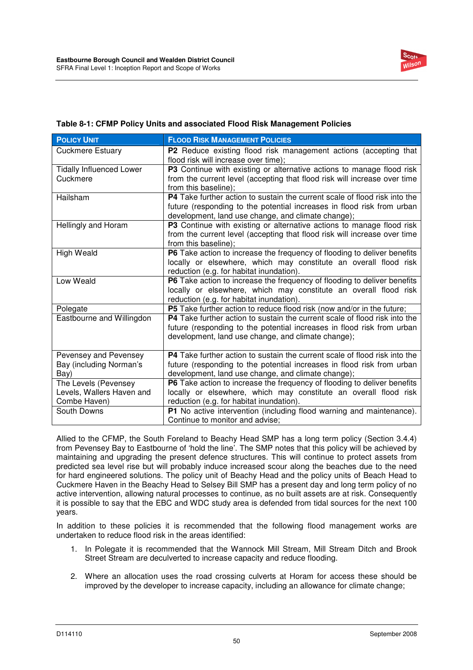

#### **Table 8-1: CFMP Policy Units and associated Flood Risk Management Policies**

| <b>POLICY UNIT</b>              | <b>FLOOD RISK MANAGEMENT POLICIES</b>                                                                                        |
|---------------------------------|------------------------------------------------------------------------------------------------------------------------------|
| <b>Cuckmere Estuary</b>         | P2 Reduce existing flood risk management actions (accepting that<br>flood risk will increase over time);                     |
| <b>Tidally Influenced Lower</b> | P3 Continue with existing or alternative actions to manage flood risk                                                        |
| Cuckmere                        | from the current level (accepting that flood risk will increase over time<br>from this baseline);                            |
| Hailsham                        | <b>P4</b> Take further action to sustain the current scale of flood risk into the                                            |
|                                 | future (responding to the potential increases in flood risk from urban<br>development, land use change, and climate change); |
| Hellingly and Horam             | P3 Continue with existing or alternative actions to manage flood risk                                                        |
|                                 | from the current level (accepting that flood risk will increase over time                                                    |
|                                 | from this baseline);                                                                                                         |
| High Weald                      | P6 Take action to increase the frequency of flooding to deliver benefits                                                     |
|                                 | locally or elsewhere, which may constitute an overall flood risk                                                             |
|                                 | reduction (e.g. for habitat inundation).                                                                                     |
| Low Weald                       | P6 Take action to increase the frequency of flooding to deliver benefits                                                     |
|                                 | locally or elsewhere, which may constitute an overall flood risk                                                             |
|                                 | reduction (e.g. for habitat inundation).                                                                                     |
| Polegate                        | P5 Take further action to reduce flood risk (now and/or in the future;                                                       |
| Eastbourne and Willingdon       | <b>P4</b> Take further action to sustain the current scale of flood risk into the                                            |
|                                 | future (responding to the potential increases in flood risk from urban                                                       |
|                                 | development, land use change, and climate change);                                                                           |
| Pevensey and Pevensey           | <b>P4</b> Take further action to sustain the current scale of flood risk into the                                            |
| Bay (including Norman's         | future (responding to the potential increases in flood risk from urban                                                       |
| Bay)                            | development, land use change, and climate change);                                                                           |
| The Levels (Pevensey            | P6 Take action to increase the frequency of flooding to deliver benefits                                                     |
| Levels, Wallers Haven and       | locally or elsewhere, which may constitute an overall flood risk                                                             |
| Combe Haven)                    | reduction (e.g. for habitat inundation).                                                                                     |
| South Downs                     | P1 No active intervention (including flood warning and maintenance).                                                         |
|                                 | Continue to monitor and advise;                                                                                              |

Allied to the CFMP, the South Foreland to Beachy Head SMP has a long term policy (Section 3.4.4) from Pevensey Bay to Eastbourne of 'hold the line'. The SMP notes that this policy will be achieved by maintaining and upgrading the present defence structures. This will continue to protect assets from predicted sea level rise but will probably induce increased scour along the beaches due to the need for hard engineered solutions. The policy unit of Beachy Head and the policy units of Beach Head to Cuckmere Haven in the Beachy Head to Selsey Bill SMP has a present day and long term policy of no active intervention, allowing natural processes to continue, as no built assets are at risk. Consequently it is possible to say that the EBC and WDC study area is defended from tidal sources for the next 100 years.

In addition to these policies it is recommended that the following flood management works are undertaken to reduce flood risk in the areas identified:

- 1. In Polegate it is recommended that the Wannock Mill Stream, Mill Stream Ditch and Brook Street Stream are deculverted to increase capacity and reduce flooding.
- 2. Where an allocation uses the road crossing culverts at Horam for access these should be improved by the developer to increase capacity, including an allowance for climate change;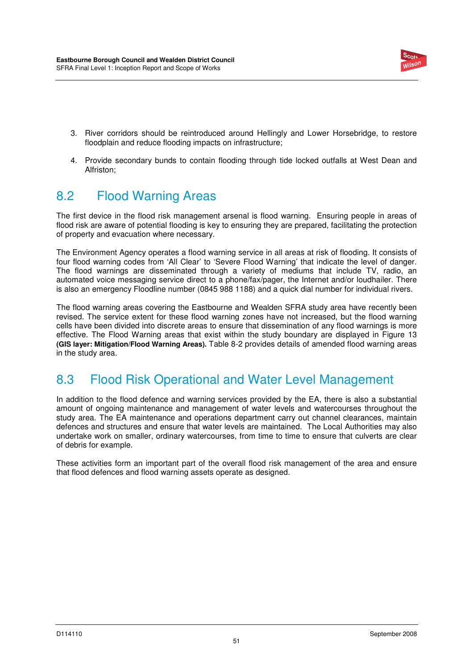

- 3. River corridors should be reintroduced around Hellingly and Lower Horsebridge, to restore floodplain and reduce flooding impacts on infrastructure;
- 4. Provide secondary bunds to contain flooding through tide locked outfalls at West Dean and Alfriston;

## 8.2 Flood Warning Areas

The first device in the flood risk management arsenal is flood warning. Ensuring people in areas of flood risk are aware of potential flooding is key to ensuring they are prepared, facilitating the protection of property and evacuation where necessary.

The Environment Agency operates a flood warning service in all areas at risk of flooding. It consists of four flood warning codes from 'All Clear' to 'Severe Flood Warning' that indicate the level of danger. The flood warnings are disseminated through a variety of mediums that include TV, radio, an automated voice messaging service direct to a phone/fax/pager, the Internet and/or loudhailer. There is also an emergency Floodline number (0845 988 1188) and a quick dial number for individual rivers.

The flood warning areas covering the Eastbourne and Wealden SFRA study area have recently been revised. The service extent for these flood warning zones have not increased, but the flood warning cells have been divided into discrete areas to ensure that dissemination of any flood warnings is more effective. The Flood Warning areas that exist within the study boundary are displayed in Figure 13 **(GIS layer: Mitigation/Flood Warning Areas).** Table 8-2 provides details of amended flood warning areas in the study area.

## 8.3 Flood Risk Operational and Water Level Management

In addition to the flood defence and warning services provided by the EA, there is also a substantial amount of ongoing maintenance and management of water levels and watercourses throughout the study area. The EA maintenance and operations department carry out channel clearances, maintain defences and structures and ensure that water levels are maintained. The Local Authorities may also undertake work on smaller, ordinary watercourses, from time to time to ensure that culverts are clear of debris for example.

These activities form an important part of the overall flood risk management of the area and ensure that flood defences and flood warning assets operate as designed.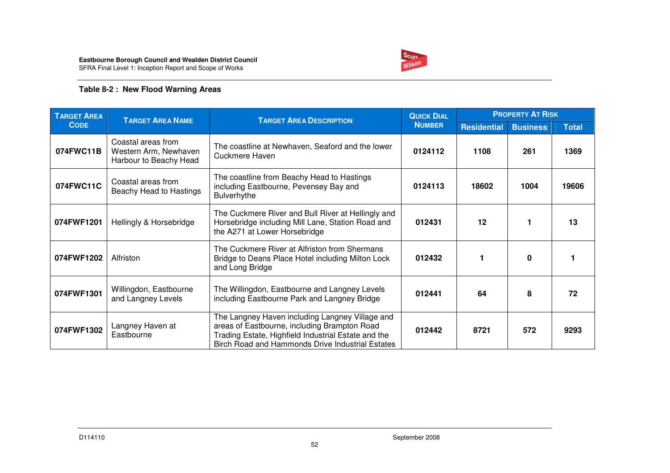

#### **Table 8-2 : New Flood Warning Areas**

| <b>TARGET AREA</b> | <b>TARGET AREA NAME</b>                                               | <b>TARGET AREA DESCRIPTION</b>                                                                                                                                                                             | <b>QUICK DIAL</b> | <b>PROPERTY AT RISK</b> |                 |              |
|--------------------|-----------------------------------------------------------------------|------------------------------------------------------------------------------------------------------------------------------------------------------------------------------------------------------------|-------------------|-------------------------|-----------------|--------------|
| <b>CODE</b>        |                                                                       |                                                                                                                                                                                                            | <b>NUMBER</b>     | <b>Residential</b>      | <b>Business</b> | <b>Total</b> |
| 074FWC11B          | Coastal areas from<br>Western Arm, Newhaven<br>Harbour to Beachy Head | The coastline at Newhaven, Seaford and the lower<br>Cuckmere Haven                                                                                                                                         | 0124112           | 1108                    | 261             | 1369         |
| 074FWC11C          | Coastal areas from<br>Beachy Head to Hastings                         | The coastline from Beachy Head to Hastings<br>including Eastbourne, Pevensey Bay and<br>Bulverhythe                                                                                                        | 0124113           | 18602                   | 1004            | 19606        |
| 074FWF1201         | Hellingly & Horsebridge                                               | The Cuckmere River and Bull River at Hellingly and<br>Horsebridge including Mill Lane, Station Road and<br>the A271 at Lower Horsebridge                                                                   | 012431            | $12 \,$                 | 1               | 13           |
| 074FWF1202         | Alfriston                                                             | The Cuckmere River at Alfriston from Shermans<br>Bridge to Deans Place Hotel including Milton Lock<br>and Long Bridge                                                                                      | 012432            |                         | $\bf{0}$        |              |
| 074FWF1301         | Willingdon, Eastbourne<br>and Langney Levels                          | The Willingdon, Eastbourne and Langney Levels<br>including Eastbourne Park and Langney Bridge                                                                                                              | 012441            | 64                      | 8               | 72           |
| 074FWF1302         | Langney Haven at<br>Eastbourne                                        | The Langney Haven including Langney Village and<br>areas of Eastbourne, including Brampton Road<br>Trading Estate, Highfield Industrial Estate and the<br>Birch Road and Hammonds Drive Industrial Estates | 012442            | 8721                    | 572             | 9293         |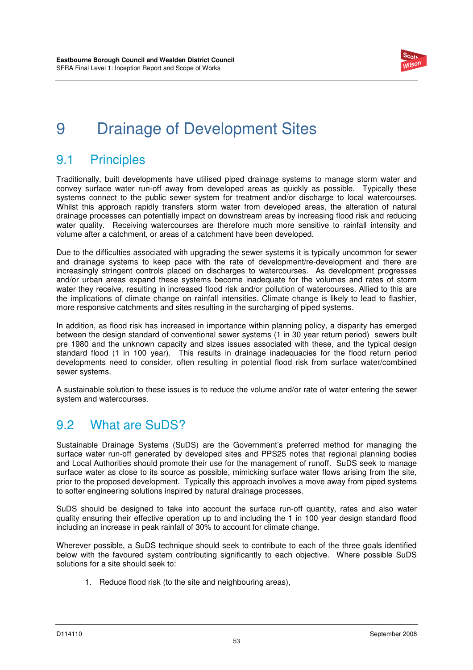

# 9 Drainage of Development Sites

## 9.1 Principles

Traditionally, built developments have utilised piped drainage systems to manage storm water and convey surface water run-off away from developed areas as quickly as possible. Typically these systems connect to the public sewer system for treatment and/or discharge to local watercourses. Whilst this approach rapidly transfers storm water from developed areas, the alteration of natural drainage processes can potentially impact on downstream areas by increasing flood risk and reducing water quality. Receiving watercourses are therefore much more sensitive to rainfall intensity and volume after a catchment, or areas of a catchment have been developed.

Due to the difficulties associated with upgrading the sewer systems it is typically uncommon for sewer and drainage systems to keep pace with the rate of development/re-development and there are increasingly stringent controls placed on discharges to watercourses. As development progresses and/or urban areas expand these systems become inadequate for the volumes and rates of storm water they receive, resulting in increased flood risk and/or pollution of watercourses. Allied to this are the implications of climate change on rainfall intensities. Climate change is likely to lead to flashier, more responsive catchments and sites resulting in the surcharging of piped systems.

In addition, as flood risk has increased in importance within planning policy, a disparity has emerged between the design standard of conventional sewer systems (1 in 30 year return period) sewers built pre 1980 and the unknown capacity and sizes issues associated with these, and the typical design standard flood (1 in 100 year). This results in drainage inadequacies for the flood return period developments need to consider, often resulting in potential flood risk from surface water/combined sewer systems.

A sustainable solution to these issues is to reduce the volume and/or rate of water entering the sewer system and watercourses.

## 9.2 What are SuDS?

Sustainable Drainage Systems (SuDS) are the Government's preferred method for managing the surface water run-off generated by developed sites and PPS25 notes that regional planning bodies and Local Authorities should promote their use for the management of runoff. SuDS seek to manage surface water as close to its source as possible, mimicking surface water flows arising from the site, prior to the proposed development. Typically this approach involves a move away from piped systems to softer engineering solutions inspired by natural drainage processes.

SuDS should be designed to take into account the surface run-off quantity, rates and also water quality ensuring their effective operation up to and including the 1 in 100 year design standard flood including an increase in peak rainfall of 30% to account for climate change.

Wherever possible, a SuDS technique should seek to contribute to each of the three goals identified below with the favoured system contributing significantly to each objective. Where possible SuDS solutions for a site should seek to:

1. Reduce flood risk (to the site and neighbouring areas),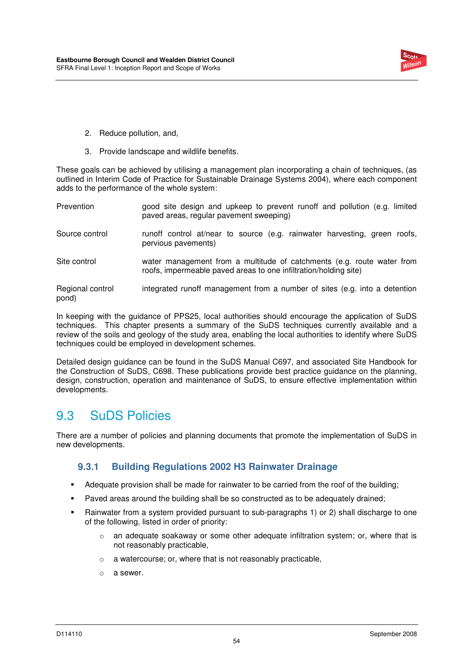

- 2. Reduce pollution, and,
- 3. Provide landscape and wildlife benefits.

These goals can be achieved by utilising a management plan incorporating a chain of techniques, (as outlined in Interim Code of Practice for Sustainable Drainage Systems 2004), where each component adds to the performance of the whole system:

| Prevention                | good site design and upkeep to prevent runoff and pollution (e.g. limited<br>paved areas, regular pavement sweeping)                       |
|---------------------------|--------------------------------------------------------------------------------------------------------------------------------------------|
| Source control            | runoff control at/near to source (e.g. rainwater harvesting, green roofs,<br>pervious pavements)                                           |
| Site control              | water management from a multitude of catchments (e.g. route water from<br>roofs, impermeable paved areas to one infiltration/holding site) |
| Regional control<br>pond) | integrated runoff management from a number of sites (e.g. into a detention                                                                 |

In keeping with the guidance of PPS25, local authorities should encourage the application of SuDS techniques. This chapter presents a summary of the SuDS techniques currently available and a review of the soils and geology of the study area, enabling the local authorities to identify where SuDS techniques could be employed in development schemes.

Detailed design guidance can be found in the SuDS Manual C697, and associated Site Handbook for the Construction of SuDS, C698. These publications provide best practice guidance on the planning, design, construction, operation and maintenance of SuDS, to ensure effective implementation within developments.

## 9.3 SuDS Policies

There are a number of policies and planning documents that promote the implementation of SuDS in new developments.

#### **9.3.1 Building Regulations 2002 H3 Rainwater Drainage**

- Adequate provision shall be made for rainwater to be carried from the roof of the building;
- Paved areas around the building shall be so constructed as to be adequately drained;
- Rainwater from a system provided pursuant to sub-paragraphs 1) or 2) shall discharge to one of the following, listed in order of priority:
	- $\circ$  an adequate soakaway or some other adequate infiltration system; or, where that is not reasonably practicable,
	- o a watercourse; or, where that is not reasonably practicable,
	- $\circ$  a cower.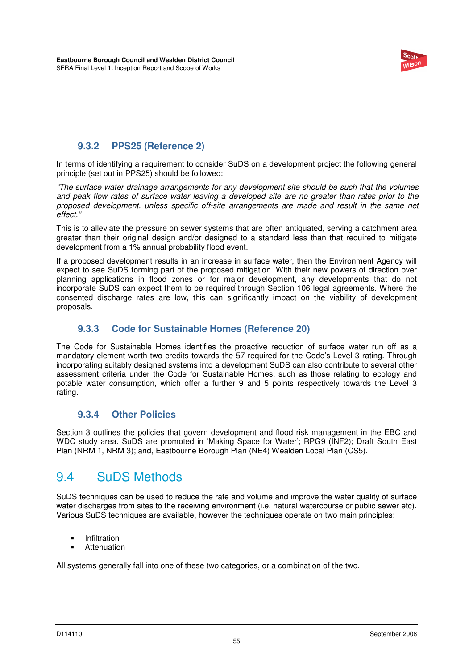

### **9.3.2 PPS25 (Reference 2)**

In terms of identifying a requirement to consider SuDS on a development project the following general principle (set out in PPS25) should be followed:

"The surface water drainage arrangements for any development site should be such that the volumes and peak flow rates of surface water leaving a developed site are no greater than rates prior to the proposed development, unless specific off-site arrangements are made and result in the same net effect."

This is to alleviate the pressure on sewer systems that are often antiquated, serving a catchment area greater than their original design and/or designed to a standard less than that required to mitigate development from a 1% annual probability flood event.

If a proposed development results in an increase in surface water, then the Environment Agency will expect to see SuDS forming part of the proposed mitigation. With their new powers of direction over planning applications in flood zones or for major development, any developments that do not incorporate SuDS can expect them to be required through Section 106 legal agreements. Where the consented discharge rates are low, this can significantly impact on the viability of development proposals.

### **9.3.3 Code for Sustainable Homes (Reference 20)**

The Code for Sustainable Homes identifies the proactive reduction of surface water run off as a mandatory element worth two credits towards the 57 required for the Code's Level 3 rating. Through incorporating suitably designed systems into a development SuDS can also contribute to several other assessment criteria under the Code for Sustainable Homes, such as those relating to ecology and potable water consumption, which offer a further 9 and 5 points respectively towards the Level 3 rating.

#### **9.3.4 Other Policies**

Section 3 outlines the policies that govern development and flood risk management in the EBC and WDC study area. SuDS are promoted in 'Making Space for Water'; RPG9 (INF2); Draft South East Plan (NRM 1, NRM 3); and, Eastbourne Borough Plan (NE4) Wealden Local Plan (CS5).

## 9.4 SuDS Methods

SuDS techniques can be used to reduce the rate and volume and improve the water quality of surface water discharges from sites to the receiving environment (i.e. natural watercourse or public sewer etc). Various SuDS techniques are available, however the techniques operate on two main principles:

- Infiltration
- Attenuation

All systems generally fall into one of these two categories, or a combination of the two.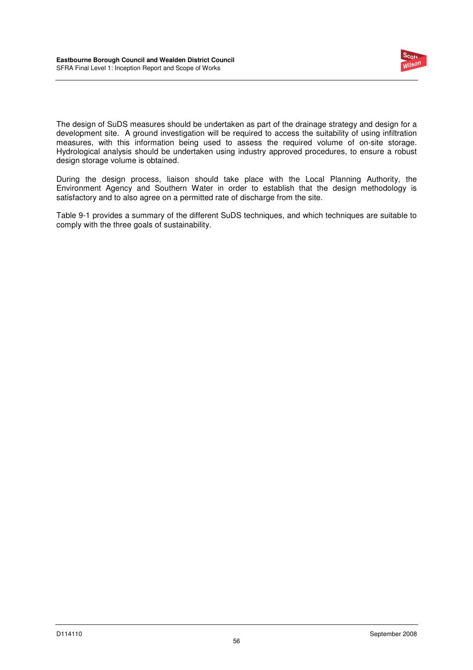

The design of SuDS measures should be undertaken as part of the drainage strategy and design for a development site. A ground investigation will be required to access the suitability of using infiltration measures, with this information being used to assess the required volume of on-site storage. Hydrological analysis should be undertaken using industry approved procedures, to ensure a robust design storage volume is obtained.

During the design process, liaison should take place with the Local Planning Authority, the Environment Agency and Southern Water in order to establish that the design methodology is satisfactory and to also agree on a permitted rate of discharge from the site.

Table 9-1 provides a summary of the different SuDS techniques, and which techniques are suitable to comply with the three goals of sustainability.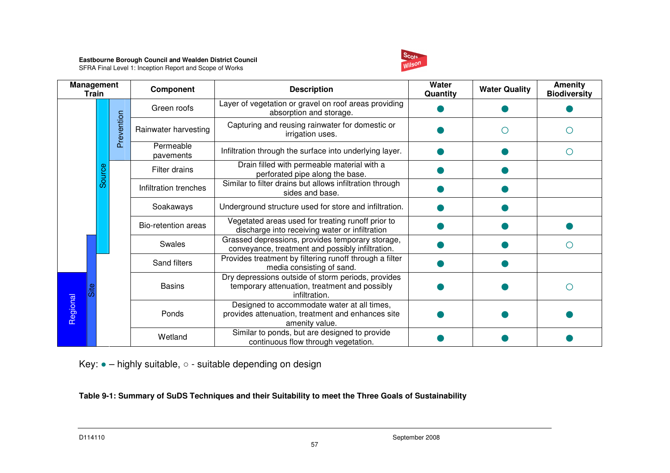#### **Eastbourne Borough Council and Wealden District Council**

SFRA Final Level 1: Inception Report and Scope of Works



| <b>Management</b><br>Train |        |            | Component              | <b>Description</b>                                                                                                   | Water<br>Quantity | <b>Water Quality</b> | Amenity<br><b>Biodiversity</b> |
|----------------------------|--------|------------|------------------------|----------------------------------------------------------------------------------------------------------------------|-------------------|----------------------|--------------------------------|
|                            |        |            | Green roofs            | Layer of vegetation or gravel on roof areas providing<br>absorption and storage.                                     |                   |                      |                                |
|                            |        | Prevention | Rainwater harvesting   | Capturing and reusing rainwater for domestic or<br>irrigation uses.                                                  |                   |                      |                                |
|                            |        |            | Permeable<br>pavements | Infiltration through the surface into underlying layer.                                                              |                   |                      | $\bigcirc$                     |
|                            | Source |            | Filter drains          | Drain filled with permeable material with a<br>perforated pipe along the base.                                       |                   |                      |                                |
|                            |        |            | Infiltration trenches  | Similar to filter drains but allows infiltration through<br>sides and base.                                          |                   |                      |                                |
|                            |        |            | Soakaways              | Underground structure used for store and infiltration.                                                               |                   |                      |                                |
|                            |        |            | Bio-retention areas    | Vegetated areas used for treating runoff prior to<br>discharge into receiving water or infiltration                  |                   |                      |                                |
|                            |        |            | Swales                 | Grassed depressions, provides temporary storage,<br>conveyance, treatment and possibly infiltration.                 |                   |                      | O                              |
|                            |        |            | Sand filters           | Provides treatment by filtering runoff through a filter<br>media consisting of sand.                                 |                   |                      |                                |
|                            |        |            | <b>Basins</b>          | Dry depressions outside of storm periods, provides<br>temporary attenuation, treatment and possibly<br>infiltration. |                   |                      |                                |
| Regional                   |        |            | Ponds                  | Designed to accommodate water at all times,<br>provides attenuation, treatment and enhances site<br>amenity value.   |                   |                      |                                |
|                            |        |            | Wetland                | Similar to ponds, but are designed to provide<br>continuous flow through vegetation.                                 |                   |                      |                                |

Key: ● – highly suitable, ○ - suitable depending on design

**Table 9-1: Summary of SuDS Techniques and their Suitability to meet the Three Goals of Sustainability**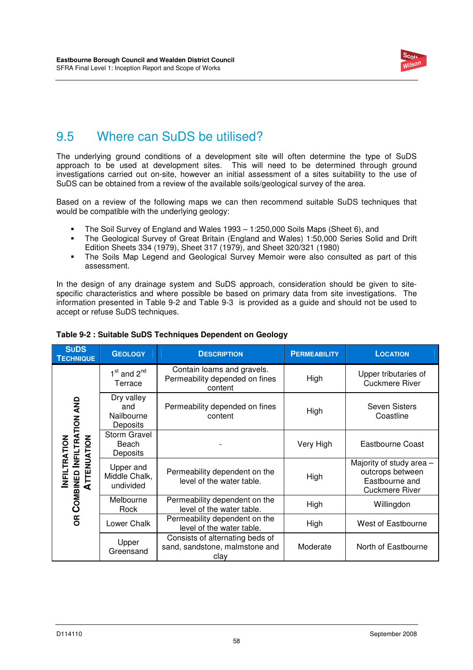

## 9.5 Where can SuDS be utilised?

The underlying ground conditions of a development site will often determine the type of SuDS approach to be used at development sites. This will need to be determined through ground investigations carried out on-site, however an initial assessment of a sites suitability to the use of SuDS can be obtained from a review of the available soils/geological survey of the area.

Based on a review of the following maps we can then recommend suitable SuDS techniques that would be compatible with the underlying geology:

- The Soil Survey of England and Wales 1993 1:250,000 Soils Maps (Sheet 6), and
- The Geological Survey of Great Britain (England and Wales) 1:50,000 Series Solid and Drift Edition Sheets 334 (1979), Sheet 317 (1979), and Sheet 320/321 (1980)
- The Soils Map Legend and Geological Survey Memoir were also consulted as part of this assessment.

In the design of any drainage system and SuDS approach, consideration should be given to sitespecific characteristics and where possible be based on primary data from site investigations. The information presented in Table 9-2 and Table 9-3 is provided as a guide and should not be used to accept or refuse SuDS techniques.

| <b>SUDS</b><br><b>TECHNIQUE</b>                                        | <b>GEOLOGY</b><br><b>DESCRIPTION</b>               |                                                                           | <b>PERMEABILITY</b> | <b>LOCATION</b>                                                                         |
|------------------------------------------------------------------------|----------------------------------------------------|---------------------------------------------------------------------------|---------------------|-----------------------------------------------------------------------------------------|
|                                                                        | $1st$ and $2nd$<br>Terrace                         | Contain loams and gravels.<br>Permeability depended on fines<br>content   | High                | Upper tributaries of<br><b>Cuckmere River</b>                                           |
|                                                                        | Dry valley<br>and<br>Nailbourne<br><b>Deposits</b> | Permeability depended on fines<br>content                                 | High                | <b>Seven Sisters</b><br>Coastline                                                       |
|                                                                        | <b>Storm Gravel</b><br>Beach<br><b>Deposits</b>    |                                                                           | Very High           | Eastbourne Coast                                                                        |
| <b>COMBINED INFILTRATION AND</b><br>ATTENUATION<br><b>INFILTRATION</b> | Upper and<br>Middle Chalk,<br>undivided            | Permeability dependent on the<br>level of the water table.                | High                | Majority of study area -<br>outcrops between<br>Eastbourne and<br><b>Cuckmere River</b> |
|                                                                        | Melbourne<br>Rock                                  | Permeability dependent on the<br>level of the water table.                | High                | Willingdon                                                                              |
| $\overline{6}$                                                         | Lower Chalk                                        | Permeability dependent on the<br>level of the water table.                | High                | West of Eastbourne                                                                      |
|                                                                        | Upper<br>Greensand                                 | Consists of alternating beds of<br>sand, sandstone, malmstone and<br>clay | Moderate            | North of Eastbourne                                                                     |

#### **Table 9-2 : Suitable SuDS Techniques Dependent on Geology**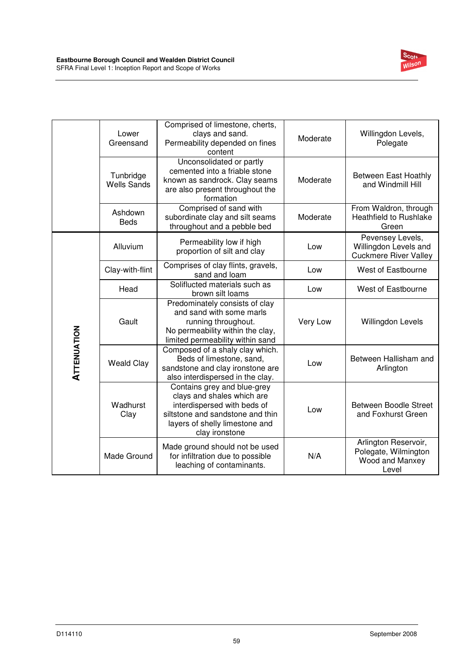

|             | Lower<br>Greensand              | Comprised of limestone, cherts,<br>clays and sand.<br>Permeability depended on fines<br>content                                                                                  | Moderate | Willingdon Levels,<br>Polegate                                            |
|-------------|---------------------------------|----------------------------------------------------------------------------------------------------------------------------------------------------------------------------------|----------|---------------------------------------------------------------------------|
|             | Tunbridge<br><b>Wells Sands</b> | Unconsolidated or partly<br>cemented into a friable stone<br>known as sandrock. Clay seams<br>are also present throughout the<br>formation                                       | Moderate | <b>Between East Hoathly</b><br>and Windmill Hill                          |
|             | Ashdown<br><b>Beds</b>          | Comprised of sand with<br>subordinate clay and silt seams<br>throughout and a pebble bed                                                                                         | Moderate | From Waldron, through<br><b>Heathfield to Rushlake</b><br>Green           |
|             | Alluvium                        | Permeability low if high<br>proportion of silt and clay                                                                                                                          | Low      | Pevensey Levels,<br>Willingdon Levels and<br><b>Cuckmere River Valley</b> |
|             | Clay-with-flint                 | Comprises of clay flints, gravels,<br>sand and loam                                                                                                                              | Low      | West of Eastbourne                                                        |
|             | Head                            | Soliflucted materials such as<br>brown silt loams                                                                                                                                | Low      | West of Eastbourne                                                        |
|             | Gault                           | Predominately consists of clay<br>and sand with some marls<br>running throughout.<br>No permeability within the clay,<br>limited permeability within sand                        | Very Low | Willingdon Levels                                                         |
| ATTENUATION | <b>Weald Clay</b>               | Composed of a shaly clay which.<br>Beds of limestone, sand,<br>sandstone and clay ironstone are<br>also interdispersed in the clay.                                              | Low      | Between Hallisham and<br>Arlington                                        |
|             | Wadhurst<br>Clay                | Contains grey and blue-grey<br>clays and shales which are<br>interdispersed with beds of<br>siltstone and sandstone and thin<br>layers of shelly limestone and<br>clay ironstone | Low      | <b>Between Boodle Street</b><br>and Foxhurst Green                        |
|             | Made Ground                     | Made ground should not be used<br>for infiltration due to possible<br>leaching of contaminants.                                                                                  | N/A      | Arlington Reservoir,<br>Polegate, Wilmington<br>Wood and Manxey<br>Level  |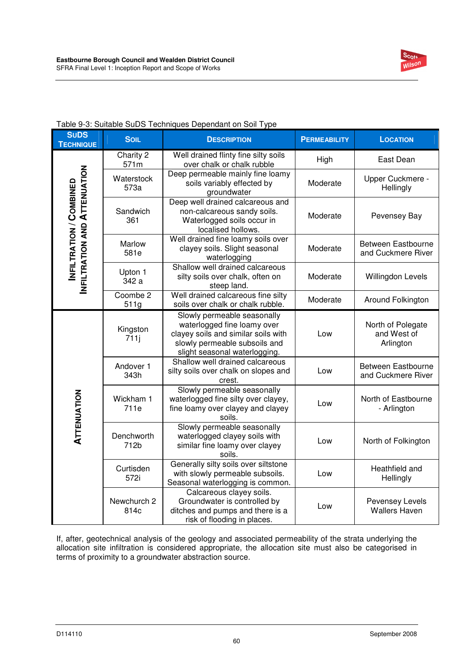| <b>SUDS</b><br><b>TECHNIQUE</b>                         | <b>SOIL</b>                  | rabic of or outlable oubor recimiques beperiudin on our rype<br><b>DESCRIPTION</b>                                                                                  | <b>PERMEABILITY</b> | <b>LOCATION</b>                               |
|---------------------------------------------------------|------------------------------|---------------------------------------------------------------------------------------------------------------------------------------------------------------------|---------------------|-----------------------------------------------|
| INFILTRATION AND ATTENUATION<br>INFILTRATION / COMBINED | Charity 2<br>571m            | Well drained flinty fine silty soils<br>over chalk or chalk rubble                                                                                                  | High                | East Dean                                     |
|                                                         | Waterstock<br>573a           | Deep permeable mainly fine loamy<br>soils variably effected by<br>groundwater                                                                                       | Moderate            | Upper Cuckmere -<br>Hellingly                 |
|                                                         | Sandwich<br>361              | Deep well drained calcareous and<br>non-calcareous sandy soils.<br>Waterlogged soils occur in<br>localised hollows.                                                 | Moderate            | Pevensey Bay                                  |
|                                                         | Marlow<br>581e               | Well drained fine loamy soils over<br>clayey soils. Slight seasonal<br>waterlogging                                                                                 | Moderate            | Between Eastbourne<br>and Cuckmere River      |
|                                                         | Upton 1<br>342 a             | Shallow well drained calcareous<br>silty soils over chalk, often on<br>steep land.                                                                                  | Moderate            | Willingdon Levels                             |
|                                                         | Coombe 2<br>511g             | Well drained calcareous fine silty<br>soils over chalk or chalk rubble.                                                                                             | Moderate            | Around Folkington                             |
|                                                         | Kingston<br>711 <sub>1</sub> | Slowly permeable seasonally<br>waterlogged fine loamy over<br>clayey soils and similar soils with<br>slowly permeable subsoils and<br>slight seasonal waterlogging. | Low                 | North of Polegate<br>and West of<br>Arlington |
|                                                         | Andover 1<br>343h            | Shallow well drained calcareous<br>silty soils over chalk on slopes and<br>crest.                                                                                   | Low                 | Between Eastbourne<br>and Cuckmere River      |
| <b>ATTENUATION</b>                                      | Wickham 1<br>711e            | Slowly permeable seasonally<br>waterlogged fine silty over clayey,<br>fine loamy over clayey and clayey<br>soils.                                                   | Low                 | North of Eastbourne<br>- Arlington            |
|                                                         | Denchworth<br>712b           | Slowly permeable seasonally<br>waterlogged clayey soils with<br>similar fine loamy over clayey<br>soils.                                                            | Low                 | North of Folkington                           |
|                                                         | Curtisden<br>572i            | Generally silty soils over siltstone<br>with slowly permeable subsoils.<br>Seasonal waterlogging is common.                                                         | Low                 | Heathfield and<br>Hellingly                   |
|                                                         | Newchurch 2<br>814c          | Calcareous clayey soils.<br>Groundwater is controlled by<br>ditches and pumps and there is a<br>risk of flooding in places.                                         | Low                 | Pevensey Levels<br><b>Wallers Haven</b>       |

#### Table 9-3: Suitable SuDS Techniques Dependant on Soil Type

If, after, geotechnical analysis of the geology and associated permeability of the strata underlying the allocation site infiltration is considered appropriate, the allocation site must also be categorised in terms of proximity to a groundwater abstraction source.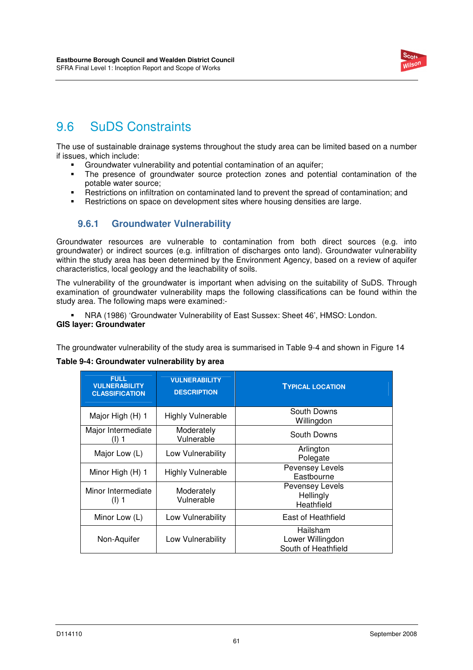

## 9.6 SuDS Constraints

The use of sustainable drainage systems throughout the study area can be limited based on a number if issues, which include:

- Groundwater vulnerability and potential contamination of an aquifer;
- The presence of groundwater source protection zones and potential contamination of the potable water source:
- Restrictions on infiltration on contaminated land to prevent the spread of contamination; and
- **Restrictions on space on development sites where housing densities are large.**

#### **9.6.1 Groundwater Vulnerability**

Groundwater resources are vulnerable to contamination from both direct sources (e.g. into groundwater) or indirect sources (e.g. infiltration of discharges onto land). Groundwater vulnerability within the study area has been determined by the Environment Agency, based on a review of aquifer characteristics, local geology and the leachability of soils.

The vulnerability of the groundwater is important when advising on the suitability of SuDS. Through examination of groundwater vulnerability maps the following classifications can be found within the study area. The following maps were examined:-

 NRA (1986) 'Groundwater Vulnerability of East Sussex: Sheet 46', HMSO: London. **GIS layer: Groundwater**

The groundwater vulnerability of the study area is summarised in Table 9-4 and shown in Figure 14

#### **Table 9-4: Groundwater vulnerability by area**

| <b>FULL</b><br><b>VULNERABILITY</b><br><b>CLASSIFICATION</b> | <b>VULNERABILITY</b><br><b>DESCRIPTION</b> | <b>TYPICAL LOCATION</b>                             |
|--------------------------------------------------------------|--------------------------------------------|-----------------------------------------------------|
| Major High (H) 1                                             | <b>Highly Vulnerable</b>                   | South Downs<br>Willingdon                           |
| Major Intermediate<br>(I) 1                                  | Moderately<br>Vulnerable                   | South Downs                                         |
| Major Low (L)                                                | Low Vulnerability                          | Arlington<br>Polegate                               |
| Minor High (H) 1                                             | <b>Highly Vulnerable</b>                   | Pevensey Levels<br>Eastbourne                       |
| Minor Intermediate<br>$(I)$ 1                                | Moderately<br>Vulnerable                   | Pevensey Levels<br>Hellingly<br>Heathfield          |
| Minor Low (L)                                                | Low Vulnerability                          | East of Heathfield                                  |
| Non-Aquifer                                                  | Low Vulnerability                          | Hailsham<br>Lower Willingdon<br>South of Heathfield |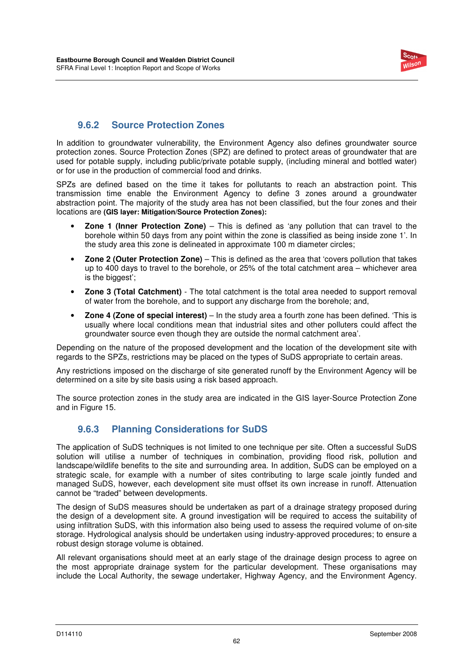

### **9.6.2 Source Protection Zones**

In addition to groundwater vulnerability, the Environment Agency also defines groundwater source protection zones. Source Protection Zones (SPZ) are defined to protect areas of groundwater that are used for potable supply, including public/private potable supply, (including mineral and bottled water) or for use in the production of commercial food and drinks.

SPZs are defined based on the time it takes for pollutants to reach an abstraction point. This transmission time enable the Environment Agency to define 3 zones around a groundwater abstraction point. The majority of the study area has not been classified, but the four zones and their locations are **(GIS layer: Mitigation/Source Protection Zones):**

- **Zone 1 (Inner Protection Zone)** This is defined as 'any pollution that can travel to the borehole within 50 days from any point within the zone is classified as being inside zone 1'. In the study area this zone is delineated in approximate 100 m diameter circles;
- **Zone 2 (Outer Protection Zone)** This is defined as the area that 'covers pollution that takes up to 400 days to travel to the borehole, or 25% of the total catchment area – whichever area is the biggest';
- **Zone 3 (Total Catchment)** The total catchment is the total area needed to support removal of water from the borehole, and to support any discharge from the borehole; and,
- **Zone 4 (Zone of special interest)**  In the study area a fourth zone has been defined. 'This is usually where local conditions mean that industrial sites and other polluters could affect the groundwater source even though they are outside the normal catchment area'.

Depending on the nature of the proposed development and the location of the development site with regards to the SPZs, restrictions may be placed on the types of SuDS appropriate to certain areas.

Any restrictions imposed on the discharge of site generated runoff by the Environment Agency will be determined on a site by site basis using a risk based approach.

The source protection zones in the study area are indicated in the GIS layer-Source Protection Zone and in Figure 15.

### **9.6.3 Planning Considerations for SuDS**

The application of SuDS techniques is not limited to one technique per site. Often a successful SuDS solution will utilise a number of techniques in combination, providing flood risk, pollution and landscape/wildlife benefits to the site and surrounding area. In addition, SuDS can be employed on a strategic scale, for example with a number of sites contributing to large scale jointly funded and managed SuDS, however, each development site must offset its own increase in runoff. Attenuation cannot be "traded" between developments.

The design of SuDS measures should be undertaken as part of a drainage strategy proposed during the design of a development site. A ground investigation will be required to access the suitability of using infiltration SuDS, with this information also being used to assess the required volume of on-site storage. Hydrological analysis should be undertaken using industry-approved procedures; to ensure a robust design storage volume is obtained.

All relevant organisations should meet at an early stage of the drainage design process to agree on the most appropriate drainage system for the particular development. These organisations may include the Local Authority, the sewage undertaker, Highway Agency, and the Environment Agency.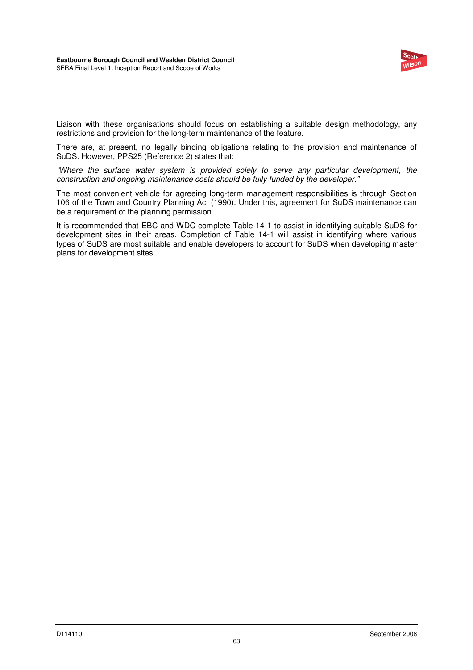

Liaison with these organisations should focus on establishing a suitable design methodology, any restrictions and provision for the long-term maintenance of the feature.

There are, at present, no legally binding obligations relating to the provision and maintenance of SuDS. However, PPS25 (Reference 2) states that:

"Where the surface water system is provided solely to serve any particular development, the construction and ongoing maintenance costs should be fully funded by the developer."

The most convenient vehicle for agreeing long-term management responsibilities is through Section 106 of the Town and Country Planning Act (1990). Under this, agreement for SuDS maintenance can be a requirement of the planning permission.

It is recommended that EBC and WDC complete Table 14-1 to assist in identifying suitable SuDS for development sites in their areas. Completion of Table 14-1 will assist in identifying where various types of SuDS are most suitable and enable developers to account for SuDS when developing master plans for development sites.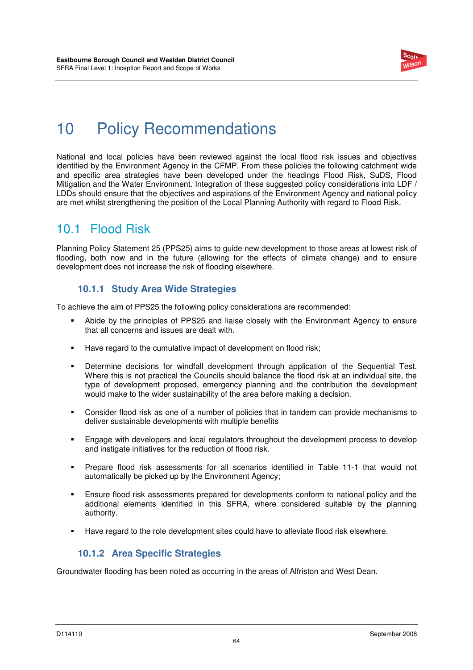

# 10 Policy Recommendations

National and local policies have been reviewed against the local flood risk issues and objectives identified by the Environment Agency in the CFMP. From these policies the following catchment wide and specific area strategies have been developed under the headings Flood Risk, SuDS, Flood Mitigation and the Water Environment. Integration of these suggested policy considerations into LDF / LDDs should ensure that the objectives and aspirations of the Environment Agency and national policy are met whilst strengthening the position of the Local Planning Authority with regard to Flood Risk.

## 10.1 Flood Risk

Planning Policy Statement 25 (PPS25) aims to guide new development to those areas at lowest risk of flooding, both now and in the future (allowing for the effects of climate change) and to ensure development does not increase the risk of flooding elsewhere.

### **10.1.1 Study Area Wide Strategies**

To achieve the aim of PPS25 the following policy considerations are recommended:

- Abide by the principles of PPS25 and liaise closely with the Environment Agency to ensure that all concerns and issues are dealt with.
- Have regard to the cumulative impact of development on flood risk:
- Determine decisions for windfall development through application of the Sequential Test. Where this is not practical the Councils should balance the flood risk at an individual site, the type of development proposed, emergency planning and the contribution the development would make to the wider sustainability of the area before making a decision.
- Consider flood risk as one of a number of policies that in tandem can provide mechanisms to deliver sustainable developments with multiple benefits
- Engage with developers and local regulators throughout the development process to develop and instigate initiatives for the reduction of flood risk.
- Prepare flood risk assessments for all scenarios identified in Table 11-1 that would not automatically be picked up by the Environment Agency;
- Ensure flood risk assessments prepared for developments conform to national policy and the additional elements identified in this SFRA, where considered suitable by the planning authority.
- Have regard to the role development sites could have to alleviate flood risk elsewhere.

### **10.1.2 Area Specific Strategies**

Groundwater flooding has been noted as occurring in the areas of Alfriston and West Dean.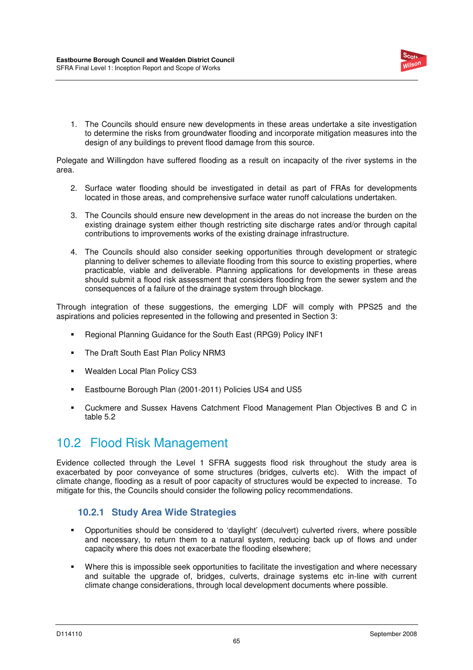

1. The Councils should ensure new developments in these areas undertake a site investigation to determine the risks from groundwater flooding and incorporate mitigation measures into the design of any buildings to prevent flood damage from this source.

Polegate and Willingdon have suffered flooding as a result on incapacity of the river systems in the area.

- 2. Surface water flooding should be investigated in detail as part of FRAs for developments located in those areas, and comprehensive surface water runoff calculations undertaken.
- 3. The Councils should ensure new development in the areas do not increase the burden on the existing drainage system either though restricting site discharge rates and/or through capital contributions to improvements works of the existing drainage infrastructure.
- 4. The Councils should also consider seeking opportunities through development or strategic planning to deliver schemes to alleviate flooding from this source to existing properties, where practicable, viable and deliverable. Planning applications for developments in these areas should submit a flood risk assessment that considers flooding from the sewer system and the consequences of a failure of the drainage system through blockage.

Through integration of these suggestions, the emerging LDF will comply with PPS25 and the aspirations and policies represented in the following and presented in Section 3:

- Regional Planning Guidance for the South East (RPG9) Policy INF1
- **The Draft South East Plan Policy NRM3**
- **Wealden Local Plan Policy CS3**
- **Eastbourne Borough Plan (2001-2011) Policies US4 and US5**
- Cuckmere and Sussex Havens Catchment Flood Management Plan Objectives B and C in table 5.2

## 10.2 Flood Risk Management

Evidence collected through the Level 1 SFRA suggests flood risk throughout the study area is exacerbated by poor conveyance of some structures (bridges, culverts etc). With the impact of climate change, flooding as a result of poor capacity of structures would be expected to increase. To mitigate for this, the Councils should consider the following policy recommendations.

#### **10.2.1 Study Area Wide Strategies**

- Opportunities should be considered to 'daylight' (deculvert) culverted rivers, where possible and necessary, to return them to a natural system, reducing back up of flows and under capacity where this does not exacerbate the flooding elsewhere;
- Where this is impossible seek opportunities to facilitate the investigation and where necessary and suitable the upgrade of, bridges, culverts, drainage systems etc in-line with current climate change considerations, through local development documents where possible.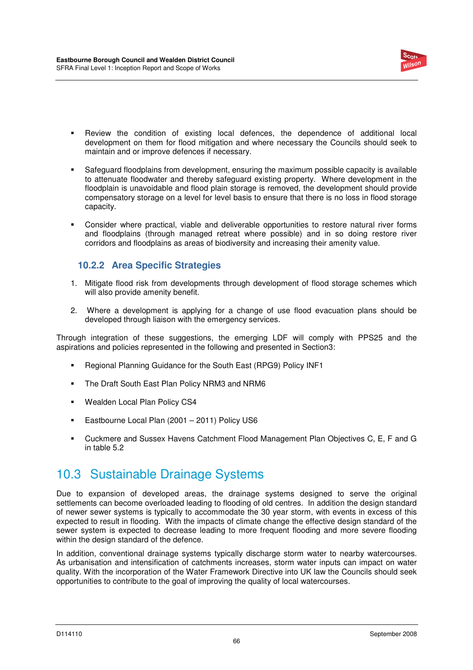

- Review the condition of existing local defences, the dependence of additional local development on them for flood mitigation and where necessary the Councils should seek to maintain and or improve defences if necessary.
- Safeguard floodplains from development, ensuring the maximum possible capacity is available to attenuate floodwater and thereby safeguard existing property. Where development in the floodplain is unavoidable and flood plain storage is removed, the development should provide compensatory storage on a level for level basis to ensure that there is no loss in flood storage capacity.
- Consider where practical, viable and deliverable opportunities to restore natural river forms and floodplains (through managed retreat where possible) and in so doing restore river corridors and floodplains as areas of biodiversity and increasing their amenity value.

## **10.2.2 Area Specific Strategies**

- 1. Mitigate flood risk from developments through development of flood storage schemes which will also provide amenity benefit.
- 2. Where a development is applying for a change of use flood evacuation plans should be developed through liaison with the emergency services.

Through integration of these suggestions, the emerging LDF will comply with PPS25 and the aspirations and policies represented in the following and presented in Section3:

- Regional Planning Guidance for the South East (RPG9) Policy INF1
- **The Draft South East Plan Policy NRM3 and NRM6**
- Wealden Local Plan Policy CS4
- Eastbourne Local Plan (2001 2011) Policy US6
- Cuckmere and Sussex Havens Catchment Flood Management Plan Objectives C, E, F and G in table 5.2

## 10.3 Sustainable Drainage Systems

Due to expansion of developed areas, the drainage systems designed to serve the original settlements can become overloaded leading to flooding of old centres. In addition the design standard of newer sewer systems is typically to accommodate the 30 year storm, with events in excess of this expected to result in flooding. With the impacts of climate change the effective design standard of the sewer system is expected to decrease leading to more frequent flooding and more severe flooding within the design standard of the defence.

In addition, conventional drainage systems typically discharge storm water to nearby watercourses. As urbanisation and intensification of catchments increases, storm water inputs can impact on water quality. With the incorporation of the Water Framework Directive into UK law the Councils should seek opportunities to contribute to the goal of improving the quality of local watercourses.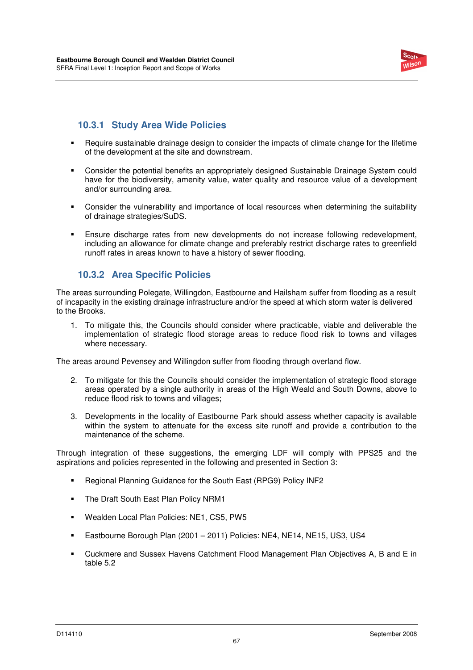

## **10.3.1 Study Area Wide Policies**

- Require sustainable drainage design to consider the impacts of climate change for the lifetime of the development at the site and downstream.
- Consider the potential benefits an appropriately designed Sustainable Drainage System could have for the biodiversity, amenity value, water quality and resource value of a development and/or surrounding area.
- Consider the vulnerability and importance of local resources when determining the suitability of drainage strategies/SuDS.
- Ensure discharge rates from new developments do not increase following redevelopment, including an allowance for climate change and preferably restrict discharge rates to greenfield runoff rates in areas known to have a history of sewer flooding.

### **10.3.2 Area Specific Policies**

The areas surrounding Polegate, Willingdon, Eastbourne and Hailsham suffer from flooding as a result of incapacity in the existing drainage infrastructure and/or the speed at which storm water is delivered to the Brooks.

1. To mitigate this, the Councils should consider where practicable, viable and deliverable the implementation of strategic flood storage areas to reduce flood risk to towns and villages where necessary.

The areas around Pevensey and Willingdon suffer from flooding through overland flow.

- 2. To mitigate for this the Councils should consider the implementation of strategic flood storage areas operated by a single authority in areas of the High Weald and South Downs, above to reduce flood risk to towns and villages;
- 3. Developments in the locality of Eastbourne Park should assess whether capacity is available within the system to attenuate for the excess site runoff and provide a contribution to the maintenance of the scheme.

Through integration of these suggestions, the emerging LDF will comply with PPS25 and the aspirations and policies represented in the following and presented in Section 3:

- Regional Planning Guidance for the South East (RPG9) Policy INF2
- The Draft South East Plan Policy NRM1
- Wealden Local Plan Policies: NE1, CS5, PW5
- Eastbourne Borough Plan (2001 2011) Policies: NE4, NE14, NE15, US3, US4
- Cuckmere and Sussex Havens Catchment Flood Management Plan Objectives A, B and E in table 5.2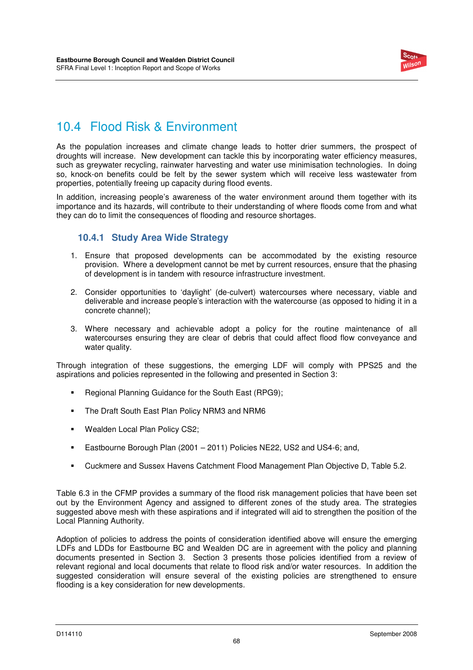

# 10.4 Flood Risk & Environment

As the population increases and climate change leads to hotter drier summers, the prospect of droughts will increase. New development can tackle this by incorporating water efficiency measures, such as greywater recycling, rainwater harvesting and water use minimisation technologies. In doing so, knock-on benefits could be felt by the sewer system which will receive less wastewater from properties, potentially freeing up capacity during flood events.

In addition, increasing people's awareness of the water environment around them together with its importance and its hazards, will contribute to their understanding of where floods come from and what they can do to limit the consequences of flooding and resource shortages.

### **10.4.1 Study Area Wide Strategy**

- 1. Ensure that proposed developments can be accommodated by the existing resource provision. Where a development cannot be met by current resources, ensure that the phasing of development is in tandem with resource infrastructure investment.
- 2. Consider opportunities to 'daylight' (de-culvert) watercourses where necessary, viable and deliverable and increase people's interaction with the watercourse (as opposed to hiding it in a concrete channel);
- 3. Where necessary and achievable adopt a policy for the routine maintenance of all watercourses ensuring they are clear of debris that could affect flood flow conveyance and water quality.

Through integration of these suggestions, the emerging LDF will comply with PPS25 and the aspirations and policies represented in the following and presented in Section 3:

- Regional Planning Guidance for the South East (RPG9);
- The Draft South East Plan Policy NRM3 and NRM6
- Wealden Local Plan Policy CS2;
- Eastbourne Borough Plan (2001 2011) Policies NE22, US2 and US4-6; and,
- Cuckmere and Sussex Havens Catchment Flood Management Plan Objective D, Table 5.2.

Table 6.3 in the CFMP provides a summary of the flood risk management policies that have been set out by the Environment Agency and assigned to different zones of the study area. The strategies suggested above mesh with these aspirations and if integrated will aid to strengthen the position of the Local Planning Authority.

Adoption of policies to address the points of consideration identified above will ensure the emerging LDFs and LDDs for Eastbourne BC and Wealden DC are in agreement with the policy and planning documents presented in Section 3. Section 3 presents those policies identified from a review of relevant regional and local documents that relate to flood risk and/or water resources. In addition the suggested consideration will ensure several of the existing policies are strengthened to ensure flooding is a key consideration for new developments.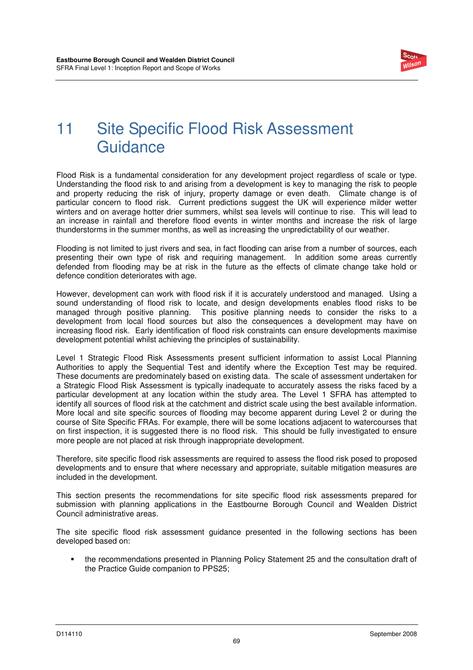

# 11 Site Specific Flood Risk Assessment Guidance

Flood Risk is a fundamental consideration for any development project regardless of scale or type. Understanding the flood risk to and arising from a development is key to managing the risk to people and property reducing the risk of injury, property damage or even death. Climate change is of particular concern to flood risk. Current predictions suggest the UK will experience milder wetter winters and on average hotter drier summers, whilst sea levels will continue to rise. This will lead to an increase in rainfall and therefore flood events in winter months and increase the risk of large thunderstorms in the summer months, as well as increasing the unpredictability of our weather.

Flooding is not limited to just rivers and sea, in fact flooding can arise from a number of sources, each presenting their own type of risk and requiring management. In addition some areas currently defended from flooding may be at risk in the future as the effects of climate change take hold or defence condition deteriorates with age.

However, development can work with flood risk if it is accurately understood and managed. Using a sound understanding of flood risk to locate, and design developments enables flood risks to be managed through positive planning. This positive planning needs to consider the risks to a development from local flood sources but also the consequences a development may have on increasing flood risk. Early identification of flood risk constraints can ensure developments maximise development potential whilst achieving the principles of sustainability.

Level 1 Strategic Flood Risk Assessments present sufficient information to assist Local Planning Authorities to apply the Sequential Test and identify where the Exception Test may be required. These documents are predominately based on existing data. The scale of assessment undertaken for a Strategic Flood Risk Assessment is typically inadequate to accurately assess the risks faced by a particular development at any location within the study area. The Level 1 SFRA has attempted to identify all sources of flood risk at the catchment and district scale using the best available information. More local and site specific sources of flooding may become apparent during Level 2 or during the course of Site Specific FRAs. For example, there will be some locations adjacent to watercourses that on first inspection, it is suggested there is no flood risk. This should be fully investigated to ensure more people are not placed at risk through inappropriate development.

Therefore, site specific flood risk assessments are required to assess the flood risk posed to proposed developments and to ensure that where necessary and appropriate, suitable mitigation measures are included in the development.

This section presents the recommendations for site specific flood risk assessments prepared for submission with planning applications in the Eastbourne Borough Council and Wealden District Council administrative areas.

The site specific flood risk assessment guidance presented in the following sections has been developed based on:

• the recommendations presented in Planning Policy Statement 25 and the consultation draft of the Practice Guide companion to PPS25;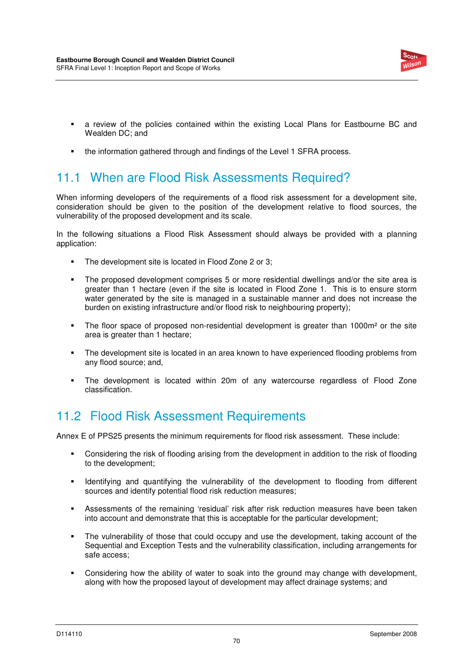

- a review of the policies contained within the existing Local Plans for Eastbourne BC and Wealden DC; and
- the information gathered through and findings of the Level 1 SFRA process.

## 11.1 When are Flood Risk Assessments Required?

When informing developers of the requirements of a flood risk assessment for a development site, consideration should be given to the position of the development relative to flood sources, the vulnerability of the proposed development and its scale.

In the following situations a Flood Risk Assessment should always be provided with a planning application:

- The development site is located in Flood Zone 2 or 3;
- The proposed development comprises 5 or more residential dwellings and/or the site area is greater than 1 hectare (even if the site is located in Flood Zone 1. This is to ensure storm water generated by the site is managed in a sustainable manner and does not increase the burden on existing infrastructure and/or flood risk to neighbouring property);
- The floor space of proposed non-residential development is greater than  $1000m<sup>2</sup>$  or the site area is greater than 1 hectare;
- The development site is located in an area known to have experienced flooding problems from any flood source; and,
- The development is located within 20m of any watercourse regardless of Flood Zone classification.

## 11.2 Flood Risk Assessment Requirements

Annex E of PPS25 presents the minimum requirements for flood risk assessment. These include:

- Considering the risk of flooding arising from the development in addition to the risk of flooding to the development;
- Identifying and quantifying the vulnerability of the development to flooding from different sources and identify potential flood risk reduction measures;
- Assessments of the remaining 'residual' risk after risk reduction measures have been taken into account and demonstrate that this is acceptable for the particular development;
- The vulnerability of those that could occupy and use the development, taking account of the Sequential and Exception Tests and the vulnerability classification, including arrangements for safe access;
- Considering how the ability of water to soak into the ground may change with development, along with how the proposed layout of development may affect drainage systems; and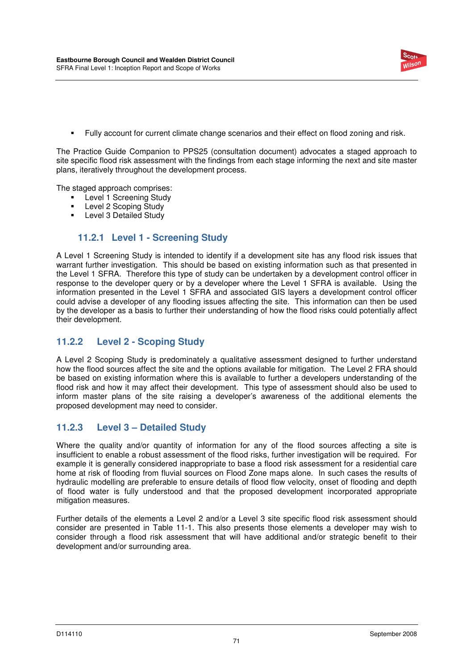

Fully account for current climate change scenarios and their effect on flood zoning and risk.

The Practice Guide Companion to PPS25 (consultation document) advocates a staged approach to site specific flood risk assessment with the findings from each stage informing the next and site master plans, iteratively throughout the development process.

The staged approach comprises:

- **Level 1 Screening Study**
- **-** Level 2 Scoping Study
- **-** Level 3 Detailed Study

#### **11.2.1 Level 1 - Screening Study**

A Level 1 Screening Study is intended to identify if a development site has any flood risk issues that warrant further investigation. This should be based on existing information such as that presented in the Level 1 SFRA. Therefore this type of study can be undertaken by a development control officer in response to the developer query or by a developer where the Level 1 SFRA is available. Using the information presented in the Level 1 SFRA and associated GIS layers a development control officer could advise a developer of any flooding issues affecting the site. This information can then be used by the developer as a basis to further their understanding of how the flood risks could potentially affect their development.

#### **11.2.2 Level 2 - Scoping Study**

A Level 2 Scoping Study is predominately a qualitative assessment designed to further understand how the flood sources affect the site and the options available for mitigation. The Level 2 FRA should be based on existing information where this is available to further a developers understanding of the flood risk and how it may affect their development. This type of assessment should also be used to inform master plans of the site raising a developer's awareness of the additional elements the proposed development may need to consider.

#### **11.2.3 Level 3 – Detailed Study**

Where the quality and/or quantity of information for any of the flood sources affecting a site is insufficient to enable a robust assessment of the flood risks, further investigation will be required. For example it is generally considered inappropriate to base a flood risk assessment for a residential care home at risk of flooding from fluvial sources on Flood Zone maps alone. In such cases the results of hydraulic modelling are preferable to ensure details of flood flow velocity, onset of flooding and depth of flood water is fully understood and that the proposed development incorporated appropriate mitigation measures.

Further details of the elements a Level 2 and/or a Level 3 site specific flood risk assessment should consider are presented in Table 11-1. This also presents those elements a developer may wish to consider through a flood risk assessment that will have additional and/or strategic benefit to their development and/or surrounding area.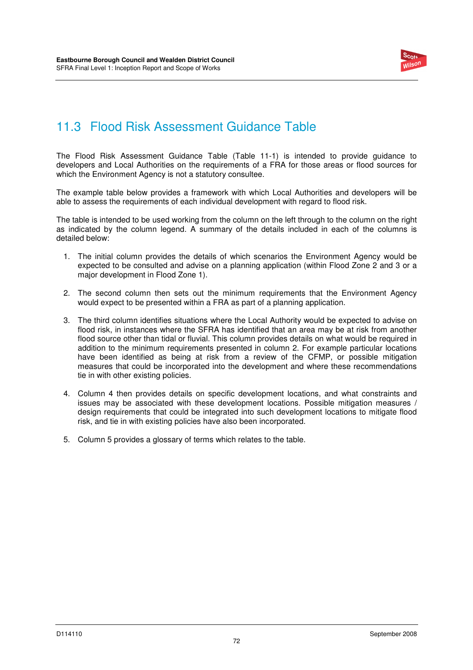

# 11.3 Flood Risk Assessment Guidance Table

The Flood Risk Assessment Guidance Table (Table 11-1) is intended to provide guidance to developers and Local Authorities on the requirements of a FRA for those areas or flood sources for which the Environment Agency is not a statutory consultee.

The example table below provides a framework with which Local Authorities and developers will be able to assess the requirements of each individual development with regard to flood risk.

The table is intended to be used working from the column on the left through to the column on the right as indicated by the column legend. A summary of the details included in each of the columns is detailed below:

- 1. The initial column provides the details of which scenarios the Environment Agency would be expected to be consulted and advise on a planning application (within Flood Zone 2 and 3 or a major development in Flood Zone 1).
- 2. The second column then sets out the minimum requirements that the Environment Agency would expect to be presented within a FRA as part of a planning application.
- 3. The third column identifies situations where the Local Authority would be expected to advise on flood risk, in instances where the SFRA has identified that an area may be at risk from another flood source other than tidal or fluvial. This column provides details on what would be required in addition to the minimum requirements presented in column 2. For example particular locations have been identified as being at risk from a review of the CFMP, or possible mitigation measures that could be incorporated into the development and where these recommendations tie in with other existing policies.
- 4. Column 4 then provides details on specific development locations, and what constraints and issues may be associated with these development locations. Possible mitigation measures / design requirements that could be integrated into such development locations to mitigate flood risk, and tie in with existing policies have also been incorporated.
- 5. Column 5 provides a glossary of terms which relates to the table.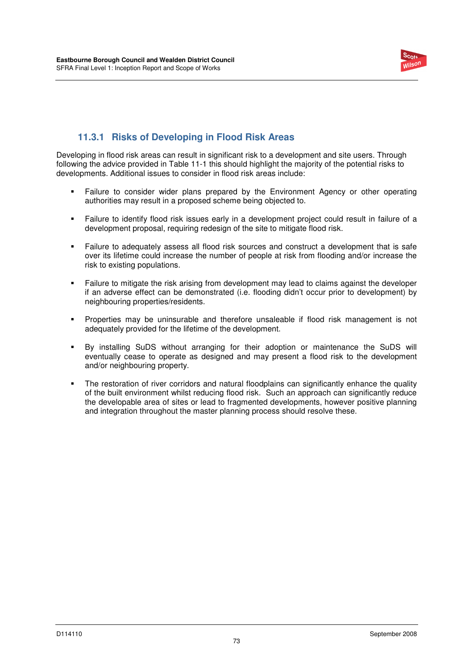

## **11.3.1 Risks of Developing in Flood Risk Areas**

Developing in flood risk areas can result in significant risk to a development and site users. Through following the advice provided in Table 11-1 this should highlight the majority of the potential risks to developments. Additional issues to consider in flood risk areas include:

- Failure to consider wider plans prepared by the Environment Agency or other operating authorities may result in a proposed scheme being objected to.
- Failure to identify flood risk issues early in a development project could result in failure of a development proposal, requiring redesign of the site to mitigate flood risk.
- Failure to adequately assess all flood risk sources and construct a development that is safe over its lifetime could increase the number of people at risk from flooding and/or increase the risk to existing populations.
- Failure to mitigate the risk arising from development may lead to claims against the developer if an adverse effect can be demonstrated (i.e. flooding didn't occur prior to development) by neighbouring properties/residents.
- Properties may be uninsurable and therefore unsaleable if flood risk management is not adequately provided for the lifetime of the development.
- By installing SuDS without arranging for their adoption or maintenance the SuDS will eventually cease to operate as designed and may present a flood risk to the development and/or neighbouring property.
- The restoration of river corridors and natural floodplains can significantly enhance the quality of the built environment whilst reducing flood risk. Such an approach can significantly reduce the developable area of sites or lead to fragmented developments, however positive planning and integration throughout the master planning process should resolve these.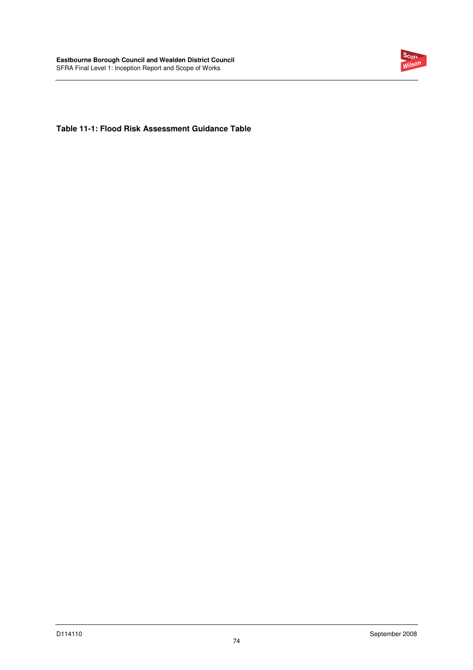

**Table 11-1: Flood Risk Assessment Guidance Table**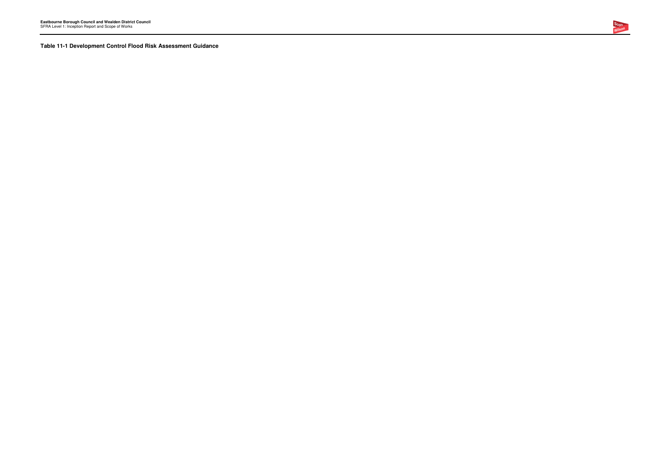**Table 11-1 Development Control Flood Risk Assessment Guidance** 

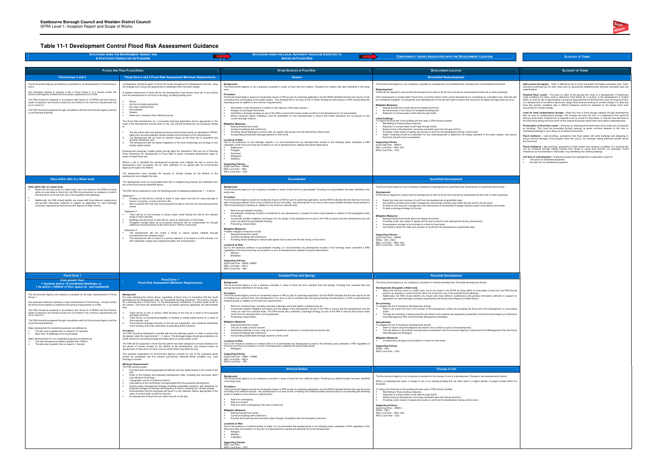| <b>DEVELOPMENT LOCATION</b>                                                                                                                                                  | <b>GLOSSARY OF TERMS</b>                                                                                                                                                                                                                                                                                                                                                                                                                                                                                                                                                                                                                                                                                                                                                                                                                                                                                                                                                                                                                                                                                                                                                        |  |  |
|------------------------------------------------------------------------------------------------------------------------------------------------------------------------------|---------------------------------------------------------------------------------------------------------------------------------------------------------------------------------------------------------------------------------------------------------------------------------------------------------------------------------------------------------------------------------------------------------------------------------------------------------------------------------------------------------------------------------------------------------------------------------------------------------------------------------------------------------------------------------------------------------------------------------------------------------------------------------------------------------------------------------------------------------------------------------------------------------------------------------------------------------------------------------------------------------------------------------------------------------------------------------------------------------------------------------------------------------------------------------|--|--|
| N                                                                                                                                                                            | <b>GLOSSARY OF TERMS</b>                                                                                                                                                                                                                                                                                                                                                                                                                                                                                                                                                                                                                                                                                                                                                                                                                                                                                                                                                                                                                                                                                                                                                        |  |  |
| ent                                                                                                                                                                          |                                                                                                                                                                                                                                                                                                                                                                                                                                                                                                                                                                                                                                                                                                                                                                                                                                                                                                                                                                                                                                                                                                                                                                                 |  |  |
| land. Development on brownfield land should:                                                                                                                                 | Safe access and egress - 'Safe' is defined as dry for more vulnerable and highly vulnerable uses. 'Safe'<br>should be preferably dry for other uses such as educational establishments and less vulnerable land use<br>classifications.                                                                                                                                                                                                                                                                                                                                                                                                                                                                                                                                                                                                                                                                                                                                                                                                                                                                                                                                         |  |  |
| not exacerbate the flood risk to other properties.<br>elopment is considered as a floodable area, then this will<br>isure that removal of floodplain storage does not occur. | Finished Floor Levels - The level (m aOD) of the ground floor level of a development. If Catchment<br>scale modelling has been used to determine flood levels for a location or the development is located<br>within an area at risk of tidal flooding it would be expected that the finished floor level of the ground floor<br>of a development to be 600mm above the design flood level accounting for climate change. For sites that<br>have site specific modelling data a 300mm freeboard would be expected on the design flood level<br>accounting for climate change.                                                                                                                                                                                                                                                                                                                                                                                                                                                                                                                                                                                                   |  |  |
| uring a flood event;<br>e the design standard of the sewer system, and ensure                                                                                                | Level for level compensatory storage - offset any loss of flood storage capacity through development with an area of compensatory storage. This storage can take the form of a depression that would fill<br>during a flood event, however this is required to be on a level for level basis i.e. that the area will flood at<br>the same time during the flood event as the original flood plain would have done before redevelopment.<br>Preservation of flood flow routes - Ensuring on redevelopment that known flood routes are not blocked<br>by buildings. This could be preventing through opening up green corridors adjacent to the river or<br>orientating buildings in such away not to obstruct flood flows.<br>Flood resilience - (wet proofing), acceptance that flood waters will enter buildings and designing to<br>ensure minimal damage to the property when this occurs. For example raising electrical sockets above<br>the flood level.<br>Flood resistance - (dry proofing), prevention of flood waters from entering a building. For example this<br>can be achieved through raising finished floor levels or using flood barriers ion doorways. Flood |  |  |
|                                                                                                                                                                              | resistance can be achieved in new builds or by retrofitting into existing buildings.<br>Life time of a development - Expected duration the development is expected to exist for:<br>100 years for residential properties<br>60 years for non residential properties                                                                                                                                                                                                                                                                                                                                                                                                                                                                                                                                                                                                                                                                                                                                                                                                                                                                                                             |  |  |
| nt                                                                                                                                                                           |                                                                                                                                                                                                                                                                                                                                                                                                                                                                                                                                                                                                                                                                                                                                                                                                                                                                                                                                                                                                                                                                                                                                                                                 |  |  |
| land. Development on greenfield land should:                                                                                                                                 |                                                                                                                                                                                                                                                                                                                                                                                                                                                                                                                                                                                                                                                                                                                                                                                                                                                                                                                                                                                                                                                                                                                                                                                 |  |  |
| not exacerbate the flood risk to other properties.                                                                                                                           |                                                                                                                                                                                                                                                                                                                                                                                                                                                                                                                                                                                                                                                                                                                                                                                                                                                                                                                                                                                                                                                                                                                                                                                 |  |  |
| thin the site and for off site users;<br>age Systems and/or flood defence structures;                                                                                        |                                                                                                                                                                                                                                                                                                                                                                                                                                                                                                                                                                                                                                                                                                                                                                                                                                                                                                                                                                                                                                                                                                                                                                                 |  |  |
|                                                                                                                                                                              |                                                                                                                                                                                                                                                                                                                                                                                                                                                                                                                                                                                                                                                                                                                                                                                                                                                                                                                                                                                                                                                                                                                                                                                 |  |  |
| nt during a flood event;                                                                                                                                                     |                                                                                                                                                                                                                                                                                                                                                                                                                                                                                                                                                                                                                                                                                                                                                                                                                                                                                                                                                                                                                                                                                                                                                                                 |  |  |
| greenfield rates                                                                                                                                                             |                                                                                                                                                                                                                                                                                                                                                                                                                                                                                                                                                                                                                                                                                                                                                                                                                                                                                                                                                                                                                                                                                                                                                                                 |  |  |
|                                                                                                                                                                              |                                                                                                                                                                                                                                                                                                                                                                                                                                                                                                                                                                                                                                                                                                                                                                                                                                                                                                                                                                                                                                                                                                                                                                                 |  |  |
|                                                                                                                                                                              |                                                                                                                                                                                                                                                                                                                                                                                                                                                                                                                                                                                                                                                                                                                                                                                                                                                                                                                                                                                                                                                                                                                                                                                 |  |  |
|                                                                                                                                                                              |                                                                                                                                                                                                                                                                                                                                                                                                                                                                                                                                                                                                                                                                                                                                                                                                                                                                                                                                                                                                                                                                                                                                                                                 |  |  |
|                                                                                                                                                                              |                                                                                                                                                                                                                                                                                                                                                                                                                                                                                                                                                                                                                                                                                                                                                                                                                                                                                                                                                                                                                                                                                                                                                                                 |  |  |
|                                                                                                                                                                              |                                                                                                                                                                                                                                                                                                                                                                                                                                                                                                                                                                                                                                                                                                                                                                                                                                                                                                                                                                                                                                                                                                                                                                                 |  |  |
|                                                                                                                                                                              |                                                                                                                                                                                                                                                                                                                                                                                                                                                                                                                                                                                                                                                                                                                                                                                                                                                                                                                                                                                                                                                                                                                                                                                 |  |  |
|                                                                                                                                                                              |                                                                                                                                                                                                                                                                                                                                                                                                                                                                                                                                                                                                                                                                                                                                                                                                                                                                                                                                                                                                                                                                                                                                                                                 |  |  |
| nt                                                                                                                                                                           |                                                                                                                                                                                                                                                                                                                                                                                                                                                                                                                                                                                                                                                                                                                                                                                                                                                                                                                                                                                                                                                                                                                                                                                 |  |  |
| erside development should:                                                                                                                                                   |                                                                                                                                                                                                                                                                                                                                                                                                                                                                                                                                                                                                                                                                                                                                                                                                                                                                                                                                                                                                                                                                                                                                                                                 |  |  |
|                                                                                                                                                                              |                                                                                                                                                                                                                                                                                                                                                                                                                                                                                                                                                                                                                                                                                                                                                                                                                                                                                                                                                                                                                                                                                                                                                                                 |  |  |
| being within an area liable to flood risk, the FRA should<br>ble flood pathways.:<br>enance and provide information sufficient to support an<br>cy for Main Rivers).         |                                                                                                                                                                                                                                                                                                                                                                                                                                                                                                                                                                                                                                                                                                                                                                                                                                                                                                                                                                                                                                                                                                                                                                                 |  |  |
| reasing the flood risk to the development or surrounding                                                                                                                     |                                                                                                                                                                                                                                                                                                                                                                                                                                                                                                                                                                                                                                                                                                                                                                                                                                                                                                                                                                                                                                                                                                                                                                                 |  |  |
| ations presented in the Environment Agency's Catchment                                                                                                                       |                                                                                                                                                                                                                                                                                                                                                                                                                                                                                                                                                                                                                                                                                                                                                                                                                                                                                                                                                                                                                                                                                                                                                                                 |  |  |
| evelopment;<br>Agency's Catchment Flood Management Plan and Flood                                                                                                            |                                                                                                                                                                                                                                                                                                                                                                                                                                                                                                                                                                                                                                                                                                                                                                                                                                                                                                                                                                                                                                                                                                                                                                                 |  |  |
|                                                                                                                                                                              |                                                                                                                                                                                                                                                                                                                                                                                                                                                                                                                                                                                                                                                                                                                                                                                                                                                                                                                                                                                                                                                                                                                                                                                 |  |  |
|                                                                                                                                                                              |                                                                                                                                                                                                                                                                                                                                                                                                                                                                                                                                                                                                                                                                                                                                                                                                                                                                                                                                                                                                                                                                                                                                                                                 |  |  |
|                                                                                                                                                                              |                                                                                                                                                                                                                                                                                                                                                                                                                                                                                                                                                                                                                                                                                                                                                                                                                                                                                                                                                                                                                                                                                                                                                                                 |  |  |
|                                                                                                                                                                              |                                                                                                                                                                                                                                                                                                                                                                                                                                                                                                                                                                                                                                                                                                                                                                                                                                                                                                                                                                                                                                                                                                                                                                                 |  |  |
| elopment. Change of use developments should:                                                                                                                                 |                                                                                                                                                                                                                                                                                                                                                                                                                                                                                                                                                                                                                                                                                                                                                                                                                                                                                                                                                                                                                                                                                                                                                                                 |  |  |
| ten lead to a higher density of people located within the                                                                                                                    |                                                                                                                                                                                                                                                                                                                                                                                                                                                                                                                                                                                                                                                                                                                                                                                                                                                                                                                                                                                                                                                                                                                                                                                 |  |  |
|                                                                                                                                                                              |                                                                                                                                                                                                                                                                                                                                                                                                                                                                                                                                                                                                                                                                                                                                                                                                                                                                                                                                                                                                                                                                                                                                                                                 |  |  |
|                                                                                                                                                                              |                                                                                                                                                                                                                                                                                                                                                                                                                                                                                                                                                                                                                                                                                                                                                                                                                                                                                                                                                                                                                                                                                                                                                                                 |  |  |
| ĸ.<br>uring a flood event.                                                                                                                                                   |                                                                                                                                                                                                                                                                                                                                                                                                                                                                                                                                                                                                                                                                                                                                                                                                                                                                                                                                                                                                                                                                                                                                                                                 |  |  |
|                                                                                                                                                                              |                                                                                                                                                                                                                                                                                                                                                                                                                                                                                                                                                                                                                                                                                                                                                                                                                                                                                                                                                                                                                                                                                                                                                                                 |  |  |
|                                                                                                                                                                              |                                                                                                                                                                                                                                                                                                                                                                                                                                                                                                                                                                                                                                                                                                                                                                                                                                                                                                                                                                                                                                                                                                                                                                                 |  |  |
|                                                                                                                                                                              |                                                                                                                                                                                                                                                                                                                                                                                                                                                                                                                                                                                                                                                                                                                                                                                                                                                                                                                                                                                                                                                                                                                                                                                 |  |  |
|                                                                                                                                                                              |                                                                                                                                                                                                                                                                                                                                                                                                                                                                                                                                                                                                                                                                                                                                                                                                                                                                                                                                                                                                                                                                                                                                                                                 |  |  |
|                                                                                                                                                                              |                                                                                                                                                                                                                                                                                                                                                                                                                                                                                                                                                                                                                                                                                                                                                                                                                                                                                                                                                                                                                                                                                                                                                                                 |  |  |
|                                                                                                                                                                              |                                                                                                                                                                                                                                                                                                                                                                                                                                                                                                                                                                                                                                                                                                                                                                                                                                                                                                                                                                                                                                                                                                                                                                                 |  |  |
|                                                                                                                                                                              |                                                                                                                                                                                                                                                                                                                                                                                                                                                                                                                                                                                                                                                                                                                                                                                                                                                                                                                                                                                                                                                                                                                                                                                 |  |  |
|                                                                                                                                                                              |                                                                                                                                                                                                                                                                                                                                                                                                                                                                                                                                                                                                                                                                                                                                                                                                                                                                                                                                                                                                                                                                                                                                                                                 |  |  |

#### **Table 11-1 Development Control Flood Risk Assessment Guidance**

|                                                                                                                                                                                                                                                                                                                                         | <b>SITUATIONS WHEN THE ENVIRONMENT AGENCY ARE</b><br><b>A STATUTORY CONSULTEE ON FLOODING</b>                                                                                                                                                                                                                                                                                    | SITUATIONS WHEN THE LOCAL AUTHORITY WOULD BE EXPECTED TO<br><b>ADVISE ON FLOOD RISK</b>                                                                                                                                                                                                                                                                                                                                                           | <b>CONSTRAINTS / ISSUES ASSOCIATED WITH THE DEVELOPMENT LOCATION</b>                                                                                                                                                                                                                                                                                                                                                                                                                                                      | <b>GLOSSARY OF TERMS</b>                                                                                                                                                                                                                                                           |
|-----------------------------------------------------------------------------------------------------------------------------------------------------------------------------------------------------------------------------------------------------------------------------------------------------------------------------------------|----------------------------------------------------------------------------------------------------------------------------------------------------------------------------------------------------------------------------------------------------------------------------------------------------------------------------------------------------------------------------------|---------------------------------------------------------------------------------------------------------------------------------------------------------------------------------------------------------------------------------------------------------------------------------------------------------------------------------------------------------------------------------------------------------------------------------------------------|---------------------------------------------------------------------------------------------------------------------------------------------------------------------------------------------------------------------------------------------------------------------------------------------------------------------------------------------------------------------------------------------------------------------------------------------------------------------------------------------------------------------------|------------------------------------------------------------------------------------------------------------------------------------------------------------------------------------------------------------------------------------------------------------------------------------|
|                                                                                                                                                                                                                                                                                                                                         | FLUVIAL AND TIDAL FLOOD ZONES                                                                                                                                                                                                                                                                                                                                                    | <b>OTHER SOURCES OF FOOD RISK</b>                                                                                                                                                                                                                                                                                                                                                                                                                 | <b>DEVELOPMENT LOCATION</b>                                                                                                                                                                                                                                                                                                                                                                                                                                                                                               | <b>GLOSSARY OF TERMS</b>                                                                                                                                                                                                                                                           |
| Flood Zones 2 and 3                                                                                                                                                                                                                                                                                                                     | Flood Zone 2 and 3 Flood Risk Assessment Minimum Requirements                                                                                                                                                                                                                                                                                                                    | <b>Sewers</b>                                                                                                                                                                                                                                                                                                                                                                                                                                     | <b>Brownfield Redevelopment</b>                                                                                                                                                                                                                                                                                                                                                                                                                                                                                           |                                                                                                                                                                                                                                                                                    |
| The Environment Agency are statutory consultees for all developments in Flood Zones 2                                                                                                                                                                                                                                                   | Consideration should be given to flood risk issues throughout the development process, using<br>the findings from a flood risk assessment to iteratively inform the site's design.                                                                                                                                                                                               | Background:<br>The Environment Agency is not a statutory consultee in areas of flood risk from sewers. Flooding from sewers has been identified in the study<br>area.                                                                                                                                                                                                                                                                             | The Environment Agency is not a statutory consultee for development on brownfield land. Development on brownfield land should:<br>Redevelopmen                                                                                                                                                                                                                                                                                                                                                                            | Safe access and egress - 'Safe' is defined as dry for more vulner<br>should be preferably dry for other uses such as educational estab<br>classifications                                                                                                                          |
| Any developer wishing to develop a site in Flood Zones 2 or 3 should contact the<br>Environment Agency to determine the precise requirements of a FRA.<br>The FRA should be prepared in accordance with Annex E of PPS25 and the Practice                                                                                               | A suitable assessment of flood risk for any development must assess flood risk to and arising<br>from the development for all forms of flooding, including flooding from:<br>Rivers                                                                                                                                                                                              | Procedure:<br>The Environment Agency would not necessarily require a FRA as part of a planning application, but the SFRA identifies that the site may be at risk<br>of flooding from surcharging of the sewer system. Any development in an area at risk of sewer flooding should produce a FRA incorporating the                                                                                                                                 | A FRA will be required to ensure that the development is safe for its life time and will not exacerbate the flood risk to other properties.<br>If the development is located within Flood Zone 3 and the interior of the current development is considered as a floodable area, then this will<br>be considered floodplain. Consequently and redevelopment of the site will need to ensure that removal of floodplain storage does not occur.                                                                             | Finished Floor Levels - The level (m aOD) of the ground floor<br>scale modelling has been used to determine flood levels for a I<br>within an area at risk of tidal flooding it would be expected that the                                                                         |
| Guide Companion and should include but not limited to the minimum requirements set<br>out in column 2.<br>The FRA should be prepared through consultation with the Environment Agency and the<br><b>Local Planning Authority</b>                                                                                                        | the Sea (including estuaries):<br>the Land (overland flow);<br>Groundwater;<br>Sewers;                                                                                                                                                                                                                                                                                           | following points (in addition to the minimum requirements)<br>Stormwater runoff calculations in relation to the capacity of the sewer system;<br>$\bullet$<br>Analysis of surcharge flood levels<br>Undertake a drainage strategy as part of the FRA to ensure that surface water runoff from the development is not exacerbated;                                                                                                                 | <b>Mitigation Measures</b><br>Raising finished floor levels above the design flood level;<br>$\bullet$<br>No net increase in the volume of floodplain development<br>Reduction of surface water runoff rates through SuDS                                                                                                                                                                                                                                                                                                 | of a development to be 600mm above the design flood level accou<br>have site specific modelling data a 300mm freeboard would be<br>accounting for climate change.<br>Level for level compensatory storage - offset any loss of flood                                               |
|                                                                                                                                                                                                                                                                                                                                         | Beservoirs, Canals & other artificial sources<br>The Flood Risk Assessment for a successful planning application will be appropriate to the<br>scale of the development and the level of risk, and will demonstrate but not necessary limited                                                                                                                                    | Where necessary sewer modelling could be undertaken for any developments to ensure that further pressures are not placed on the<br>current drainage network<br><b>Mitigation Measures:</b><br>Raising finished floor levels                                                                                                                                                                                                                       | <b>Listed buildings</b><br>To reduce the flood risk to the building and site users a FRA should consider:<br>Retrofitting of flood proofing measures;<br>Reduction of surface water runoff rates through SuDS;                                                                                                                                                                                                                                                                                                            | with an area of compensatory storage. This storage can take th<br>during a flood event, however this is required to be on a level for I<br>the same time during the flood event as the original flood plain wou<br>Preservation of flood flow routes - Ensuring on redevelopment t |
|                                                                                                                                                                                                                                                                                                                                         | The site will be safe and operational during extreme flood events as stipulated in PPS25,<br>taking into account predicted climate change over the lifetime of the development;<br>The development will not have an adverse impact on the flood risk to properties and                                                                                                           | Construct buildings with solid floors;<br>Providing raised walkways to ensure safe, dry egress and access from the site during a flood event;<br>Incorporating Sustainable drainage systems to limit runoff.                                                                                                                                                                                                                                      | Restructuring of development, removing vulnerable uses from the ground floor;<br>Providing a safe means of egress and access to and from the development during a flood event:<br>Sewer modelling should be undertaken for any redevelopments to determine the design standard of the sewer system, and ensure<br>that flood risk will not be exacerbated.                                                                                                                                                                | by buildings. This could be preventing through opening up gre<br>orientating buildings in such away not to obstruct flood flows.<br>Flood resilience - (wet proofing), acceptance that flood waters<br>ensure minimal damage to the property when this occurs. For ex-             |
|                                                                                                                                                                                                                                                                                                                                         | activities elsewhere; and<br>The development will not impact negatively on the local morphology and ecology of any<br>nearby watercourses.<br>Development proposals (master plans) should apply the Sequential Test (set out in Planning                                                                                                                                         | <b>Locations at Risk</b><br>Due to the pressures on the drainage network, it is recommended that any developments located in the following areas undertake a FRA<br>regardless of the flood zone they are located in or size of development to address the points listed above:<br>Eastbourne:<br>Polegate:                                                                                                                                       | Supporting Policies<br>South East Plan - NRM 3<br>EBC Local Plan - NE4, US4<br>WDC Local Plan - CS3                                                                                                                                                                                                                                                                                                                                                                                                                       | the flood level<br>Flood resistance - (dry proofing), prevention of flood waters from<br>can be achieved through raising finished floor levels or using<br>resistance can be achieved in new builds or by retrofitting into exist                                                  |
|                                                                                                                                                                                                                                                                                                                                         | Policy Statement 25: Development & Flood Risk) to guide vulnerable development types to<br>areas of lowest flood risk<br>Where a risk is identified the development proposals must mitigate the risk to ensure the                                                                                                                                                               | Pevensey<br>Willingdon<br>Hailsham.                                                                                                                                                                                                                                                                                                                                                                                                               |                                                                                                                                                                                                                                                                                                                                                                                                                                                                                                                           | Life time of a development - Expected duration the development<br>100 years for residential properties<br>60 years for non residential properties                                                                                                                                  |
|                                                                                                                                                                                                                                                                                                                                         | development (and occupants) will be 'safe' (definition to be agreed with the Environmen<br>Agency) throughout its lifetime<br>The assessment must consider the impacts of climate change for the lifetime of the                                                                                                                                                                 | <b>Supporting Policies:</b><br>South East Plan - NRM3<br>EBC Local Plan - NE4<br>WDC Local Plan - CS5                                                                                                                                                                                                                                                                                                                                             |                                                                                                                                                                                                                                                                                                                                                                                                                                                                                                                           |                                                                                                                                                                                                                                                                                    |
| Sites within 20m of a Water body                                                                                                                                                                                                                                                                                                        | development and mitigate the risks.<br>The development must not exacerbate flood risk to neighbouring property and residents from                                                                                                                                                                                                                                                | Groundwater                                                                                                                                                                                                                                                                                                                                                                                                                                       | <b>Greenfield Development</b>                                                                                                                                                                                                                                                                                                                                                                                                                                                                                             |                                                                                                                                                                                                                                                                                    |
| Sites within 20m of a water body                                                                                                                                                                                                                                                                                                        | any of the flood sources identified above.                                                                                                                                                                                                                                                                                                                                       | Background                                                                                                                                                                                                                                                                                                                                                                                                                                        | The Environment Agency is not a statutory consultee for development on greenfield land. Development on greenfield land should:                                                                                                                                                                                                                                                                                                                                                                                            |                                                                                                                                                                                                                                                                                    |
| Where the site lies close to a water body, but is not shown in the SFRA as being<br>within an area liable to flood risk, the FRA should perform an analysis to confirm<br>that the site is not at risk from any of the possible flood pathways;                                                                                         | The FRA will be expected to cover the following points in addressing statements 1 - 3 above:<br>Statement 1                                                                                                                                                                                                                                                                      | The Environment Agency is not a statutory consultee in areas of flood risk from groundwater. Flooding from groundwater has been identified in the<br>study area.                                                                                                                                                                                                                                                                                  | A FRA will be required to ensure that the development is safe for its life time and will not exacerbate the flood risk to other properties.                                                                                                                                                                                                                                                                                                                                                                               |                                                                                                                                                                                                                                                                                    |
| Additionally, the FRA should identify any issues with flood defence maintenance<br>and provide information sufficient to support an application for Land Drainage<br>Consents (requested by the Environment Agency for Main Rivers).                                                                                                    | Flooding on site will be confined to areas of open space and will not cause damage to<br>homes or property, or pose a threat to life:<br>Site occupants will have safe and permanent access to and from the site during extreme                                                                                                                                                  | The Environment Agency would not necessarily require a FRA as part of a planning application, but the SFRA indicates that the site lies in an area<br>with a rising groundwater trend or has a historical record of flooding. Any development in an area at risk of groundwater flooding should produce a<br>FRA incorporating the following (in addition to the minimum requirements):                                                           | Retain the rates and volumes of runoff from the development at greenfield rates;<br>Use SuDS to provide storm water management and provide amenity value within the site and for off site users;<br>Provide for the long term management and maintenance of Sustainable Drainage Systems and/or flood defence structures;<br>Provide a drainage strategy for the site.                                                                                                                                                    |                                                                                                                                                                                                                                                                                    |
|                                                                                                                                                                                                                                                                                                                                         | Statement 2<br>There will be no net increase in surface water runoff leaving the site for the relevant<br>range of return periods:<br>Buildings and structures on site will not cause an obstruction to flood flows:<br>Floodplain storage taken up by proposed structures will be compensated for through<br>additional volume provision at the same level in 100mm increments. | Bisk from groundwater flooding:<br>Groundwater monitoring should be considered for any development, to assess the level of groundwater in relation to the topographic levels<br>for the site:<br>Incorporate suitable mitigation techniques into the design of the development as part of the FRA to ensure that the development and site<br>users are safe from groundwater flooding;<br>Preventing contamination                                | <b>Mitigation Measures::</b><br>Raising finished floor levels above the design flood level:<br>Providing a safe, dry means of egress and access to and from the development during a flood event;<br>Compensatory storage to be provided on a level for level basis.<br>Use SuDS to retain the rates and volumes of runoff from the development at greenfield rates                                                                                                                                                       |                                                                                                                                                                                                                                                                                    |
|                                                                                                                                                                                                                                                                                                                                         | Statement 3<br>The development will not create a threat to natural aquatic habitats through<br>encroachment into sensitive areas:<br>The development will not result in a serious reduction or increase in runoff volumes, nor<br>will it adversely change any existing flow paths and characteristics.                                                                          | <b>Mitigation Measures:</b><br>Possible mitigation measures include:<br>Raising finished floor levels;<br>Construct buildings with solid floors;<br>Providing raised walkways to ensure safe egress and access from the site during a flood event.                                                                                                                                                                                                | Supporting Policies:<br>South East Plan - NRM3<br>RPG9-INF1, INF2                                                                                                                                                                                                                                                                                                                                                                                                                                                         |                                                                                                                                                                                                                                                                                    |
|                                                                                                                                                                                                                                                                                                                                         |                                                                                                                                                                                                                                                                                                                                                                                  | <b>Locations at Risk:</b><br>Due to the historical evidence of groundwater flooding it is recommended any development located in the following areas undertake a FRA<br>regardless of the flood zone they are located in or size of development to address the points listed above:<br>Alfriston:<br>· Westdean.                                                                                                                                  | EBC Local Plan - NE4, US4<br>WDC Local Plan - CS3, CS5                                                                                                                                                                                                                                                                                                                                                                                                                                                                    |                                                                                                                                                                                                                                                                                    |
|                                                                                                                                                                                                                                                                                                                                         |                                                                                                                                                                                                                                                                                                                                                                                  | <b>Supporting Policies:</b><br>South East Plan - NRM1, NRM3<br>EBC Local Plan - NE14<br>WDC Local Plan - NE1                                                                                                                                                                                                                                                                                                                                      |                                                                                                                                                                                                                                                                                                                                                                                                                                                                                                                           |                                                                                                                                                                                                                                                                                    |
| Flood Zone 1                                                                                                                                                                                                                                                                                                                            |                                                                                                                                                                                                                                                                                                                                                                                  | <b>Overland Flow and Springs</b>                                                                                                                                                                                                                                                                                                                                                                                                                  | <b>Riverside Development</b>                                                                                                                                                                                                                                                                                                                                                                                                                                                                                              |                                                                                                                                                                                                                                                                                    |
| Sites greater than:<br>1 hectares and/or 10 residential dwellings, or                                                                                                                                                                                                                                                                   | Flood Zone 1<br><b>Flood Risk Assessment Minimum Requirements</b>                                                                                                                                                                                                                                                                                                                | Background<br>The Environment Agency is not a statutory consultee in areas of flood risk from overland flow and springs. Flooding from overland flow and                                                                                                                                                                                                                                                                                          | The Environment Agency is not a statutory consultee for riverside development. Riverside development should:                                                                                                                                                                                                                                                                                                                                                                                                              |                                                                                                                                                                                                                                                                                    |
| 1 ha and/or >1000m2 of floor space for non-residential<br>The Environment Agency are statutory consultees for all major developments in Flood<br>Zones 1                                                                                                                                                                                | <b>Background</b><br>For sites satisfying the criteria above, regardless of flood zone it is imperative that the runoff<br>generated by the development does not exacerbate flooding elsewhere. The primary concern                                                                                                                                                              | springs has been identified in the study area<br>Procedure<br>The Environment Agency would not necessarily require a FRA as part of a planning application, but the SFRA indicates that the site may be at risk<br>of flooding from overland flow. Any development in an area at risk of overland flow and spring flooding should produce a FRA incorporating the                                                                                 | Developments Alongside a Water body<br>Where the site lies close to a water body, but is not shown in the SFRA as being within an area liable to flood risk, the FRA should<br>perform an analysis to confirm that the site is not at risk from any of the possible flood pathways.;<br>Additionally, the FRA should identify any issues with flood defence maintenance and provide information sufficient to support an<br>application for Land Drainage Consents (requested by the Environment Agency for Main Rivers). |                                                                                                                                                                                                                                                                                    |
| Any developer wishing to develop a major development in Flood Zones 1 should contact<br>the Environment Agency to determine the precise requirements of a FRA.<br>The FRA should be prepared in accordance with Annex E of PPS25 and the Practice<br>Guide Companion and should include but not limited to the minimum requirements set | for a development in Flood Zone 1 is the developments contribution of surface water runoff to<br>the sewers. The flood risk assessment for a successful planning application will demonstrate<br>There will be no risk of surface water flooding on the site as a result of the proposed                                                                                         | following points (in addition to the minimum requirements):<br>Risk from overland flows, including velocities, pathways and flood depths, ponding areas etc;<br>Incorporate suitable mitigation techniques into the design of the development as part of the FRA to ensure that the development and site<br>users are safe from overland flows. The FRA should also undertake a drainage strategy as part of the FRA to ensure that surface water | ve-cuiverting<br>To mitigate the risk of flooding to developments should:<br>Seek to de-culvert the river in the location of the development, whilst not increasing the flood risk to the development or surrounding                                                                                                                                                                                                                                                                                                      |                                                                                                                                                                                                                                                                                    |
| out in column 2.<br>The FRA should be prepared through consultation with the Environment Agency and the                                                                                                                                                                                                                                 | drainage schemes<br>There will be no increased probability of flooding in nearby watercourses as a result of<br>the proposals; and                                                                                                                                                                                                                                               | runoff from the development is not exacerbated;<br>Preventing contamination                                                                                                                                                                                                                                                                                                                                                                       | Through de-culverting a watercourse this will adhere to the policies and aspirations presented in the Environment Agency's Catchment<br>Flood Management Plan and Flood Risk Management Strategies.                                                                                                                                                                                                                                                                                                                       |                                                                                                                                                                                                                                                                                    |
| Local Planning Authority.<br>Major development for residential purposes are defined as:<br>The site area is greater than or equal to 0.5 hectares:<br>More than 10 dwellings are to be provided                                                                                                                                         | The proposed drainage schemes on the site are sustainable, and contribute beneficially<br>to the ecology of the site, preferably incorporating SuDS solutions.<br>Procedure<br>The FRA should be developed in parallel with the site drainage system in order to ensure that                                                                                                     | <b>Mitigation Measures</b><br>Raising finished floor levels;<br>The use of roads as flood channel;<br>Orientating buildings in such a way as to not impede the movement of overland flow across the site;<br>Construct buildings with solid floors;                                                                                                                                                                                               | Naturalisation<br>To mitigate the risk of flooding to developments should:<br>Seek to restore natural floodplains and restore river corridors as part of the development;<br>This will adhere to the policies and aspirations presented in the Environment Agency's Catchment Flood Management Plan and Flood<br><b>Risk Management Strategies</b>                                                                                                                                                                        |                                                                                                                                                                                                                                                                                    |
| Major developments for non residential purposes are defined as:<br>The new floorspace provided is greater than 1000m <sup>2</sup> ;<br>The site area is greater than or equal to 1 hectare.                                                                                                                                             | the design meets the requirements $1 - 3$ above. The drainage design should give preference to<br>SuDS solutions in providing storage and attenuation of surface water runoff.<br>The FRA will be expected to show that the system has been designed to include allowance for<br>the effects of climate change for the lifetime of the development, and should include an        | Incorporating Sustainable drainage systems to limit runoff.<br><b>Locations at Risk</b><br>Due to the historical evidence of overland flow it is recommended any development located in the following area undertake a FRA regardless of<br>the flood zone they are located in or size of development to address the points listed above:                                                                                                         | <b>Mitigation Measures:</b><br>Compensatory storage to be provided on a level for level basis.<br><b>Supporting Policies</b>                                                                                                                                                                                                                                                                                                                                                                                              |                                                                                                                                                                                                                                                                                    |
|                                                                                                                                                                                                                                                                                                                                         | assessment of flood risk from other sources where these may affect the site<br>The potential requirement for Environment Agency consent for any of the proposed works<br>should be considered and the relevant permissions obtained where possible (e.g. Land<br>Drainage Consent)                                                                                               | • Willingdon<br>Supporting Policies<br>South East Plan - NRM 1, NRM3<br>EBC Local Plan - NE14                                                                                                                                                                                                                                                                                                                                                     | $RPG9 - INF1$<br>WDC Local Plan - CS3                                                                                                                                                                                                                                                                                                                                                                                                                                                                                     |                                                                                                                                                                                                                                                                                    |
|                                                                                                                                                                                                                                                                                                                                         | Minimum Requirements <sup>1</sup><br>The FRA should include:                                                                                                                                                                                                                                                                                                                     | WDC Local Plan - NE1                                                                                                                                                                                                                                                                                                                                                                                                                              |                                                                                                                                                                                                                                                                                                                                                                                                                                                                                                                           |                                                                                                                                                                                                                                                                                    |
|                                                                                                                                                                                                                                                                                                                                         | A location plan showing geographical features and any watercourses in the vicinity of the                                                                                                                                                                                                                                                                                        | <b>Artificial Bodies</b>                                                                                                                                                                                                                                                                                                                                                                                                                          | <b>Change of Use</b>                                                                                                                                                                                                                                                                                                                                                                                                                                                                                                      |                                                                                                                                                                                                                                                                                    |
|                                                                                                                                                                                                                                                                                                                                         | Plans of the existing and proposed development sites, including any structures which<br>may influence flood flows:<br>Topographic survey to Ordnance Datum;<br>Calculations of the runoff likely to be generated from the proposed development;<br>Surface water management strategy including sustainable solutions, with allowance for                                         | Background<br>The Environment Agency is not a statutory consultee in areas of flood risk from artificial bodies. Flooding from artificial bodies has been identified<br>in the study area<br>Procedure:                                                                                                                                                                                                                                           | The Environment Agency is not a statutory consultee for the change of use of a development. Change of use developments should:<br>Where a redevelopment plans a change of use of an existing building this can often lead to a higher density of people located within the<br>floodplain                                                                                                                                                                                                                                  |                                                                                                                                                                                                                                                                                    |
|                                                                                                                                                                                                                                                                                                                                         | projected changes to intensity and frequency of storms resulting from climate change;<br>Demonstration that the proposals will result in a net reduction (where appropriate) in the<br>rates of surface water runoff from the site;<br>An assessment of flood risk from other sources on the site.                                                                               | The Environment Agency would not necessarily require a FRA as part of a planning application, but the SFRA indicates that the site may be at risk<br>of flooding from artificial sources. Any development in an area at risk of flooding from artificial bodies should produce a incorporating the following<br>points (in addition to the minimum requirements):<br>• Risk from overtopping<br>Risk from breach                                  | To reduce the flood risk to the building and site users a FRA should consider:<br>Retrofitting of flood proofing measures;<br>Reduction of surface water runoff rates through SuDS:<br>Restructuring of development, removing vulnerable uses from the ground floor;<br>Providing a safe means of egress and access to and from the development during a flood event.                                                                                                                                                     |                                                                                                                                                                                                                                                                                    |
|                                                                                                                                                                                                                                                                                                                                         |                                                                                                                                                                                                                                                                                                                                                                                  | Risk from wave overtopping in the case of reservoirs                                                                                                                                                                                                                                                                                                                                                                                              | <b>Supporting Policies</b><br>South East Plan - NRM 3                                                                                                                                                                                                                                                                                                                                                                                                                                                                     |                                                                                                                                                                                                                                                                                    |
|                                                                                                                                                                                                                                                                                                                                         |                                                                                                                                                                                                                                                                                                                                                                                  | <b>Mitigation Measures</b><br>Raising finished floor levels;<br>Construct buildings with solid floors;<br>Develop flood warning and evacuation plans through consultation with the Emergency Services.                                                                                                                                                                                                                                            | $RPG9 - INF1$<br>EBC Local Plan - NE4, US4<br>WDC Local Plan - CS3                                                                                                                                                                                                                                                                                                                                                                                                                                                        |                                                                                                                                                                                                                                                                                    |
|                                                                                                                                                                                                                                                                                                                                         |                                                                                                                                                                                                                                                                                                                                                                                  | <b>Locations at Risk</b><br>Due to the presence of artificial bodies of water it is recommended that developments in the following areas undertake a FRA regardless of the<br>flood zone they are located in or the size of a development to assess the potential risk to the development:<br>• Arlington<br>Alfriston<br>$\sim$                                                                                                                  |                                                                                                                                                                                                                                                                                                                                                                                                                                                                                                                           |                                                                                                                                                                                                                                                                                    |
|                                                                                                                                                                                                                                                                                                                                         |                                                                                                                                                                                                                                                                                                                                                                                  | · Folkington.<br><b>Supporting Policies</b>                                                                                                                                                                                                                                                                                                                                                                                                       |                                                                                                                                                                                                                                                                                                                                                                                                                                                                                                                           |                                                                                                                                                                                                                                                                                    |
|                                                                                                                                                                                                                                                                                                                                         |                                                                                                                                                                                                                                                                                                                                                                                  | EBC Local Plan -<br>WDC Local Plan - CS:                                                                                                                                                                                                                                                                                                                                                                                                          |                                                                                                                                                                                                                                                                                                                                                                                                                                                                                                                           |                                                                                                                                                                                                                                                                                    |

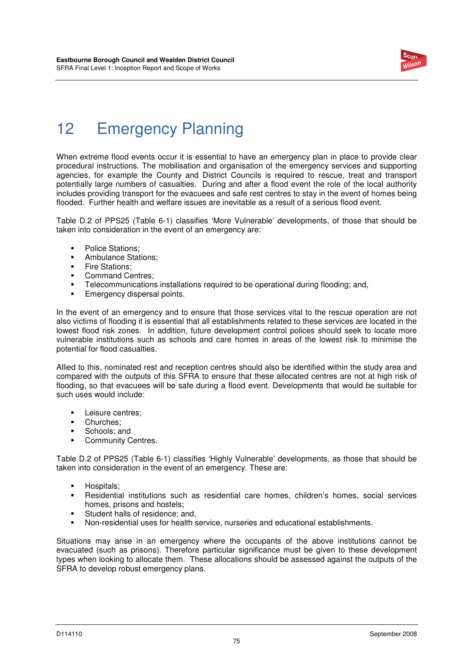

# 12 Emergency Planning

When extreme flood events occur it is essential to have an emergency plan in place to provide clear procedural instructions. The mobilisation and organisation of the emergency services and supporting agencies, for example the County and District Councils is required to rescue, treat and transport potentially large numbers of casualties. During and after a flood event the role of the local authority includes providing transport for the evacuees and safe rest centres to stay in the event of homes being flooded. Further health and welfare issues are inevitable as a result of a serious flood event.

Table D.2 of PPS25 (Table 6-1) classifies 'More Vulnerable' developments, of those that should be taken into consideration in the event of an emergency are:

- Police Stations:
- Ambulance Stations;<br>• Fire Stations:
- Fire Stations;
- Command Centres:
- Telecommunications installations required to be operational during flooding; and,
- Emergency dispersal points.

In the event of an emergency and to ensure that those services vital to the rescue operation are not also victims of flooding it is essential that all establishments related to these services are located in the lowest flood risk zones. In addition, future development control polices should seek to locate more vulnerable institutions such as schools and care homes in areas of the lowest risk to minimise the potential for flood casualties.

Allied to this, nominated rest and reception centres should also be identified within the study area and compared with the outputs of this SFRA to ensure that these allocated centres are not at high risk of flooding, so that evacuees will be safe during a flood event. Developments that would be suitable for such uses would include:

- **Leisure centres;**
- Churches;
- Schools; and
- Community Centres.

Table D.2 of PPS25 (Table 6-1) classifies 'Highly Vulnerable' developments, as those that should be taken into consideration in the event of an emergency. These are:

- **-** Hospitals:
- Residential institutions such as residential care homes, children's homes, social services homes, prisons and hostels;
- Student halls of residence; and,
- Non-residential uses for health service, nurseries and educational establishments.

Situations may arise in an emergency where the occupants of the above institutions cannot be evacuated (such as prisons). Therefore particular significance must be given to these development types when looking to allocate them. These allocations should be assessed against the outputs of the SFRA to develop robust emergency plans.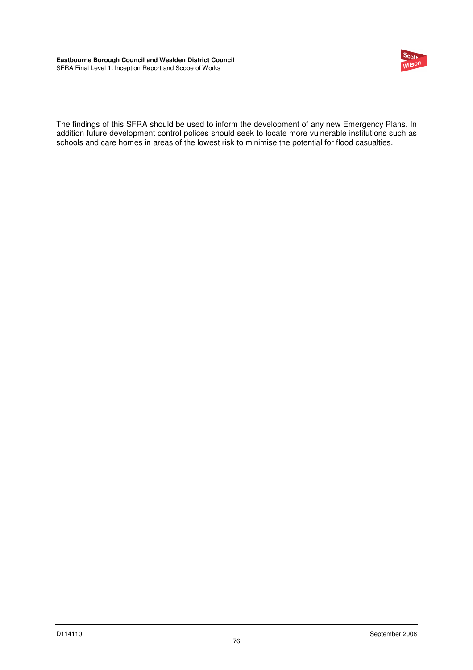

The findings of this SFRA should be used to inform the development of any new Emergency Plans. In addition future development control polices should seek to locate more vulnerable institutions such as schools and care homes in areas of the lowest risk to minimise the potential for flood casualties.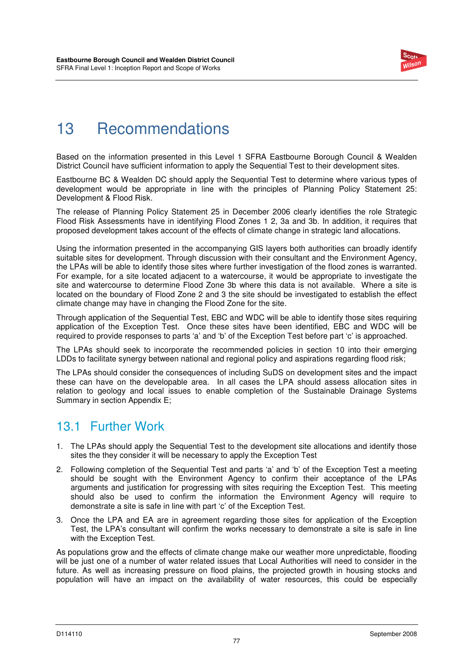

# 13 Recommendations

Based on the information presented in this Level 1 SFRA Eastbourne Borough Council & Wealden District Council have sufficient information to apply the Sequential Test to their development sites.

Eastbourne BC & Wealden DC should apply the Sequential Test to determine where various types of development would be appropriate in line with the principles of Planning Policy Statement 25: Development & Flood Risk.

The release of Planning Policy Statement 25 in December 2006 clearly identifies the role Strategic Flood Risk Assessments have in identifying Flood Zones 1 2, 3a and 3b. In addition, it requires that proposed development takes account of the effects of climate change in strategic land allocations.

Using the information presented in the accompanying GIS layers both authorities can broadly identify suitable sites for development. Through discussion with their consultant and the Environment Agency, the LPAs will be able to identify those sites where further investigation of the flood zones is warranted. For example, for a site located adjacent to a watercourse, it would be appropriate to investigate the site and watercourse to determine Flood Zone 3b where this data is not available. Where a site is located on the boundary of Flood Zone 2 and 3 the site should be investigated to establish the effect climate change may have in changing the Flood Zone for the site.

Through application of the Sequential Test, EBC and WDC will be able to identify those sites requiring application of the Exception Test. Once these sites have been identified, EBC and WDC will be required to provide responses to parts 'a' and 'b' of the Exception Test before part 'c' is approached.

The LPAs should seek to incorporate the recommended policies in section 10 into their emerging LDDs to facilitate synergy between national and regional policy and aspirations regarding flood risk;

The LPAs should consider the consequences of including SuDS on development sites and the impact these can have on the developable area. In all cases the LPA should assess allocation sites in relation to geology and local issues to enable completion of the Sustainable Drainage Systems Summary in section Appendix E;

## 13.1 Further Work

- 1. The LPAs should apply the Sequential Test to the development site allocations and identify those sites the they consider it will be necessary to apply the Exception Test
- 2. Following completion of the Sequential Test and parts 'a' and 'b' of the Exception Test a meeting should be sought with the Environment Agency to confirm their acceptance of the LPAs arguments and justification for progressing with sites requiring the Exception Test. This meeting should also be used to confirm the information the Environment Agency will require to demonstrate a site is safe in line with part 'c' of the Exception Test.
- 3. Once the LPA and EA are in agreement regarding those sites for application of the Exception Test, the LPA's consultant will confirm the works necessary to demonstrate a site is safe in line with the Exception Test.

As populations grow and the effects of climate change make our weather more unpredictable, flooding will be just one of a number of water related issues that Local Authorities will need to consider in the future. As well as increasing pressure on flood plains, the projected growth in housing stocks and population will have an impact on the availability of water resources, this could be especially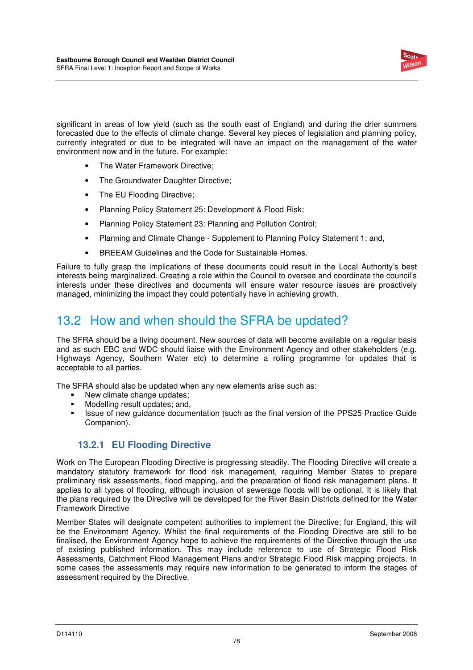

significant in areas of low yield (such as the south east of England) and during the drier summers forecasted due to the effects of climate change. Several key pieces of legislation and planning policy, currently integrated or due to be integrated will have an impact on the management of the water environment now and in the future. For example:

- The Water Framework Directive;
- The Groundwater Daughter Directive:
- The EU Flooding Directive:
- Planning Policy Statement 25: Development & Flood Risk;
- Planning Policy Statement 23: Planning and Pollution Control;
- Planning and Climate Change Supplement to Planning Policy Statement 1; and,
- BREEAM Guidelines and the Code for Sustainable Homes.

Failure to fully grasp the implications of these documents could result in the Local Authority's best interests being marginalized. Creating a role within the Council to oversee and coordinate the council's interests under these directives and documents will ensure water resource issues are proactively managed, minimizing the impact they could potentially have in achieving growth.

## 13.2 How and when should the SFRA be updated?

The SFRA should be a living document. New sources of data will become available on a regular basis and as such EBC and WDC should liaise with the Environment Agency and other stakeholders (e.g. Highways Agency, Southern Water etc) to determine a rolling programme for updates that is acceptable to all parties.

The SFRA should also be updated when any new elements arise such as:

- New climate change updates;
- Modelling result updates; and,
- Issue of new guidance documentation (such as the final version of the PPS25 Practice Guide Companion).

### **13.2.1 EU Flooding Directive**

Work on The European Flooding Directive is progressing steadily. The Flooding Directive will create a mandatory statutory framework for flood risk management, requiring Member States to prepare preliminary risk assessments, flood mapping, and the preparation of flood risk management plans. It applies to all types of flooding, although inclusion of sewerage floods will be optional. It is likely that the plans required by the Directive will be developed for the River Basin Districts defined for the Water Framework Directive

Member States will designate competent authorities to implement the Directive; for England, this will be the Environment Agency. Whilst the final requirements of the Flooding Directive are still to be finalised, the Environment Agency hope to achieve the requirements of the Directive through the use of existing published information. This may include reference to use of Strategic Flood Risk Assessments, Catchment Flood Management Plans and/or Strategic Flood Risk mapping projects. In some cases the assessments may require new information to be generated to inform the stages of assessment required by the Directive.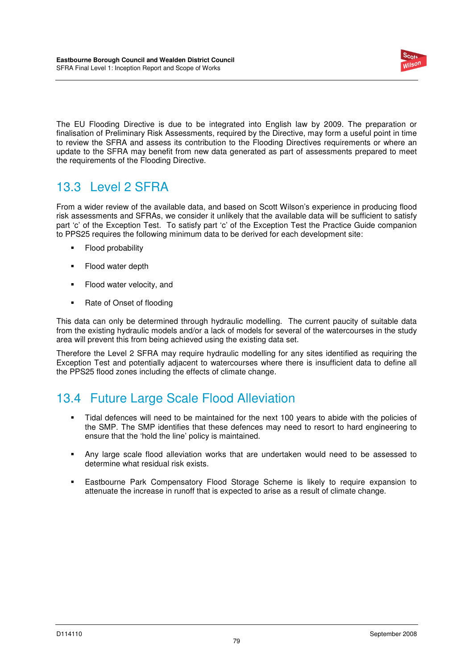

The EU Flooding Directive is due to be integrated into English law by 2009. The preparation or finalisation of Preliminary Risk Assessments, required by the Directive, may form a useful point in time to review the SFRA and assess its contribution to the Flooding Directives requirements or where an update to the SFRA may benefit from new data generated as part of assessments prepared to meet the requirements of the Flooding Directive.

## 13.3 Level 2 SFRA

From a wider review of the available data, and based on Scott Wilson's experience in producing flood risk assessments and SFRAs, we consider it unlikely that the available data will be sufficient to satisfy part 'c' of the Exception Test. To satisfy part 'c' of the Exception Test the Practice Guide companion to PPS25 requires the following minimum data to be derived for each development site:

- Flood probability
- Flood water depth
- **Flood water velocity, and**
- Rate of Onset of flooding

This data can only be determined through hydraulic modelling. The current paucity of suitable data from the existing hydraulic models and/or a lack of models for several of the watercourses in the study area will prevent this from being achieved using the existing data set.

Therefore the Level 2 SFRA may require hydraulic modelling for any sites identified as requiring the Exception Test and potentially adjacent to watercourses where there is insufficient data to define all the PPS25 flood zones including the effects of climate change.

# 13.4 Future Large Scale Flood Alleviation

- Tidal defences will need to be maintained for the next 100 years to abide with the policies of the SMP. The SMP identifies that these defences may need to resort to hard engineering to ensure that the 'hold the line' policy is maintained.
- Any large scale flood alleviation works that are undertaken would need to be assessed to determine what residual risk exists.
- Eastbourne Park Compensatory Flood Storage Scheme is likely to require expansion to attenuate the increase in runoff that is expected to arise as a result of climate change.